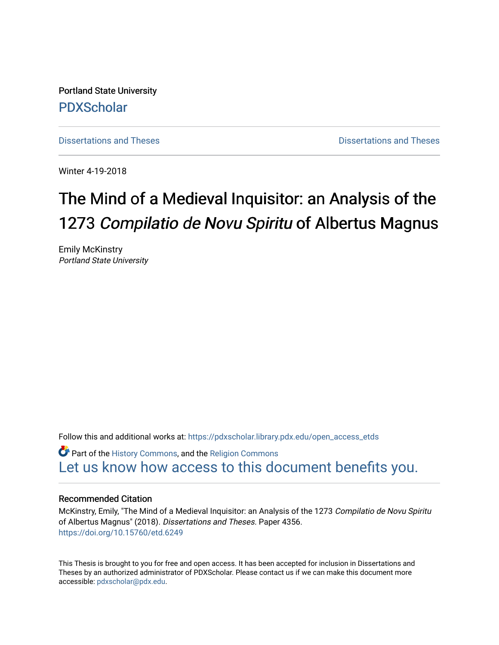Portland State University [PDXScholar](https://pdxscholar.library.pdx.edu/)

[Dissertations and Theses](https://pdxscholar.library.pdx.edu/open_access_etds) **Dissertations** and Theses **Dissertations and Theses** 

Winter 4-19-2018

# The Mind of a Medieval Inquisitor: an Analysis of the 1273 Compilatio de Novu Spiritu of Albertus Magnus

Emily McKinstry Portland State University

Follow this and additional works at: [https://pdxscholar.library.pdx.edu/open\\_access\\_etds](https://pdxscholar.library.pdx.edu/open_access_etds?utm_source=pdxscholar.library.pdx.edu%2Fopen_access_etds%2F4356&utm_medium=PDF&utm_campaign=PDFCoverPages)

**C** Part of the [History Commons,](http://network.bepress.com/hgg/discipline/489?utm_source=pdxscholar.library.pdx.edu%2Fopen_access_etds%2F4356&utm_medium=PDF&utm_campaign=PDFCoverPages) and the Religion Commons [Let us know how access to this document benefits you.](http://library.pdx.edu/services/pdxscholar-services/pdxscholar-feedback/) 

#### Recommended Citation

McKinstry, Emily, "The Mind of a Medieval Inquisitor: an Analysis of the 1273 Compilatio de Novu Spiritu of Albertus Magnus" (2018). Dissertations and Theses. Paper 4356. <https://doi.org/10.15760/etd.6249>

This Thesis is brought to you for free and open access. It has been accepted for inclusion in Dissertations and Theses by an authorized administrator of PDXScholar. Please contact us if we can make this document more accessible: [pdxscholar@pdx.edu.](mailto:pdxscholar@pdx.edu)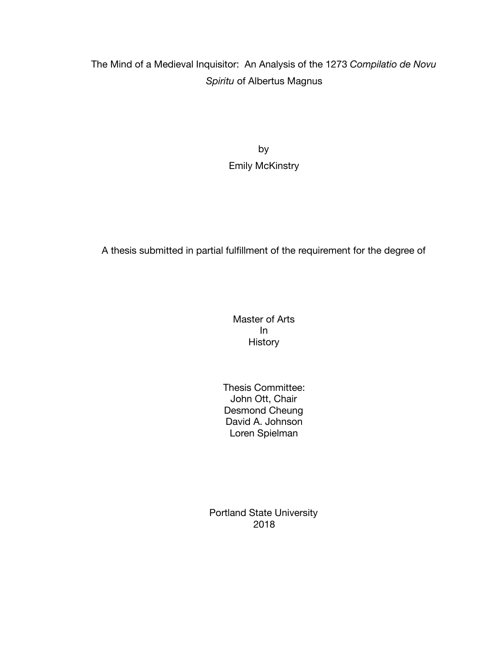## The Mind of a Medieval Inquisitor: An Analysis of the 1273 *Compilatio de Novu Spiritu* of Albertus Magnus

by Emily McKinstry

A thesis submitted in partial fulfillment of the requirement for the degree of

Master of Arts In History

Thesis Committee: John Ott, Chair Desmond Cheung David A. Johnson Loren Spielman

Portland State University 2018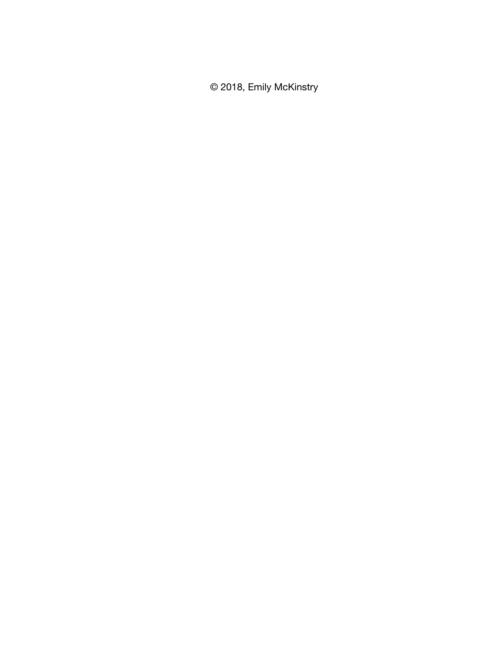© 2018, Emily McKinstry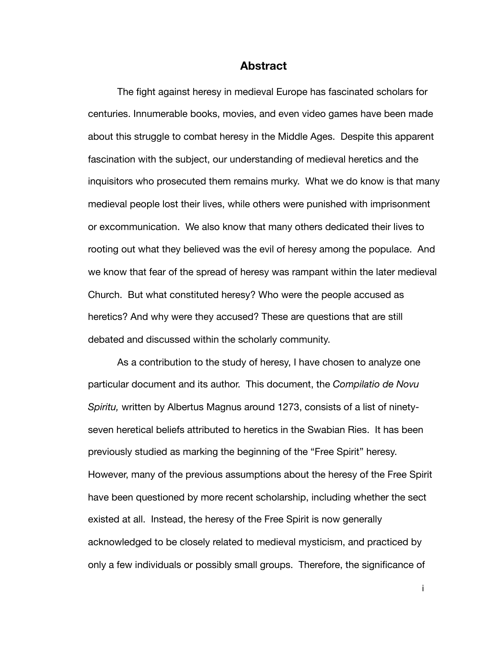#### **Abstract**

The fight against heresy in medieval Europe has fascinated scholars for centuries. Innumerable books, movies, and even video games have been made about this struggle to combat heresy in the Middle Ages. Despite this apparent fascination with the subject, our understanding of medieval heretics and the inquisitors who prosecuted them remains murky. What we do know is that many medieval people lost their lives, while others were punished with imprisonment or excommunication. We also know that many others dedicated their lives to rooting out what they believed was the evil of heresy among the populace. And we know that fear of the spread of heresy was rampant within the later medieval Church. But what constituted heresy? Who were the people accused as heretics? And why were they accused? These are questions that are still debated and discussed within the scholarly community.

As a contribution to the study of heresy, I have chosen to analyze one particular document and its author. This document, the *Compilatio de Novu Spiritu,* written by Albertus Magnus around 1273, consists of a list of ninetyseven heretical beliefs attributed to heretics in the Swabian Ries. It has been previously studied as marking the beginning of the "Free Spirit" heresy. However, many of the previous assumptions about the heresy of the Free Spirit have been questioned by more recent scholarship, including whether the sect existed at all. Instead, the heresy of the Free Spirit is now generally acknowledged to be closely related to medieval mysticism, and practiced by only a few individuals or possibly small groups. Therefore, the significance of

i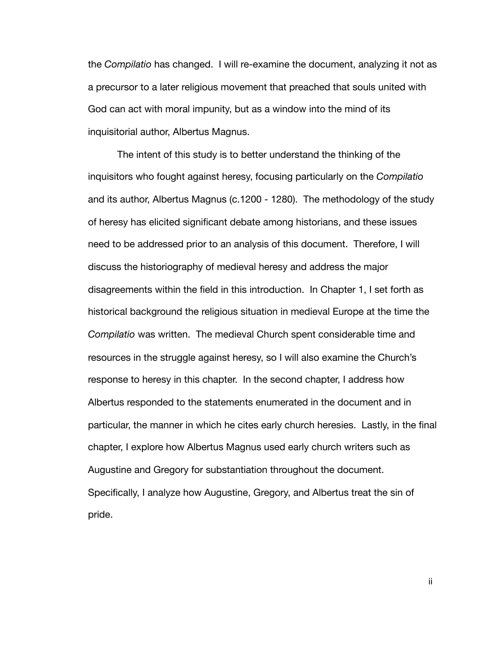the *Compilatio* has changed. I will re-examine the document, analyzing it not as a precursor to a later religious movement that preached that souls united with God can act with moral impunity, but as a window into the mind of its inquisitorial author, Albertus Magnus.

The intent of this study is to better understand the thinking of the inquisitors who fought against heresy, focusing particularly on the *Compilatio*  and its author, Albertus Magnus (c.1200 - 1280). The methodology of the study of heresy has elicited significant debate among historians, and these issues need to be addressed prior to an analysis of this document. Therefore, I will discuss the historiography of medieval heresy and address the major disagreements within the field in this introduction. In Chapter 1, I set forth as historical background the religious situation in medieval Europe at the time the *Compilatio* was written. The medieval Church spent considerable time and resources in the struggle against heresy, so I will also examine the Church's response to heresy in this chapter. In the second chapter, I address how Albertus responded to the statements enumerated in the document and in particular, the manner in which he cites early church heresies. Lastly, in the final chapter, I explore how Albertus Magnus used early church writers such as Augustine and Gregory for substantiation throughout the document. Specifically, I analyze how Augustine, Gregory, and Albertus treat the sin of pride.

ii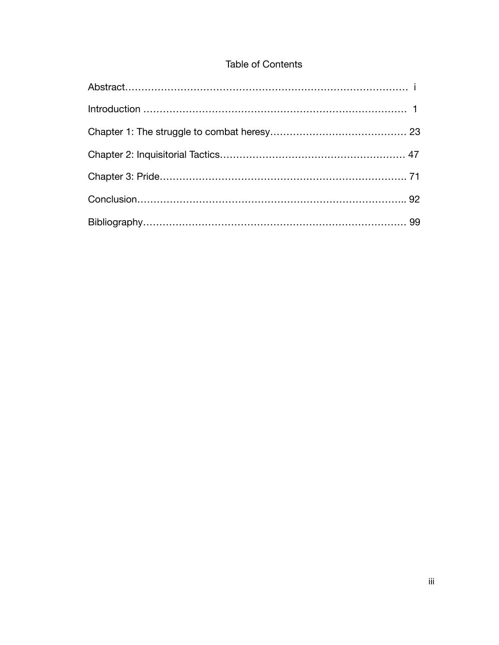### Table of Contents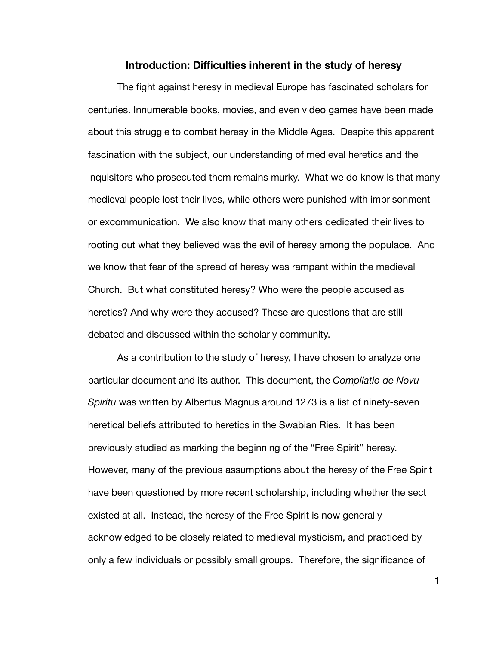#### **Introduction: Difficulties inherent in the study of heresy**

The fight against heresy in medieval Europe has fascinated scholars for centuries. Innumerable books, movies, and even video games have been made about this struggle to combat heresy in the Middle Ages. Despite this apparent fascination with the subject, our understanding of medieval heretics and the inquisitors who prosecuted them remains murky. What we do know is that many medieval people lost their lives, while others were punished with imprisonment or excommunication. We also know that many others dedicated their lives to rooting out what they believed was the evil of heresy among the populace. And we know that fear of the spread of heresy was rampant within the medieval Church. But what constituted heresy? Who were the people accused as heretics? And why were they accused? These are questions that are still debated and discussed within the scholarly community.

As a contribution to the study of heresy, I have chosen to analyze one particular document and its author. This document, the *Compilatio de Novu Spiritu* was written by Albertus Magnus around 1273 is a list of ninety-seven heretical beliefs attributed to heretics in the Swabian Ries. It has been previously studied as marking the beginning of the "Free Spirit" heresy. However, many of the previous assumptions about the heresy of the Free Spirit have been questioned by more recent scholarship, including whether the sect existed at all. Instead, the heresy of the Free Spirit is now generally acknowledged to be closely related to medieval mysticism, and practiced by only a few individuals or possibly small groups. Therefore, the significance of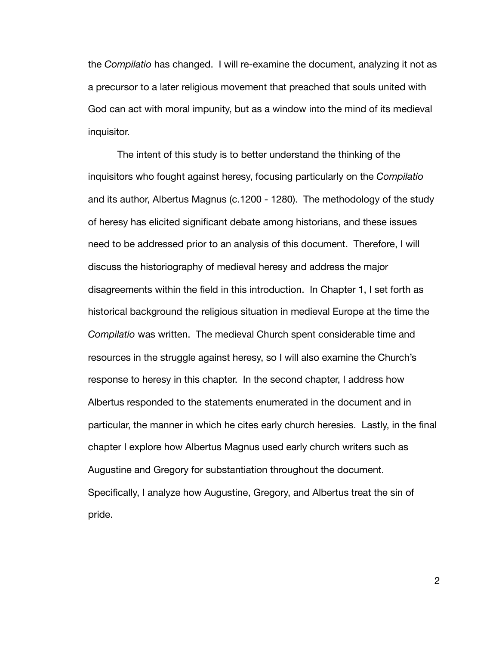the *Compilatio* has changed. I will re-examine the document, analyzing it not as a precursor to a later religious movement that preached that souls united with God can act with moral impunity, but as a window into the mind of its medieval inquisitor.

The intent of this study is to better understand the thinking of the inquisitors who fought against heresy, focusing particularly on the *Compilatio*  and its author, Albertus Magnus (c.1200 - 1280). The methodology of the study of heresy has elicited significant debate among historians, and these issues need to be addressed prior to an analysis of this document. Therefore, I will discuss the historiography of medieval heresy and address the major disagreements within the field in this introduction. In Chapter 1, I set forth as historical background the religious situation in medieval Europe at the time the *Compilatio* was written. The medieval Church spent considerable time and resources in the struggle against heresy, so I will also examine the Church's response to heresy in this chapter. In the second chapter, I address how Albertus responded to the statements enumerated in the document and in particular, the manner in which he cites early church heresies. Lastly, in the final chapter I explore how Albertus Magnus used early church writers such as Augustine and Gregory for substantiation throughout the document. Specifically, I analyze how Augustine, Gregory, and Albertus treat the sin of pride.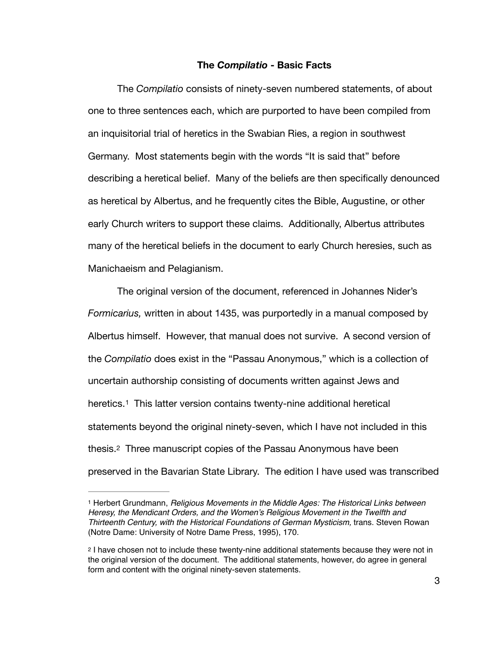#### **The** *Compilatio* **- Basic Facts**

The *Compilatio* consists of ninety-seven numbered statements, of about one to three sentences each, which are purported to have been compiled from an inquisitorial trial of heretics in the Swabian Ries, a region in southwest Germany. Most statements begin with the words "It is said that" before describing a heretical belief. Many of the beliefs are then specifically denounced as heretical by Albertus, and he frequently cites the Bible, Augustine, or other early Church writers to support these claims. Additionally, Albertus attributes many of the heretical beliefs in the document to early Church heresies, such as Manichaeism and Pelagianism.

The original version of the document, referenced in Johannes Nider's *Formicarius,* written in about 1435, was purportedly in a manual composed by Albertus himself. However, that manual does not survive. A second version of the *Compilatio* does exist in the "Passau Anonymous," which is a collection of uncertain authorship consisting of documents written against Jews and heretics.<sup>[1](#page-8-0)</sup> This latter version contains twenty-nine additional heretical statements beyond the original ninety-seven, which I have not included in this thesis.[2](#page-8-1) Three manuscript copies of the Passau Anonymous have been preserved in the Bavarian State Library. The edition I have used was transcribed

<span id="page-8-3"></span><span id="page-8-2"></span><span id="page-8-0"></span><sup>&</sup>lt;sup>[1](#page-8-2)</sup> Herbert Grundmann, *Religious Movements in the Middle Ages: The Historical Links between Heresy, the Mendicant Orders, and the Women's Religious Movement in the Twelfth and Thirteenth Century, with the Historical Foundations of German Mysticism,* trans. Steven Rowan (Notre Dame: University of Notre Dame Press, 1995), 170.

<span id="page-8-1"></span><sup>&</sup>lt;sup>[2](#page-8-3)</sup> I have chosen not to include these twenty-nine additional statements because they were not in the original version of the document. The additional statements, however, do agree in general form and content with the original ninety-seven statements.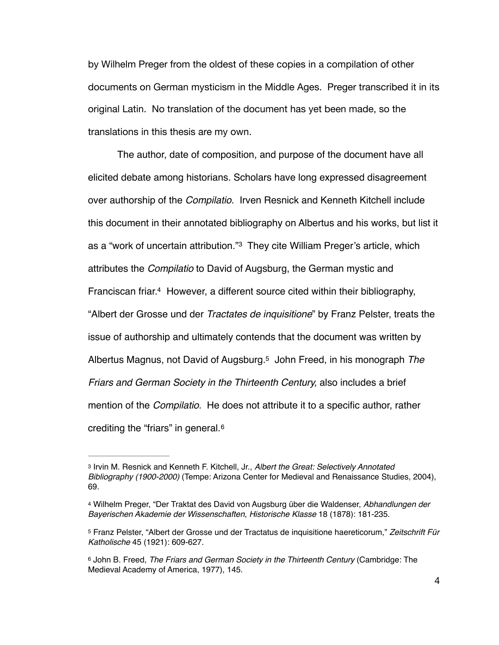by Wilhelm Preger from the oldest of these copies in a compilation of other documents on German mysticism in the Middle Ages. Preger transcribed it in its original Latin. No translation of the document has yet been made, so the translations in this thesis are my own.

<span id="page-9-5"></span><span id="page-9-4"></span>The author, date of composition, and purpose of the document have all elicited debate among historians. Scholars have long expressed disagreement over authorship of the *Compilatio*. Irven Resnick and Kenneth Kitchell include this document in their annotated bibliography on Albertus and his works, but list it as a "work of uncertain attribution." They cite William Preger's article, which attributes the *Compilatio* to David of Augsburg, the German mystic and Franciscan friar.<sup>[4](#page-9-1)</sup> However, a different source cited within their bibliography, "Albert der Grosse und der *Tractates de inquisitione*" by Franz Pelster, treats the issue of authorship and ultimately contends that the document was written by Albertus Magnus, not David of Augsburg.<sup>5</sup> John Freed, in his monograph *The Friars and German Society in the Thirteenth Century,* also includes a brief mention of the *Compilatio*. He does not attribute it to a specific author, rather crediting the "friars" in general. [6](#page-9-3)

<span id="page-9-7"></span><span id="page-9-6"></span><span id="page-9-0"></span>Irvin M. Resnick and Kenneth F. Kitchell, Jr., *Albert the Great: Selectively Annotated* [3](#page-9-4) *Bibliography (1900-2000)* (Tempe: Arizona Center for Medieval and Renaissance Studies, 2004), 69.

<span id="page-9-1"></span>Wilhelm Preger, "Der Traktat des David von Augsburg über die Waldenser, *Abhandlungen der* [4](#page-9-5) *Bayerischen Akademie der Wissenschaften*, *Historische Klasse* 18 (1878): 181-235.

<span id="page-9-2"></span>Franz Pelster, "Albert der Grosse und der Tractatus de inquisitione haereticorum," *Zeitschrift Für* [5](#page-9-6) *Katholische* 45 (1921): 609-627.

<span id="page-9-3"></span>John B. Freed, *The Friars and German Society in the Thirteenth Century* (Cambridge: The [6](#page-9-7) Medieval Academy of America, 1977), 145.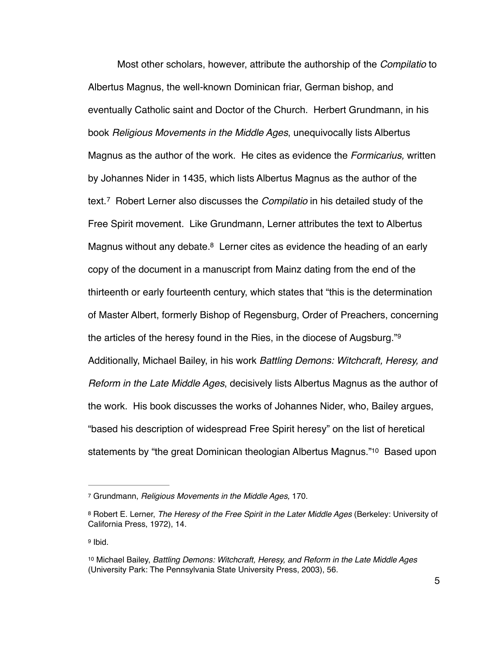<span id="page-10-5"></span><span id="page-10-4"></span>Most other scholars, however, attribute the authorship of the *Compilatio* to Albertus Magnus, the well-known Dominican friar, German bishop, and eventually Catholic saint and Doctor of the Church. Herbert Grundmann, in his book *Religious Movements in the Middle Ages*, unequivocally lists Albertus Magnus as the author of the work. He cites as evidence the *Formicarius,* written by Johannes Nider in 1435, which lists Albertus Magnus as the author of the text.<sup>7</sup> Robert Lerner also discusses the *Compilatio* in his detailed study of the Free Spirit movement. Like Grundmann, Lerner attributes the text to Albertus Magnus without any debate.<sup>[8](#page-10-1)</sup> Lerner cites as evidence the heading of an early copy of the document in a manuscript from Mainz dating from the end of the thirteenth or early fourteenth century, which states that "this is the determination of Master Albert, formerly Bishop of Regensburg, Order of Preachers, concerning the articles of the heresy found in the Ries, in the diocese of Augsburg."<sup>[9](#page-10-2)</sup> Additionally, Michael Bailey, in his work *Battling Demons: Witchcraft, Heresy, and Reform in the Late Middle Ages*, decisively lists Albertus Magnus as the author of the work. His book discusses the works of Johannes Nider, who, Bailey argues, "based his description of widespread Free Spirit heresy" on the list of heretical statements by ["](#page-10-3)the great Dominican theologian Albertus Magnus."<sup>[10](#page-10-3)</sup> Based upon

<span id="page-10-7"></span><span id="page-10-6"></span><span id="page-10-0"></span>Grundmann, *Religious Movements in the Middle Ages,* 170. [7](#page-10-4)

<span id="page-10-1"></span><sup>&</sup>lt;sup>[8](#page-10-5)</sup> Robert E. Lerner, *The Heresy of the Free Spirit in the Later Middle Ages* (Berkeley: University of California Press, 1972), 14.

<span id="page-10-2"></span><sup>&</sup>lt;sup>[9](#page-10-6)</sup> Ibid.

<span id="page-10-3"></span>[<sup>10</sup>](#page-10-7) Michael Bailey, *Battling Demons: Witchcraft, Heresy, and Reform in the Late Middle Ages* (University Park: The Pennsylvania State University Press, 2003), 56.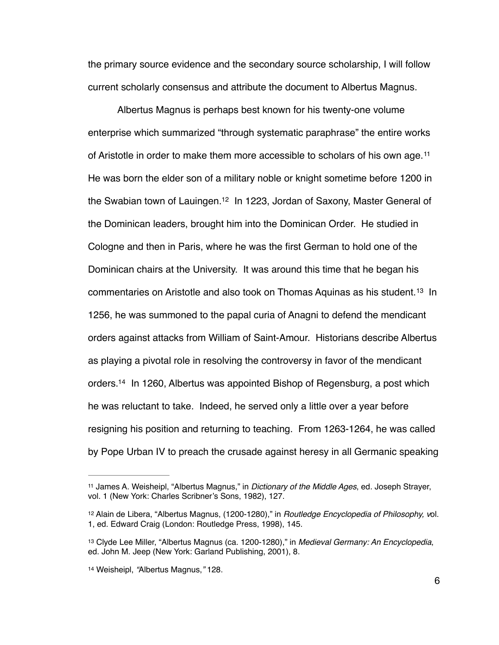the primary source evidence and the secondary source scholarship, I will follow current scholarly consensus and attribute the document to Albertus Magnus.

<span id="page-11-6"></span><span id="page-11-5"></span><span id="page-11-4"></span>Albertus Magnus is perhaps best known for his twenty-one volume enterprise which summarized "through systematic paraphrase" the entire works of Aristotle in order to make them more accessible to scholars of his own age. [11](#page-11-0) He was born the elder son of a military noble or knight sometime before 1200 in the Swabian town of Lauingen[.](#page-11-1)<sup>[12](#page-11-1)</sup> In 1223, Jordan of Saxony, Master General of the Dominican leaders, brought him into the Dominican Order. He studied in Cologne and then in Paris, where he was the first German to hold one of the Dominican chairs at the University. It was around this time that he began his commentarieson Aristotle and also took on Thomas Aquinas as his student.<sup>[13](#page-11-2)</sup> In 1256, he was summoned to the papal curia of Anagni to defend the mendicant orders against attacks from William of Saint-Amour. Historians describe Albertus as playing a pivotal role in resolving the controversy in favor of the mendicant orders[.](#page-11-3)<sup>[14](#page-11-3)</sup> In 1260, Albertus was appointed Bishop of Regensburg, a post which he was reluctant to take. Indeed, he served only a little over a year before resigning his position and returning to teaching. From 1263-1264, he was called by Pope Urban IV to preach the crusade against heresy in all Germanic speaking

<span id="page-11-7"></span><span id="page-11-0"></span><sup>&</sup>lt;sup>[11](#page-11-4)</sup> James A. Weisheipl, "Albertus Magnus," in *Dictionary of the Middle Ages*, ed. Joseph Strayer, vol. 1 (New York: Charles Scribner's Sons, 1982), 127.

<span id="page-11-1"></span>[<sup>12</sup>](#page-11-5) Alain de Libera, "Albertus Magnus, (1200-1280)," in *Routledge Encyclopedia of Philosophy, vol.* 1, ed. Edward Craig (London: Routledge Press, 1998), 145.

<span id="page-11-2"></span><sup>&</sup>lt;sup>[13](#page-11-6)</sup> Clyde Lee Miller, "Albertus Magnus (ca. 1200-1280)," in *Medieval Germany: An Encyclopedia*, ed. John M. Jeep (New York: Garland Publishing, 2001), 8.

<span id="page-11-3"></span><sup>&</sup>lt;sup>[14](#page-11-7)</sup> Weisheipl, "Albertus Magnus," 128.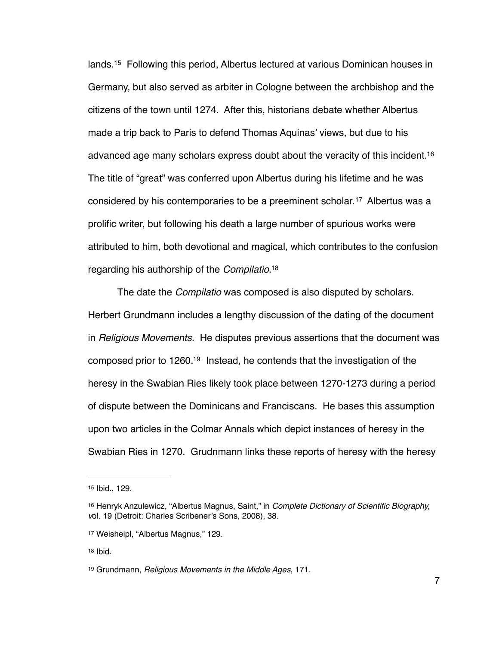<span id="page-12-6"></span><span id="page-12-5"></span>lands.<sup>[15](#page-12-0)</sup> Following this period, Albertus lectured at various Dominican houses in Germany, but also served as arbiter in Cologne between the archbishop and the citizens of the town until 1274. After this, historians debate whether Albertus made a trip back to Paris to defend Thomas Aquinas' views, but due to his advanced age many scholars express doubt about the veracity of this incident[.](#page-12-1) [16](#page-12-1) The title of "great" was conferred upon Albertus during his lifetime and he was considered by his contemporaries to be a preeminent scholar.<sup>[17](#page-12-2)</sup> Albertus was a prolific writer, but following his death a large number of spurious works were attributed to him, both devotional and magical, which contributes to the confusion regarding his authorship of the *Compilatio*[.](#page-12-3) [18](#page-12-3)

<span id="page-12-9"></span><span id="page-12-8"></span><span id="page-12-7"></span>The date the *Compilatio* was composed is also disputed by scholars. Herbert Grundmann includes a lengthy discussion of the dating of the document in *Religious Movements*. He disputes previous assertions that the document was composed prior to  $1260<sup>19</sup>$  $1260<sup>19</sup>$  $1260<sup>19</sup>$  Instead, he contends that the investigation of the heresy in the Swabian Ries likely took place between 1270-1273 during a period of dispute between the Dominicans and Franciscans. He bases this assumption upon two articles in the Colmar Annals which depict instances of heresy in the Swabian Ries in 1270. Grudnmann links these reports of heresy with the heresy

<span id="page-12-0"></span>[<sup>15</sup>](#page-12-5) Ibid., 129.

<span id="page-12-1"></span>Henryk Anzulewicz, "Albertus Magnus, Saint," in *Complete Dictionary of Scientific Biography,* [16](#page-12-6) *v*ol. 19 (Detroit: Charles Scribener's Sons, 2008), 38.

<span id="page-12-2"></span>[<sup>17</sup>](#page-12-7) Weisheipl, "Albertus Magnus," 129.

<span id="page-12-3"></span>[<sup>18</sup>](#page-12-8) Ibid.

<span id="page-12-4"></span><sup>&</sup>lt;sup>[19](#page-12-9)</sup> Grundmann, *Religious Movements in the Middle Ages*, 171.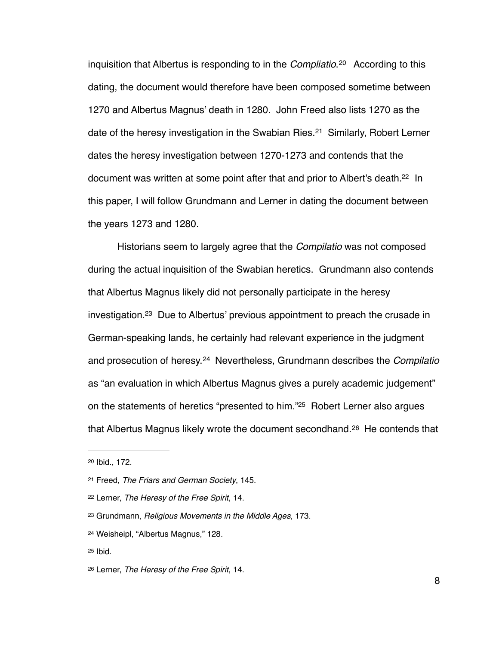<span id="page-13-8"></span><span id="page-13-7"></span>inquisition that Albertus is responding to in the *Compliatio*.<sup>[20](#page-13-0)</sup> According to this dating, the document would therefore have been composed sometime between 1270 and Albertus Magnus' death in 1280. John Freed also lists 1270 as the dateof the heresy investigation in the Swabian Ries.<sup>[21](#page-13-1)</sup> Similarly, Robert Lerner dates the heresy investigation between 1270-1273 and contends that the document was written at some point after that and prior to Albert's death[.](#page-13-2)<sup>[22](#page-13-2)</sup> In this paper, I will follow Grundmann and Lerner in dating the document between the years 1273 and 1280.

<span id="page-13-10"></span><span id="page-13-9"></span>Historians seem to largely agree that the *Compilatio* was not composed during the actual inquisition of the Swabian heretics. Grundmann also contends that Albertus Magnus likely did not personally participate in the heresy  $investigation<sup>23</sup>$  $investigation<sup>23</sup>$  $investigation<sup>23</sup>$  Due to Albertus' previous appointment to preach the crusade in German-speaking lands, he certainly had relevant experience in the judgment and prosecution of heresy.[24](#page-13-4) Nevertheless, Grundmann describes the *Compilatio* as "an evaluation in which Albertus Magnus gives a purely academic judgement" on the statements of heretics ["](#page-13-5)presented to him."<sup>[25](#page-13-5)</sup> Robert Lerner also argues that Albertus Magnus likely wrote the document secondhand.<sup>[26](#page-13-6)</sup> He contends that

<span id="page-13-13"></span><span id="page-13-12"></span><span id="page-13-11"></span><span id="page-13-0"></span><sup>&</sup>lt;sup>[20](#page-13-7)</sup> Ibid., 172.

<span id="page-13-1"></span>Freed, *The Friars and German Society*, 145. [21](#page-13-8)

<span id="page-13-2"></span>Lerner, *The Heresy of the Free Spirit*, 14. [22](#page-13-9)

<span id="page-13-3"></span>as Grundmann, *Religious Movements in the Middle Ages*, 173.

<span id="page-13-4"></span>Weisheipl, "Albertus Magnus," 128. [24](#page-13-11)

<span id="page-13-5"></span>[<sup>25</sup>](#page-13-12) Ibid.

<span id="page-13-6"></span><sup>&</sup>lt;sup>[26](#page-13-13)</sup> Lerner, *The Heresy of the Free Spirit*, 14.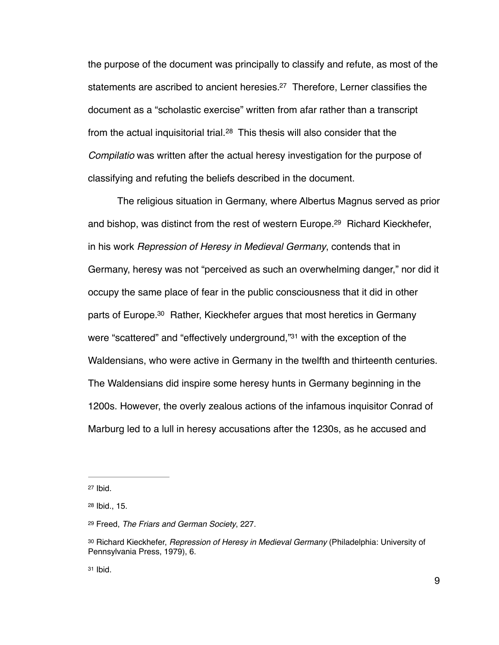<span id="page-14-6"></span><span id="page-14-5"></span>the purpose of the document was principally to classify and refute, as most of the statements are ascribed to ancient heresies[.](#page-14-0)<sup>[27](#page-14-0)</sup> Therefore, Lerner classifies the document as a "scholastic exercise" written from afar rather than a transcript fromthe actual inquisitorial trial. $28$  This thesis will also consider that the *Compilatio* was written after the actual heresy investigation for the purpose of classifying and refuting the beliefs described in the document.

<span id="page-14-9"></span><span id="page-14-8"></span><span id="page-14-7"></span>The religious situation in Germany, where Albertus Magnus served as prior and bishop, was distinct from the rest of western Europe[.](#page-14-2)<sup>[29](#page-14-2)</sup> Richard Kieckhefer, in his work *Repression of Heresy in Medieval Germany*, contends that in Germany, heresy was not "perceived as such an overwhelming danger," nor did it occupy the same place of fear in the public consciousness that it did in other parts of Europe[.](#page-14-3)<sup>[30](#page-14-3)</sup> Rather, Kieckhefer argues that most heretics in Germany were ["](#page-14-4)scattered" and "effectively underground,"<sup>[31](#page-14-4)</sup> with the exception of the Waldensians, who were active in Germany in the twelfth and thirteenth centuries. The Waldensians did inspire some heresy hunts in Germany beginning in the 1200s. However, the overly zealous actions of the infamous inquisitor Conrad of Marburg led to a lull in heresy accusations after the 1230s, as he accused and

<span id="page-14-0"></span> $27$  Ibid.

<span id="page-14-1"></span> $28$  Ibid., 15.

<span id="page-14-2"></span><sup>&</sup>lt;sup>[29](#page-14-7)</sup> Freed, *The Friars and German Society*, 227.

<span id="page-14-3"></span>[<sup>30</sup>](#page-14-8) Richard Kieckhefer, *Repression of Heresy in Medieval Germany* (Philadelphia: University of Pennsylvania Press, 1979), 6.

<span id="page-14-4"></span> $31$  Ibid.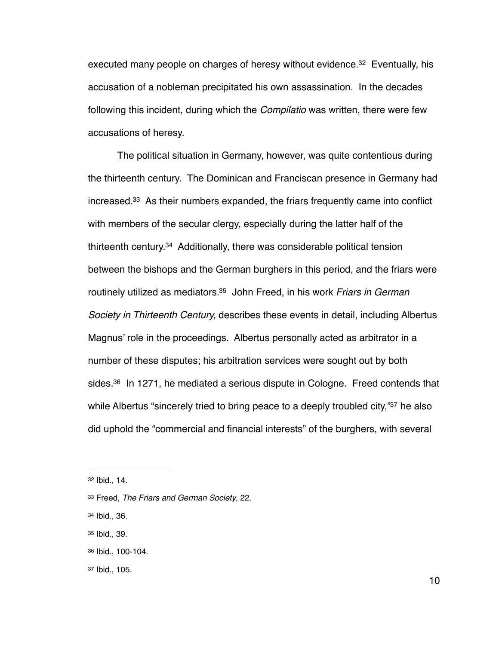<span id="page-15-6"></span>executed many people on charges of heresy without evidence[.](#page-15-0)<sup>[32](#page-15-0)</sup> Eventually, his accusation of a nobleman precipitated his own assassination. In the decades following this incident, during which the *Compilatio* was written, there were few accusations of heresy.

<span id="page-15-9"></span><span id="page-15-8"></span><span id="page-15-7"></span>The political situation in Germany, however, was quite contentious during the thirteenth century. The Dominican and Franciscan presence in Germany had increased[.](#page-15-1)<sup>[33](#page-15-1)</sup> As their numbers expanded, the friars frequently came into conflict with members of the secular clergy, especially during the latter half of the thirteenth century[.](#page-15-2)<sup>[34](#page-15-2)</sup> Additionally, there was considerable political tension between the bishops and the German burghers in this period, and the friars were routinely utilized as mediators[.](#page-15-3)<sup>35</sup> John Freed, in his work *Friars in German Society in Thirteenth Century,* describes these events in detail, including Albertus Magnus' role in the proceedings. Albertus personally acted as arbitrator in a number of these disputes; his arbitration services were sought out by both sides[.](#page-15-4)  $36$  In 1271, he mediated a serious dispute in Cologne. Freed contends that while Albertus ["](#page-15-5)sincerely tried to bring peace to a deeply troubled city,"<sup>[37](#page-15-5)</sup> he also did uphold the "commercial and financial interests" of the burghers, with several

<span id="page-15-11"></span><span id="page-15-10"></span><span id="page-15-0"></span>[<sup>32</sup>](#page-15-6) Ibid., 14.

<span id="page-15-1"></span>Freed, *The Friars and German Society*, 22. [33](#page-15-7)

<span id="page-15-2"></span>[<sup>34</sup>](#page-15-8) Ibid., 36.

<span id="page-15-3"></span>[<sup>35</sup>](#page-15-9) Ibid., 39.

<span id="page-15-4"></span>[<sup>36</sup>](#page-15-10) Ibid., 100-104.

<span id="page-15-5"></span>[<sup>37</sup>](#page-15-11) Ibid., 105.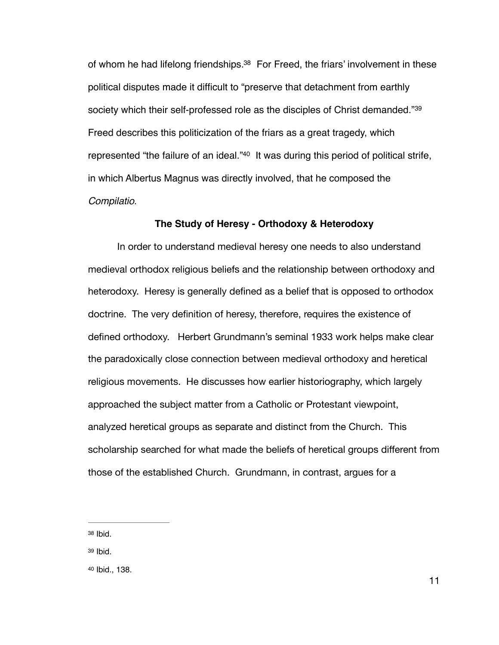<span id="page-16-3"></span>of whom he had lifelong friendships[.](#page-16-0)<sup>[38](#page-16-0)</sup> For Freed, the friars' involvement in these political disputes made it difficult to "preserve that detachment from earthly society which their self-professed role as the disciples of Christ demanded."<sup>39</sup> Freed describes this politicization of the friars as a great tragedy, which represented ["](#page-16-2)the failure of an ideal."<sup>[40](#page-16-2)</sup> It was during this period of political strife, in which Albertus Magnus was directly involved, that he composed the *Compilatio*.

#### <span id="page-16-5"></span><span id="page-16-4"></span>**The Study of Heresy - Orthodoxy & Heterodoxy**

In order to understand medieval heresy one needs to also understand medieval orthodox religious beliefs and the relationship between orthodoxy and heterodoxy. Heresy is generally defined as a belief that is opposed to orthodox doctrine. The very definition of heresy, therefore, requires the existence of defined orthodoxy. Herbert Grundmann's seminal 1933 work helps make clear the paradoxically close connection between medieval orthodoxy and heretical religious movements. He discusses how earlier historiography, which largely approached the subject matter from a Catholic or Protestant viewpoint, analyzed heretical groups as separate and distinct from the Church. This scholarship searched for what made the beliefs of heretical groups different from those of the established Church. Grundmann, in contrast, argues for a

<span id="page-16-0"></span>[38](#page-16-3) Ibid.

<span id="page-16-1"></span>[39](#page-16-4) Ibid.

<span id="page-16-2"></span>[40](#page-16-5) Ibid., 138.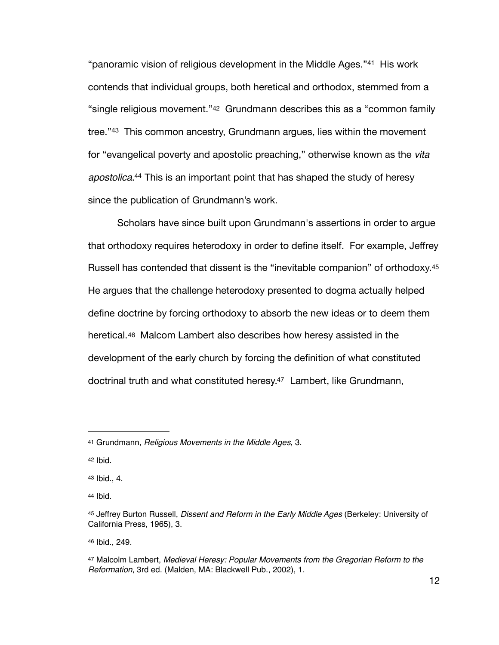<span id="page-17-9"></span><span id="page-17-8"></span><span id="page-17-7"></span>"panoramicvision of religious development in the Middle Ages."<sup>[41](#page-17-0)</sup> His work contends that individual groups, both heretical and orthodox, stemmed from a "single religious movement."[42](#page-17-1) Grundmann describes this as a "common family tree."<sup>43</sup>This common ancestry, Grundmann argues, lies within the movement for "evangelical poverty and apostolic preaching," otherwise known as the *vita apostolica*[.](#page-17-3)<sup>[44](#page-17-3)</sup> This is an important point that has shaped the study of heresy since the publication of Grundmann's work.

<span id="page-17-11"></span><span id="page-17-10"></span>Scholars have since built upon Grundmann's assertions in order to argue that orthodoxy requires heterodoxy in order to define itself. For example, Jeffrey Russell has contended that dissent is the "inevitable companion" of orthodoxy[.45](#page-17-4)  He argues that the challenge heterodoxy presented to dogma actually helped define doctrine by forcing orthodoxy to absorb the new ideas or to deem them heretical.[46](#page-17-5) Malcom Lambert also describes how heresy assisted in the development of the early church by forcing the definition of what constituted doctrinal truth and what constituted heresy[.](#page-17-6)<sup>[47](#page-17-6)</sup> Lambert, like Grundmann,

<span id="page-17-5"></span>[46](#page-17-12) Ibid., 249.

<span id="page-17-13"></span><span id="page-17-12"></span><span id="page-17-0"></span>Grundmann, *Religious Movements in the Middle Ages*, 3. [41](#page-17-7)

<span id="page-17-1"></span> $42$  Ibid.

<span id="page-17-2"></span>[<sup>43</sup>](#page-17-9) Ibid., 4.

<span id="page-17-3"></span>[<sup>44</sup>](#page-17-10) Ibid.

<span id="page-17-4"></span>Jeffrey Burton Russell, *Dissent and Reform in the Early Middle Ages* (Berkeley: University of [45](#page-17-11) California Press, 1965), 3.

<span id="page-17-6"></span>Malcolm Lambert, *Medieval Heresy: Popular Movements from the Gregorian Reform to the* [47](#page-17-13) *Reformation*, 3rd ed. (Malden, MA: Blackwell Pub., 2002), 1.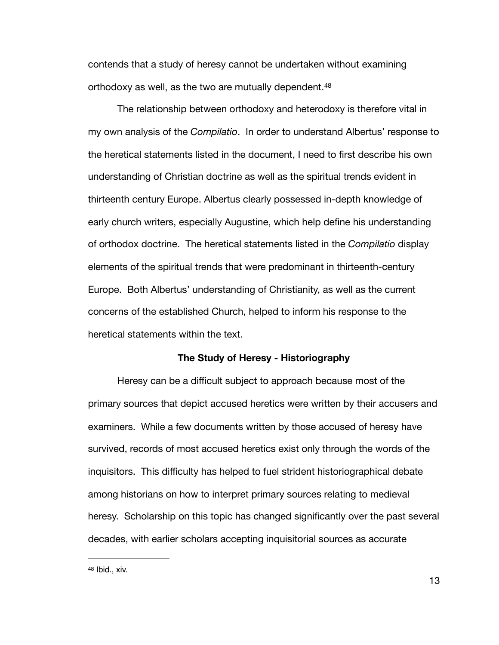<span id="page-18-1"></span>contends that a study of heresy cannot be undertaken without examining orthodoxy as well, as the two are mutually dependent. [48](#page-18-0)

The relationship between orthodoxy and heterodoxy is therefore vital in my own analysis of the *Compilatio*. In order to understand Albertus' response to the heretical statements listed in the document, I need to first describe his own understanding of Christian doctrine as well as the spiritual trends evident in thirteenth century Europe. Albertus clearly possessed in-depth knowledge of early church writers, especially Augustine, which help define his understanding of orthodox doctrine. The heretical statements listed in the *Compilatio* display elements of the spiritual trends that were predominant in thirteenth-century Europe. Both Albertus' understanding of Christianity, as well as the current concerns of the established Church, helped to inform his response to the heretical statements within the text.

#### **The Study of Heresy - Historiography**

Heresy can be a difficult subject to approach because most of the primary sources that depict accused heretics were written by their accusers and examiners. While a few documents written by those accused of heresy have survived, records of most accused heretics exist only through the words of the inquisitors. This difficulty has helped to fuel strident historiographical debate among historians on how to interpret primary sources relating to medieval heresy. Scholarship on this topic has changed significantly over the past several decades, with earlier scholars accepting inquisitorial sources as accurate

<span id="page-18-0"></span> $48$  Ibid., xiv.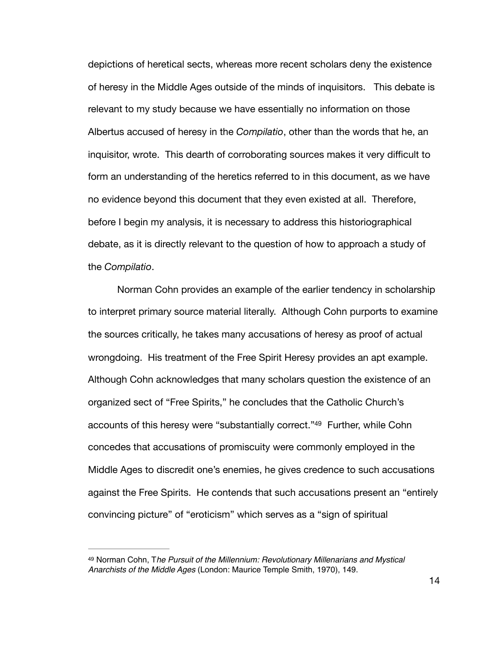depictions of heretical sects, whereas more recent scholars deny the existence of heresy in the Middle Ages outside of the minds of inquisitors. This debate is relevant to my study because we have essentially no information on those Albertus accused of heresy in the *Compilatio*, other than the words that he, an inquisitor, wrote. This dearth of corroborating sources makes it very difficult to form an understanding of the heretics referred to in this document, as we have no evidence beyond this document that they even existed at all. Therefore, before I begin my analysis, it is necessary to address this historiographical debate, as it is directly relevant to the question of how to approach a study of the *Compilatio*.

<span id="page-19-1"></span>Norman Cohn provides an example of the earlier tendency in scholarship to interpret primary source material literally. Although Cohn purports to examine the sources critically, he takes many accusations of heresy as proof of actual wrongdoing. His treatment of the Free Spirit Heresy provides an apt example. Although Cohn acknowledges that many scholars question the existence of an organized sect of "Free Spirits," he concludes that the Catholic Church's accounts of this heresy were ["](#page-19-0)substantially correct."<sup>[49](#page-19-0)</sup> Further, while Cohn concedes that accusations of promiscuity were commonly employed in the Middle Ages to discredit one's enemies, he gives credence to such accusations against the Free Spirits. He contends that such accusations present an "entirely convincing picture" of "eroticism" which serves as a "sign of spiritual

<span id="page-19-0"></span>Norman Cohn, T*he Pursuit of the Millennium: Revolutionary Millenarians and Mystical* [49](#page-19-1) *Anarchists of the Middle Ages* (London: Maurice Temple Smith, 1970), 149.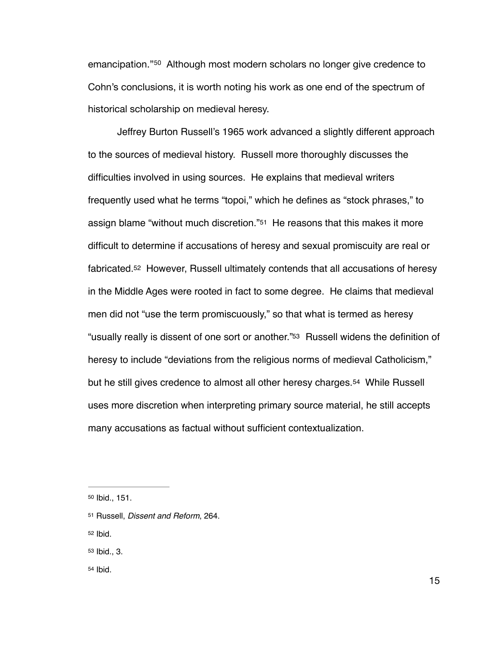<span id="page-20-5"></span>emancipation."<sup>[50](#page-20-0)</sup> Although most modern scholars no longer give credence to Cohn's conclusions, it is worth noting his work as one end of the spectrum of historical scholarship on medieval heresy.

<span id="page-20-7"></span><span id="page-20-6"></span>Jeffrey Burton Russell's 1965 work advanced a slightly different approach to the sources of medieval history. Russell more thoroughly discusses the difficulties involved in using sources. He explains that medieval writers frequently used what he terms "topoi," which he defines as "stock phrases," to assign blame "without much discretion."[51](#page-20-1) He reasons that this makes it more difficult to determine if accusations of heresy and sexual promiscuity are real or fabricated[.52](#page-20-2) However, Russell ultimately contends that all accusations of heresy in the Middle Ages were rooted in fact to some degree. He claims that medieval men did not "use the term promiscuously," so that what is termed as heresy "usually really is dissent of one sort or another.["53](#page-20-3) Russell widens the definition of heresy to include "deviations from the religious norms of medieval Catholicism," but he still gives credence to almost all other heresy charges.[54](#page-20-4) While Russell uses more discretion when interpreting primary source material, he still accepts many accusations as factual without sufficient contextualization.

<span id="page-20-2"></span>[52](#page-20-7) Ibid.

<span id="page-20-3"></span>[53](#page-20-8) Ibid., 3.

<span id="page-20-4"></span>[54](#page-20-9) Ibid.

<span id="page-20-9"></span><span id="page-20-8"></span><span id="page-20-0"></span>[<sup>50</sup>](#page-20-5) Ibid., 151.

<span id="page-20-1"></span>[<sup>51</sup>](#page-20-6) Russell, *Dissent and Reform*, 264.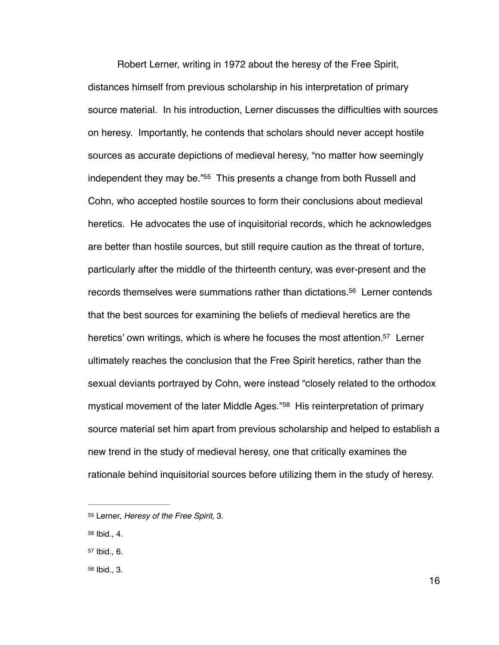<span id="page-21-4"></span>Robert Lerner, writing in 1972 about the heresy of the Free Spirit, distances himself from previous scholarship in his interpretation of primary source material. In his introduction, Lerner discusses the difficulties with sources on heresy. Importantly, he contends that scholars should never accept hostile sources as accurate depictions of medieval heresy, "no matter how seemingly independent they may be."<sup>[55](#page-21-0)</sup> This presents a change from both Russell and Cohn, who accepted hostile sources to form their conclusions about medieval heretics. He advocates the use of inquisitorial records, which he acknowledges are better than hostile sources, but still require caution as the threat of torture, particularly after the middle of the thirteenth century, was ever-present and the records themselves were summations rather than dictations[.](#page-21-1)<sup>[56](#page-21-1)</sup> Lerner contends that the best sources for examining the beliefs of medieval heretics are the heretics' own writings, which is where he focuses the most attention[.](#page-21-2)<sup>[57](#page-21-2)</sup> Lerner ultimately reaches the conclusion that the Free Spirit heretics, rather than the sexual deviants portrayed by Cohn, were instead "closely related to the orthodox mysticalmovement of the later Middle Ages."<sup>[58](#page-21-3)</sup> His reinterpretation of primary source material set him apart from previous scholarship and helped to establish a new trend in the study of medieval heresy, one that critically examines the rationale behind inquisitorial sources before utilizing them in the study of heresy.

<span id="page-21-1"></span>[56](#page-21-5) Ibid., 4.

<span id="page-21-3"></span>[58](#page-21-7) Ibid., 3.

<span id="page-21-7"></span><span id="page-21-6"></span><span id="page-21-5"></span><span id="page-21-0"></span>[<sup>55</sup>](#page-21-4) Lerner, *Heresy of the Free Spirit*, 3.

<span id="page-21-2"></span> $57$  Ibid., 6.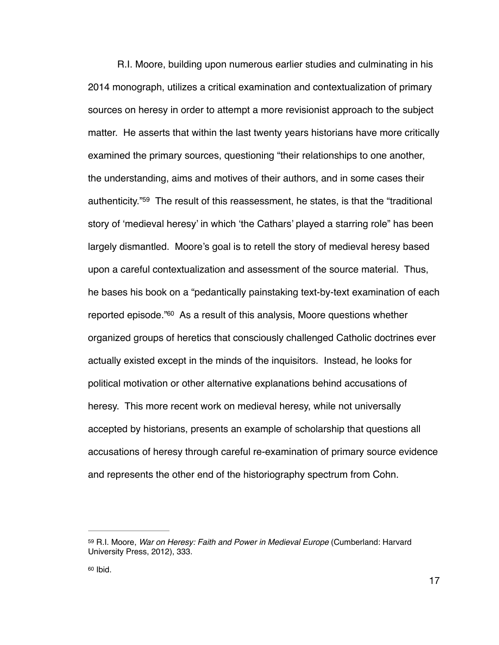<span id="page-22-2"></span>R.I. Moore, building upon numerous earlier studies and culminating in his 2014 monograph, utilizes a critical examination and contextualization of primary sources on heresy in order to attempt a more revisionist approach to the subject matter. He asserts that within the last twenty years historians have more critically examined the primary sources, questioning "their relationships to one another, the understanding, aims and motives of their authors, and in some cases their authenticity.["](#page-22-0)<sup>[59](#page-22-0)</sup> The result of this reassessment, he states, is that the "traditional story of 'medieval heresy' in which 'the Cathars' played a starring role" has been largely dismantled. Moore's goal is to retell the story of medieval heresy based upon a careful contextualization and assessment of the source material. Thus, he bases his book on a "pedantically painstaking text-by-text examination of each reported episode.<sup>["](#page-22-1)[60](#page-22-1)</sup> As a result of this analysis, Moore questions whether organized groups of heretics that consciously challenged Catholic doctrines ever actually existed except in the minds of the inquisitors. Instead, he looks for political motivation or other alternative explanations behind accusations of heresy. This more recent work on medieval heresy, while not universally accepted by historians, presents an example of scholarship that questions all accusations of heresy through careful re-examination of primary source evidence and represents the other end of the historiography spectrum from Cohn.

<span id="page-22-3"></span><span id="page-22-0"></span>[<sup>59</sup>](#page-22-2) R.I. Moore, War on Heresy: Faith and Power in Medieval Europe (Cumberland: Harvard University Press, 2012), 333.

<span id="page-22-1"></span> $60$  Ibid.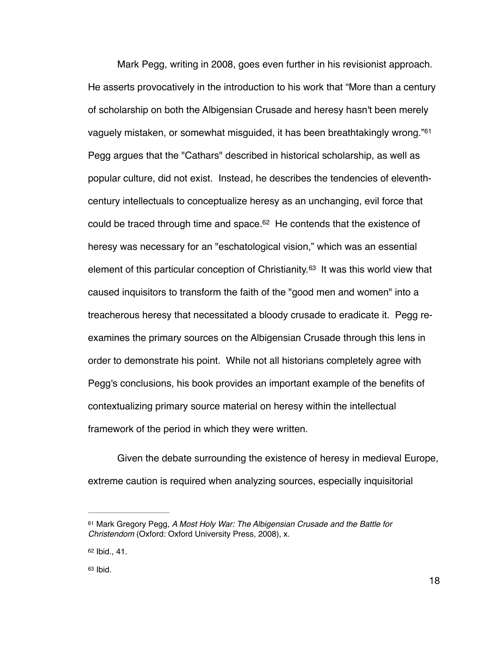<span id="page-23-4"></span><span id="page-23-3"></span>Mark Pegg, writing in 2008, goes even further in his revisionist approach. He asserts provocatively in the introduction to his work that "More than a century of scholarship on both the Albigensian Crusade and heresy hasn't been merely vaguely mistaken, or somewhat misguided, it has been breathtakingly wrong."<sup>61</sup> Pegg argues that the "Cathars" described in historical scholarship, as well as popular culture, did not exist. Instead, he describes the tendencies of eleventhcentury intellectuals to conceptualize heresy as an unchanging, evil force that could be traced through time and space[.](#page-23-1) $62$  He contends that the existence of heresy was necessary for an "eschatological vision," which was an essential element of this particular conception of Christianity.<sup>[63](#page-23-2)</sup> It was this world view that caused inquisitors to transform the faith of the "good men and women" into a treacherous heresy that necessitated a bloody crusade to eradicate it. Pegg reexamines the primary sources on the Albigensian Crusade through this lens in order to demonstrate his point. While not all historians completely agree with Pegg's conclusions, his book provides an important example of the benefits of contextualizing primary source material on heresy within the intellectual framework of the period in which they were written.

<span id="page-23-5"></span>Given the debate surrounding the existence of heresy in medieval Europe, extreme caution is required when analyzing sources, especially inquisitorial

<span id="page-23-0"></span><sup>&</sup>lt;sup>[61](#page-23-3)</sup> Mark Gregory Pegg, *A Most Holy War: The Albigensian Crusade and the Battle for Christendom* (Oxford: Oxford University Press, 2008), x.

<span id="page-23-1"></span> $62$  Ibid., 41.

<span id="page-23-2"></span> $63$  Ibid.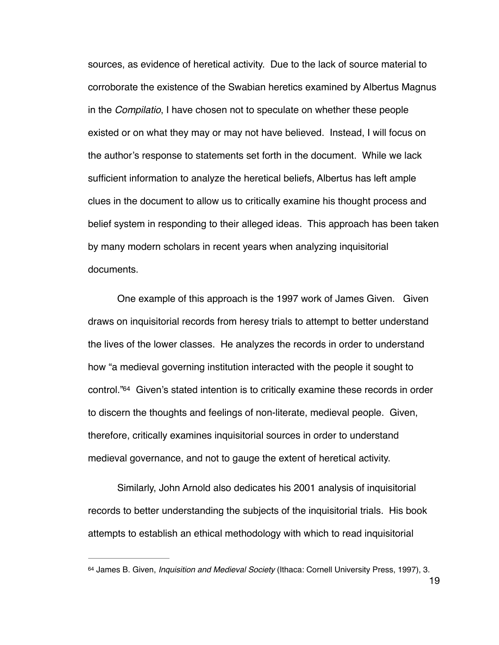sources, as evidence of heretical activity. Due to the lack of source material to corroborate the existence of the Swabian heretics examined by Albertus Magnus in the *Compilatio*, I have chosen not to speculate on whether these people existed or on what they may or may not have believed. Instead, I will focus on the author's response to statements set forth in the document. While we lack sufficient information to analyze the heretical beliefs, Albertus has left ample clues in the document to allow us to critically examine his thought process and belief system in responding to their alleged ideas. This approach has been taken by many modern scholars in recent years when analyzing inquisitorial documents.

<span id="page-24-1"></span>One example of this approach is the 1997 work of James Given. Given draws on inquisitorial records from heresy trials to attempt to better understand the lives of the lower classes. He analyzes the records in order to understand how "a medieval governing institution interacted with the people it sought to control.["](#page-24-0) $64$  Given's stated intention is to critically examine these records in order to discern the thoughts and feelings of non-literate, medieval people. Given, therefore, critically examines inquisitorial sources in order to understand medieval governance, and not to gauge the extent of heretical activity.

Similarly, John Arnold also dedicates his 2001 analysis of inquisitorial records to better understanding the subjects of the inquisitorial trials. His book attempts to establish an ethical methodology with which to read inquisitorial

<span id="page-24-0"></span>[<sup>64</sup>](#page-24-1) James B. Given, *Inquisition and Medieval Society* (Ithaca: Cornell University Press, 1997), 3.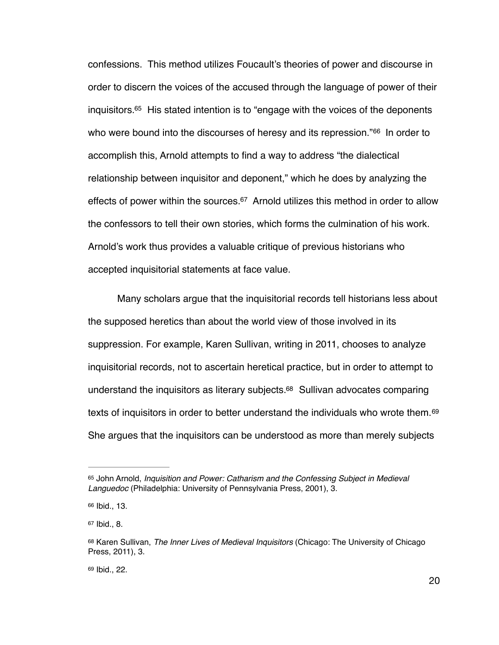<span id="page-25-6"></span><span id="page-25-5"></span>confessions. This method utilizes Foucault's theories of power and discourse in order to discern the voices of the accused through the language of power of their inquisitors[.](#page-25-0) $65$  His stated intention is to "engage with the voices of the deponents who were bound into the discourses of heresy and its repression." $66$  In order to accomplish this, Arnold attempts to find a way to address "the dialectical relationship between inquisitor and deponent," which he does by analyzing the effects of power within the sources[.](#page-25-2)<sup>[67](#page-25-2)</sup> Arnold utilizes this method in order to allow the confessors to tell their own stories, which forms the culmination of his work. Arnold's work thus provides a valuable critique of previous historians who accepted inquisitorial statements at face value.

<span id="page-25-8"></span><span id="page-25-7"></span>Many scholars argue that the inquisitorial records tell historians less about the supposed heretics than about the world view of those involved in its suppression. For example, Karen Sullivan, writing in 2011, chooses to analyze inquisitorial records, not to ascertain heretical practice, but in order to attempt to understand the inquisitors as literary subjects[.](#page-25-3) $68$  Sullivan advocates comparing texts of inquisitors in order to better understand the individuals who wrote them. [69](#page-25-4) She argues that the inquisitors can be understood as more than merely subjects

<span id="page-25-9"></span><span id="page-25-0"></span>[<sup>65</sup>](#page-25-5) John Arnold, *Inquisition and Power: Catharism and the Confessing Subject in Medieval Languedoc* (Philadelphia: University of Pennsylvania Press, 2001), 3.

<span id="page-25-1"></span>[<sup>66</sup>](#page-25-6) Ibid., 13.

<span id="page-25-2"></span> $67$  Ibid., 8.

<span id="page-25-3"></span>[<sup>68</sup>](#page-25-8) Karen Sullivan, *The Inner Lives of Medieval Inquisitors* (Chicago: The University of Chicago Press, 2011), 3.

<span id="page-25-4"></span>[<sup>69</sup>](#page-25-9) Ibid., 22.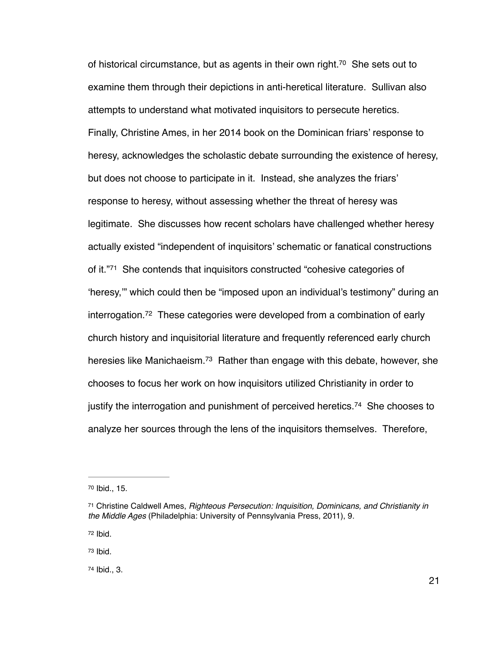<span id="page-26-6"></span><span id="page-26-5"></span>of historical circumstance, but as agents in their own right[.](#page-26-0)<sup>[70](#page-26-0)</sup> She sets out to examine them through their depictions in anti-heretical literature. Sullivan also attempts to understand what motivated inquisitors to persecute heretics. Finally, Christine Ames, in her 2014 book on the Dominican friars' response to heresy, acknowledges the scholastic debate surrounding the existence of heresy, but does not choose to participate in it. Instead, she analyzes the friars' response to heresy, without assessing whether the threat of heresy was legitimate. She discusses how recent scholars have challenged whether heresy actually existed "independent of inquisitors' schematic or fanatical constructions ofit."<sup>[71](#page-26-1)</sup> She contends that inquisitors constructed "cohesive categories of 'heresy,'" which could then be "imposed upon an individual's testimony" during an  $interrogation.72$  $interrogation.72$  These categories were developed from a combination of early church history and inquisitorial literature and frequently referenced early church heresies like Manichaeism.<sup>[73](#page-26-3)</sup> Rather than engage with this debate, however, she chooses to focus her work on how inquisitors utilized Christianity in order to justifythe interrogation and punishment of perceived heretics.<sup>[74](#page-26-4)</sup> She chooses to analyze her sources through the lens of the inquisitors themselves. Therefore,

<span id="page-26-2"></span>[72](#page-26-7) Ibid.

<span id="page-26-3"></span>[73](#page-26-8) Ibid.

<span id="page-26-4"></span>[74](#page-26-9) Ibid., 3.

<span id="page-26-9"></span><span id="page-26-8"></span><span id="page-26-7"></span><span id="page-26-0"></span>[<sup>70</sup>](#page-26-5) Ibid., 15.

<span id="page-26-1"></span>Christine Caldwell Ames, *Righteous Persecution: Inquisition, Dominicans, and Christianity in* [71](#page-26-6) *the Middle Ages* (Philadelphia: University of Pennsylvania Press, 2011), 9.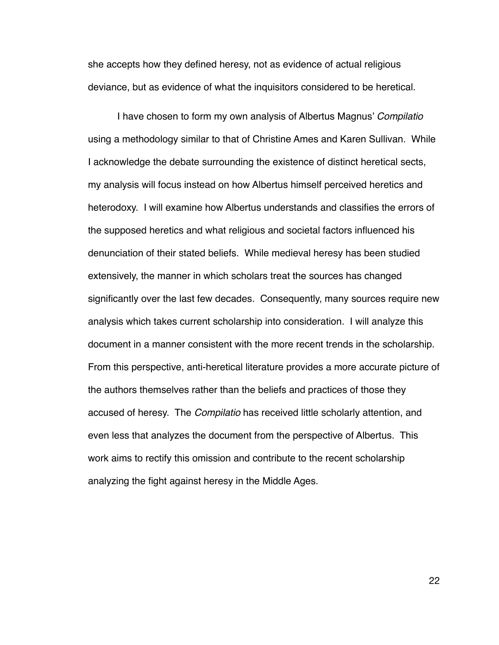she accepts how they defined heresy, not as evidence of actual religious deviance, but as evidence of what the inquisitors considered to be heretical.

I have chosen to form my own analysis of Albertus Magnus' *Compilatio*  using a methodology similar to that of Christine Ames and Karen Sullivan. While I acknowledge the debate surrounding the existence of distinct heretical sects, my analysis will focus instead on how Albertus himself perceived heretics and heterodoxy. I will examine how Albertus understands and classifies the errors of the supposed heretics and what religious and societal factors influenced his denunciation of their stated beliefs. While medieval heresy has been studied extensively, the manner in which scholars treat the sources has changed significantly over the last few decades. Consequently, many sources require new analysis which takes current scholarship into consideration. I will analyze this document in a manner consistent with the more recent trends in the scholarship. From this perspective, anti-heretical literature provides a more accurate picture of the authors themselves rather than the beliefs and practices of those they accused of heresy. The *Compilatio* has received little scholarly attention, and even less that analyzes the document from the perspective of Albertus. This work aims to rectify this omission and contribute to the recent scholarship analyzing the fight against heresy in the Middle Ages.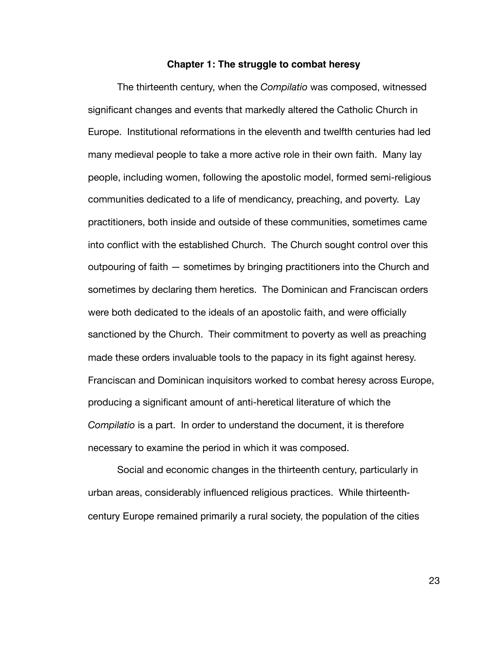#### **Chapter 1: The struggle to combat heresy**

The thirteenth century, when the *Compilatio* was composed, witnessed significant changes and events that markedly altered the Catholic Church in Europe. Institutional reformations in the eleventh and twelfth centuries had led many medieval people to take a more active role in their own faith. Many lay people, including women, following the apostolic model, formed semi-religious communities dedicated to a life of mendicancy, preaching, and poverty. Lay practitioners, both inside and outside of these communities, sometimes came into conflict with the established Church. The Church sought control over this outpouring of faith — sometimes by bringing practitioners into the Church and sometimes by declaring them heretics. The Dominican and Franciscan orders were both dedicated to the ideals of an apostolic faith, and were officially sanctioned by the Church. Their commitment to poverty as well as preaching made these orders invaluable tools to the papacy in its fight against heresy. Franciscan and Dominican inquisitors worked to combat heresy across Europe, producing a significant amount of anti-heretical literature of which the *Compilatio* is a part. In order to understand the document, it is therefore necessary to examine the period in which it was composed.

Social and economic changes in the thirteenth century, particularly in urban areas, considerably influenced religious practices. While thirteenthcentury Europe remained primarily a rural society, the population of the cities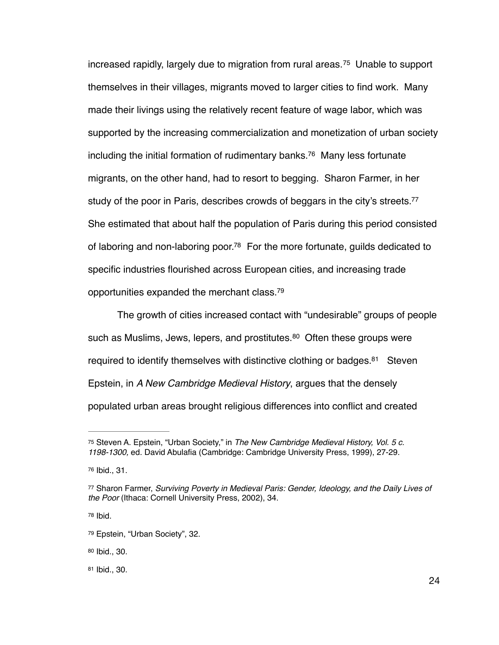<span id="page-29-8"></span><span id="page-29-7"></span>increasedrapidly, largely due to migration from rural areas.<sup>[75](#page-29-0)</sup> Unable to support themselves in their villages, migrants moved to larger cities to find work. Many made their livings using the relatively recent feature of wage labor, which was supported by the increasing commercialization and monetization of urban society including the initial formation of rudimentary banks[.](#page-29-1)<sup>[76](#page-29-1)</sup> Many less fortunate migrants, on the other hand, had to resort to begging. Sharon Farmer, in her study of the poor in Paris, describes crowds of beggars in the city's streets[.](#page-29-2)<sup>[77](#page-29-2)</sup> She estimated that about half the population of Paris during this period consisted of laboring and non-laboring poor[.](#page-29-3)<sup>[78](#page-29-3)</sup> For the more fortunate, guilds dedicated to specific industries flourished across European cities, and increasing trade opportunities expanded the merchant class[.](#page-29-4) [79](#page-29-4)

<span id="page-29-13"></span><span id="page-29-12"></span><span id="page-29-11"></span><span id="page-29-10"></span><span id="page-29-9"></span>The growth of cities increased contact with "undesirable" groups of people suchas Muslims, Jews, lepers, and prostitutes. $80\sigma$  $80\sigma$  Often these groups were required to identify themselves with distinctive clothing or badges[.](#page-29-6) $81$  Steven Epstein, in *A New Cambridge Medieval History*, argues that the densely populated urban areas brought religious differences into conflict and created

<span id="page-29-3"></span> $78$  Ibid.

<span id="page-29-0"></span>Steven A. Epstein, "Urban Society," in *The New Cambridge Medieval History, Vol. 5 c.* [75](#page-29-7) *1198-1300,* ed. David Abulafia (Cambridge: Cambridge University Press, 1999), 27-29.

<span id="page-29-1"></span><sup>&</sup>lt;sup>[76](#page-29-8)</sup> Ibid., 31.

<span id="page-29-2"></span>Sharon Farmer, *Surviving Poverty in Medieval Paris: Gender, Ideology, and the Daily Lives of* [77](#page-29-9) *the Poor* (Ithaca: Cornell University Press, 2002), 34.

<span id="page-29-4"></span>[<sup>79</sup>](#page-29-11) Epstein, "Urban Society", 32.

<span id="page-29-5"></span>[<sup>80</sup>](#page-29-12) Ibid., 30.

<span id="page-29-6"></span>[<sup>81</sup>](#page-29-13) Ibid., 30.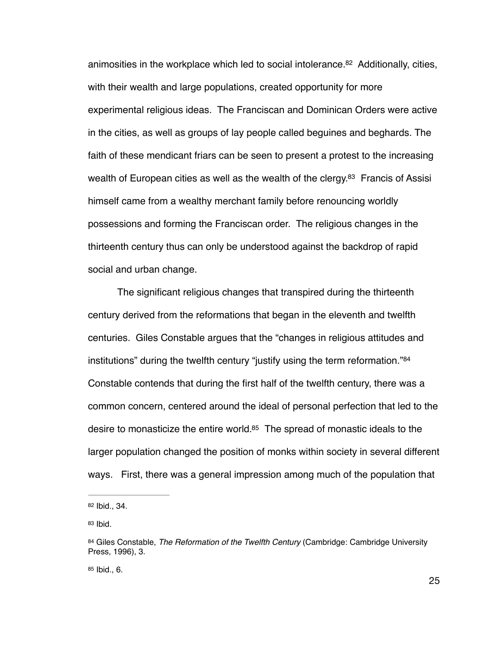<span id="page-30-5"></span><span id="page-30-4"></span>animosities in the workplace which led to social intolerance[.](#page-30-0)<sup>[82](#page-30-0)</sup> Additionally, cities, with their wealth and large populations, created opportunity for more experimental religious ideas. The Franciscan and Dominican Orders were active in the cities, as well as groups of lay people called beguines and beghards. The faith of these mendicant friars can be seen to present a protest to the increasing wealth of European cities as well as the wealth of the clergy[.](#page-30-1)<sup>[83](#page-30-1)</sup> Francis of Assisi himself came from a wealthy merchant family before renouncing worldly possessions and forming the Franciscan order. The religious changes in the thirteenth century thus can only be understood against the backdrop of rapid social and urban change.

<span id="page-30-6"></span>The significant religious changes that transpired during the thirteenth century derived from the reformations that began in the eleventh and twelfth centuries. Giles Constable argues that the "changes in religious attitudes and institutions" during the twelfth century "justify using the term reformation."<sup>84</sup> Constable contends that during the first half of the twelfth century, there was a common concern, centered around the ideal of personal perfection that led to the desire to monasticize the entire world[.](#page-30-3) $85$  The spread of monastic ideals to the larger population changed the position of monks within society in several different ways. First, there was a general impression among much of the population that

<span id="page-30-3"></span> $85$  Ibid., 6.

<span id="page-30-7"></span><span id="page-30-0"></span>[<sup>82</sup>](#page-30-4) Ibid., 34.

<span id="page-30-1"></span>[<sup>83</sup>](#page-30-5) Ibid.

<span id="page-30-2"></span>[<sup>84</sup>](#page-30-6) Giles Constable, *The Reformation of the Twelfth Century* (Cambridge: Cambridge University Press, 1996), 3.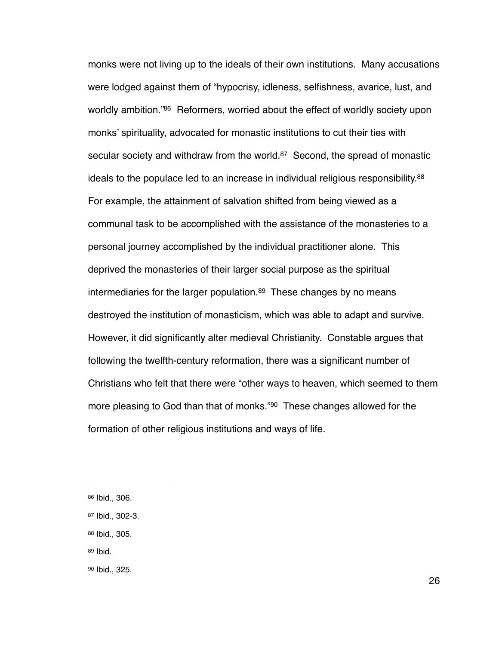<span id="page-31-7"></span><span id="page-31-6"></span><span id="page-31-5"></span>monks were not living up to the ideals of their own institutions. Many accusations were lodged against them of "hypocrisy, idleness, selfishness, avarice, lust, and worldly ambition.["](#page-31-0)<sup>[86](#page-31-0)</sup> Reformers, worried about the effect of worldly society upon monks' spirituality, advocated for monastic institutions to cut their ties with secular society and withdraw from the world. $87$  Second, the spread of monastic ideals to the populace led to an increase in individual religious responsibility. $88$ For example, the attainment of salvation shifted from being viewed as a communal task to be accomplished with the assistance of the monasteries to a personal journey accomplished by the individual practitioner alone. This deprived the monasteries of their larger social purpose as the spiritual intermediariesfor the larger population. $89$  These changes by no means destroyed the institution of monasticism, which was able to adapt and survive. However, it did significantly alter medieval Christianity. Constable argues that following the twelfth-century reformation, there was a significant number of Christians who felt that there were "other ways to heaven, which seemed to them more pleasing to God than that of monks.["](#page-31-4)<sup>[90](#page-31-4)</sup> These changes allowed for the formation of other religious institutions and ways of life.

- <span id="page-31-2"></span>[88](#page-31-7) Ibid., 305.
- <span id="page-31-3"></span>[89](#page-31-8) Ibid.

<span id="page-31-9"></span><span id="page-31-8"></span><span id="page-31-0"></span>[<sup>86</sup>](#page-31-5) Ibid., 306.

<span id="page-31-1"></span>[<sup>87</sup>](#page-31-6) Ibid., 302-3.

<span id="page-31-4"></span>[<sup>90</sup>](#page-31-9) Ibid., 325.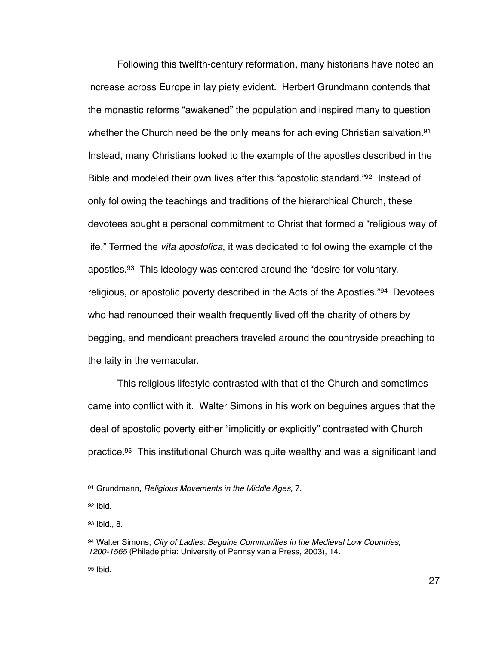<span id="page-32-6"></span><span id="page-32-5"></span>Following this twelfth-century reformation, many historians have noted an increase across Europe in lay piety evident. Herbert Grundmann contends that the monastic reforms "awakened" the population and inspired many to question whether the Church need be the only means for achieving Christian salvation[.](#page-32-0)<sup>[91](#page-32-0)</sup> Instead, many Christians looked to the example of the apostles described in the Bible and modeled their own lives after this ["](#page-32-1)apostolic standard." [92](#page-32-1) Instead of only following the teachings and traditions of the hierarchical Church, these devotees sought a personal commitment to Christ that formed a "religious way of life." Termed the *vita apostolica*, it was dedicated to following the example of the apostles[.](#page-32-2)  $93$  This ideology was centered around the "desire for voluntary, religious,or apostolic poverty described in the Acts of the Apostles." $94$  Devotees who had renounced their wealth frequently lived off the charity of others by begging, and mendicant preachers traveled around the countryside preaching to the laity in the vernacular.

<span id="page-32-8"></span><span id="page-32-7"></span>This religious lifestyle contrasted with that of the Church and sometimes came into conflict with it. Walter Simons in his work on beguines argues that the ideal of apostolic poverty either "implicitly or explicitly" contrasted with Church practice[.](#page-32-4)<sup>[95](#page-32-4)</sup> This institutional Church was quite wealthy and was a significant land

<span id="page-32-4"></span>[95](#page-32-9) Ibid.

<span id="page-32-9"></span><span id="page-32-0"></span>[<sup>91</sup>](#page-32-5) Grundmann, *Religious Movements in the Middle Ages*, 7.

<span id="page-32-1"></span> $92$  Ibid.

<span id="page-32-2"></span>[<sup>93</sup>](#page-32-7) Ibid., 8.

<span id="page-32-3"></span>[<sup>94</sup>](#page-32-8) Walter Simons, *City of Ladies: Bequine Communities in the Medieval Low Countries, 1200-1565* (Philadelphia: University of Pennsylvania Press, 2003), 14.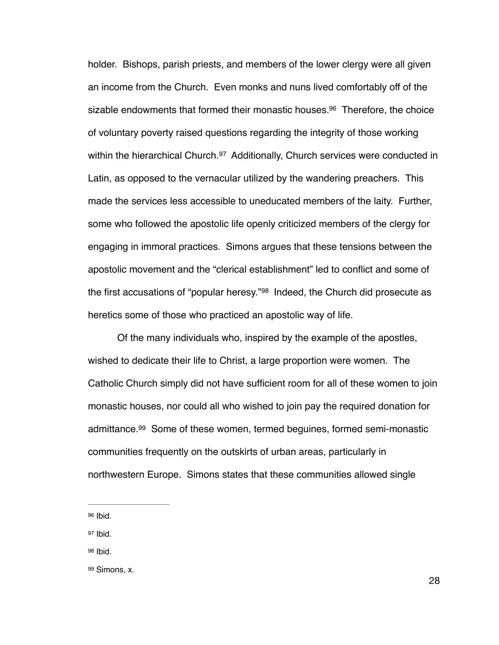<span id="page-33-5"></span><span id="page-33-4"></span>holder. Bishops, parish priests, and members of the lower clergy were all given an income from the Church. Even monks and nuns lived comfortably off of the sizable endowments that formed their monastic houses[.](#page-33-0)<sup>[96](#page-33-0)</sup> Therefore, the choice of voluntary poverty raised questions regarding the integrity of those working withinthe hierarchical Church.  $97$  Additionally, Church services were conducted in Latin, as opposed to the vernacular utilized by the wandering preachers. This made the services less accessible to uneducated members of the laity. Further, some who followed the apostolic life openly criticized members of the clergy for engaging in immoral practices. Simons argues that these tensions between the apostolic movement and the "clerical establishment" led to conflict and some of the first accusations of "popular heresy." <sup>[98](#page-33-2)</sup> Indeed, the Church did prosecute as heretics some of those who practiced an apostolic way of life.

<span id="page-33-6"></span>Of the many individuals who, inspired by the example of the apostles, wished to dedicate their life to Christ, a large proportion were women. The Catholic Church simply did not have sufficient room for all of these women to join monastic houses, nor could all who wished to join pay the required donation for admittance.<sup>[99](#page-33-3)</sup> Some of these women, termed beguines, formed semi-monastic communities frequently on the outskirts of urban areas, particularly in northwestern Europe. Simons states that these communities allowed single

<span id="page-33-1"></span>[97](#page-33-5) Ibid.

<span id="page-33-2"></span>[98](#page-33-6) Ibid.

<span id="page-33-7"></span><span id="page-33-0"></span>[<sup>96</sup>](#page-33-4) Ibid.

<span id="page-33-3"></span>[<sup>99</sup>](#page-33-7) Simons, x.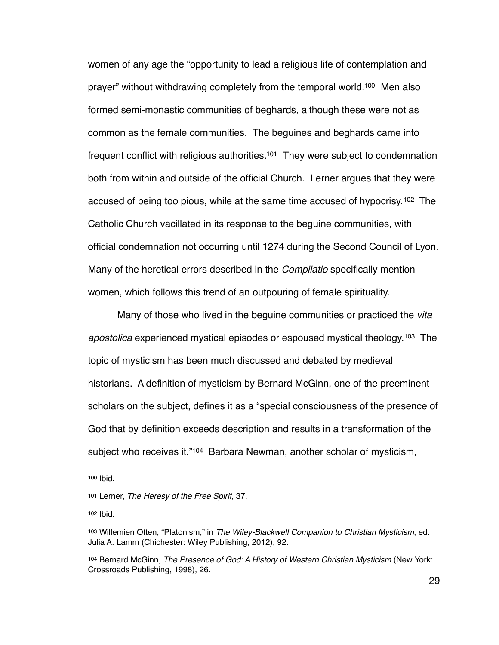<span id="page-34-6"></span><span id="page-34-5"></span>women of any age the "opportunity to lead a religious life of contemplation and prayer" without withdrawing completely from the temporal world.<sup>[100](#page-34-0)</sup> Men also formed semi-monastic communities of beghards, although these were not as common as the female communities. The beguines and beghards came into frequent conflict with religious authorities.<sup>[101](#page-34-1)</sup> They were subject to condemnation both from within and outside of the official Church. Lerner argues that they were accused of being too pious, while at the same time accused of hypocrisy.<sup>[102](#page-34-2)</sup> The Catholic Church vacillated in its response to the beguine communities, with official condemnation not occurring until 1274 during the Second Council of Lyon. Many of the heretical errors described in the *Compilatio* specifically mention women, which follows this trend of an outpouring of female spirituality.

<span id="page-34-8"></span><span id="page-34-7"></span>Many of those who lived in the beguine communities or practiced the *vita apostolica* experienced mystical episodes or espoused mystical theology[.](#page-34-3)<sup>[103](#page-34-3)</sup> The topic of mysticism has been much discussed and debated by medieval historians. A definition of mysticism by Bernard McGinn, one of the preeminent scholars on the subject, defines it as a "special consciousness of the presence of God that by definition exceeds description and results in a transformation of the subject who receives it.["](#page-34-4)<sup>[104](#page-34-4)</sup> Barbara Newman, another scholar of mysticism,

<span id="page-34-9"></span><span id="page-34-0"></span>[<sup>100</sup>](#page-34-5) Ibid.

<span id="page-34-1"></span>[<sup>101</sup>](#page-34-6) Lerner, *The Heresy of the Free Spirit*, 37.

<span id="page-34-2"></span>[<sup>102</sup>](#page-34-7) **Ibid.** 

<span id="page-34-3"></span>[<sup>103</sup>](#page-34-8) Willemien Otten, "Platonism," in The Wiley-Blackwell Companion to Christian Mysticism, ed. Julia A. Lamm (Chichester: Wiley Publishing, 2012), 92.

<span id="page-34-4"></span>[<sup>104</sup>](#page-34-9) Bernard McGinn, *The Presence of God: A History of Western Christian Mysticism* (New York: Crossroads Publishing, 1998), 26.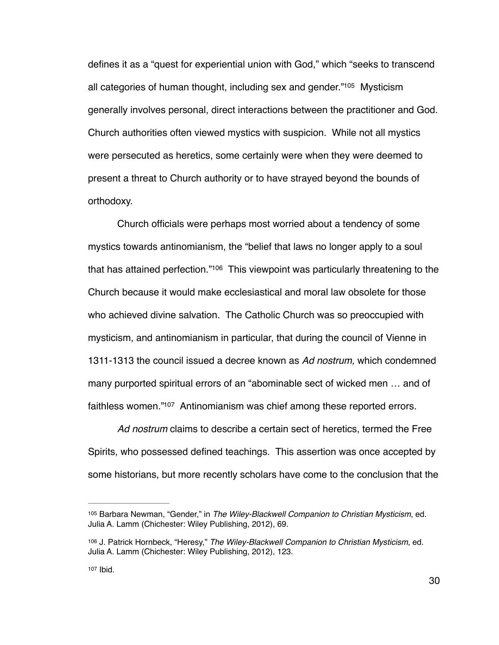<span id="page-35-3"></span>defines it as a "quest for experiential union with God," which "seeks to transcend all categories of human thought, including sex and gender. $\frac{n_{105}}{105}$  $\frac{n_{105}}{105}$  $\frac{n_{105}}{105}$  Mysticism generally involves personal, direct interactions between the practitioner and God. Church authorities often viewed mystics with suspicion. While not all mystics were persecuted as heretics, some certainly were when they were deemed to present a threat to Church authority or to have strayed beyond the bounds of orthodoxy.

<span id="page-35-4"></span>Church officials were perhaps most worried about a tendency of some mystics towards antinomianism, the "belief that laws no longer apply to a soul that has attained perfection.["](#page-35-1) $106$  This viewpoint was particularly threatening to the Church because it would make ecclesiastical and moral law obsolete for those who achieved divine salvation. The Catholic Church was so preoccupied with mysticism, and antinomianism in particular, that during the council of Vienne in 1311-1313 the council issued a decree known as *Ad nostrum,* which condemned many purported spiritual errors of an "abominable sect of wicked men … and of faithless women. $107$  Antinomianism was chief among these reported errors.

<span id="page-35-5"></span>*Ad nostrum* claims to describe a certain sect of heretics, termed the Free Spirits, who possessed defined teachings. This assertion was once accepted by some historians, but more recently scholars have come to the conclusion that the

<span id="page-35-0"></span>[<sup>105</sup>](#page-35-3) Barbara Newman, "Gender," in *The Wiley-Blackwell Companion to Christian Mysticism*, ed. Julia A. Lamm (Chichester: Wiley Publishing, 2012), 69.

<span id="page-35-2"></span><span id="page-35-1"></span>[<sup>106</sup>](#page-35-4) J. Patrick Hornbeck, "Heresy," The Wiley-Blackwell Companion to Christian Mysticism, ed. Julia A. Lamm (Chichester: Wiley Publishing, 2012), 123.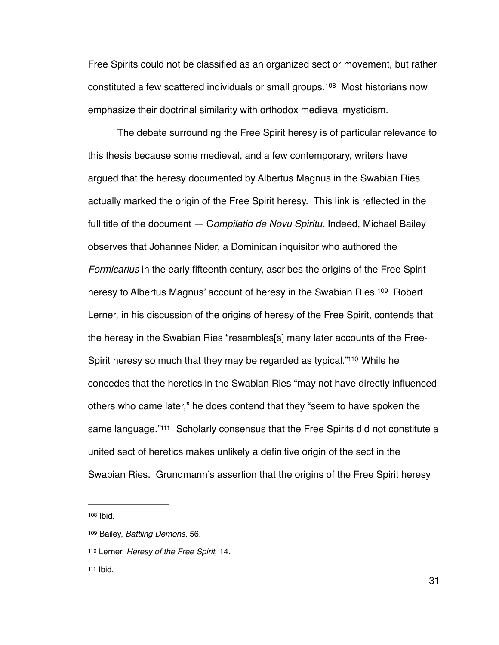<span id="page-36-4"></span>Free Spirits could not be classified as an organized sect or movement, but rather constituted a few scattered individuals or small groups.<sup>[108](#page-36-0)</sup> Most historians now emphasize their doctrinal similarity with orthodox medieval mysticism.

<span id="page-36-5"></span>The debate surrounding the Free Spirit heresy is of particular relevance to this thesis because some medieval, and a few contemporary, writers have argued that the heresy documented by Albertus Magnus in the Swabian Ries actually marked the origin of the Free Spirit heresy. This link is reflected in the full title of the document — C*ompilatio de Novu Spiritu.* Indeed, Michael Bailey observes that Johannes Nider, a Dominican inquisitor who authored the *Formicarius* in the early fifteenth century, ascribes the origins of the Free Spirit heresy to Albertus Magnus' account of heresy in the Swabian Ries[.](#page-36-1)<sup>[109](#page-36-1)</sup> Robert Lerner, in his discussion of the origins of heresy of the Free Spirit, contends that the heresy in the Swabian Ries "resembles[s] many later accounts of the Free-Spirit heresy so much that they may be regarded as typical.["](#page-36-2)<sup>[110](#page-36-2)</sup> While he concedes that the heretics in the Swabian Ries "may not have directly influenced others who came later," he does contend that they "seem to have spoken the same language."<sup>[111](#page-36-3)</sup> Scholarly consensus that the Free Spirits did not constitute a united sect of heretics makes unlikely a definitive origin of the sect in the Swabian Ries. Grundmann's assertion that the origins of the Free Spirit heresy

<span id="page-36-7"></span><span id="page-36-6"></span><span id="page-36-0"></span>[108](#page-36-4) Ibid.

<span id="page-36-1"></span>[<sup>109</sup>](#page-36-5) Bailey, *Battling Demons*, 56.

<span id="page-36-2"></span>[<sup>110</sup>](#page-36-6) Lerner, *Heresy of the Free Spirit*, 14.

<span id="page-36-3"></span> $111$  Ibid.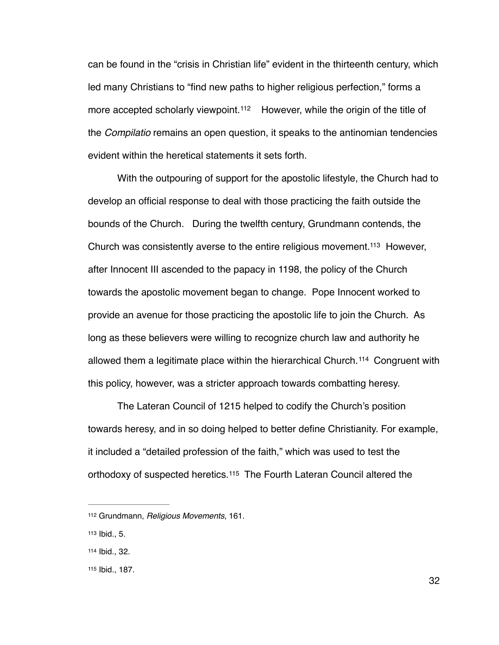<span id="page-37-4"></span>can be found in the "crisis in Christian life" evident in the thirteenth century, which led many Christians to "find new paths to higher religious perfection," forms a moreaccepted scholarly viewpoint.<sup>[112](#page-37-0)</sup> However, while the origin of the title of the *Compilatio* remains an open question, it speaks to the antinomian tendencies evident within the heretical statements it sets forth.

<span id="page-37-5"></span>With the outpouring of support for the apostolic lifestyle, the Church had to develop an official response to deal with those practicing the faith outside the bounds of the Church. During the twelfth century, Grundmann contends, the Church was consistently averse to the entire religious movement.<sup>[113](#page-37-1)</sup> However, after Innocent III ascended to the papacy in 1198, the policy of the Church towards the apostolic movement began to change. Pope Innocent worked to provide an avenue for those practicing the apostolic life to join the Church. As long as these believers were willing to recognize church law and authority he allowed them a legitimate place within the hierarchical Church.<sup>[114](#page-37-2)</sup> Congruent with this policy, however, was a stricter approach towards combatting heresy.

<span id="page-37-6"></span>The Lateran Council of 1215 helped to codify the Church's position towards heresy, and in so doing helped to better define Christianity. For example, it included a "detailed profession of the faith," which was used to test the orthodoxyof suspected heretics.<sup>[115](#page-37-3)</sup> The Fourth Lateran Council altered the

<span id="page-37-7"></span><span id="page-37-0"></span>[<sup>112</sup>](#page-37-4) Grundmann, *Religious Movements*, 161.

<span id="page-37-1"></span>[<sup>113</sup>](#page-37-5) Ibid., 5.

<span id="page-37-2"></span>[<sup>114</sup>](#page-37-6) Ibid., 32.

<span id="page-37-3"></span>[<sup>115</sup>](#page-37-7) Ibid., 187.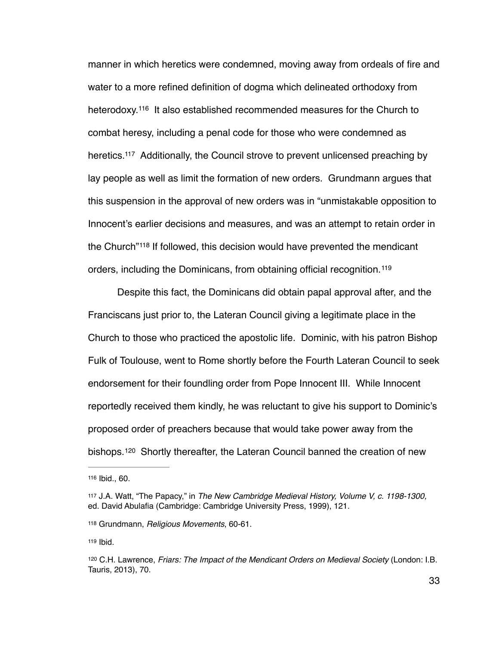<span id="page-38-6"></span><span id="page-38-5"></span>manner in which heretics were condemned, moving away from ordeals of fire and water to a more refined definition of dogma which delineated orthodoxy from heterodoxy.<sup>116</sup>It also established recommended measures for the Church to combat heresy, including a penal code for those who were condemned as heretics[.](#page-38-1)<sup>[117](#page-38-1)</sup> Additionally, the Council strove to prevent unlicensed preaching by lay people as well as limit the formation of new orders. Grundmann argues that this suspension in the approval of new orders was in "unmistakable opposition to Innocent's earlier decisions and measures, and was an attempt to retain order in the Church<sup>"[118](#page-38-2)</sup> If followed, this decision would have prevented the mendicant orders, including the Dominicans, from obtaining official recognition. [119](#page-38-3)

<span id="page-38-8"></span><span id="page-38-7"></span>Despite this fact, the Dominicans did obtain papal approval after, and the Franciscans just prior to, the Lateran Council giving a legitimate place in the Church to those who practiced the apostolic life. Dominic, with his patron Bishop Fulk of Toulouse, went to Rome shortly before the Fourth Lateran Council to seek endorsement for their foundling order from Pope Innocent III. While Innocent reportedly received them kindly, he was reluctant to give his support to Dominic's proposed order of preachers because that would take power away from the bishops.<sup>[120](#page-38-4)</sup> Shortly thereafter, the Lateran Council banned the creation of new

<span id="page-38-9"></span><span id="page-38-0"></span>[<sup>116</sup>](#page-38-5) Ibid., 60.

<span id="page-38-1"></span>[<sup>117</sup>](#page-38-6) J.A. Watt, "The Papacy," in *The New Cambridge Medieval History, Volume V, c. 1198-1300*, ed. David Abulafia (Cambridge: Cambridge University Press, 1999), 121.

<span id="page-38-2"></span>[<sup>118</sup>](#page-38-7) Grundmann, *Religious Movements*, 60-61.

<span id="page-38-3"></span>[<sup>119</sup>](#page-38-8) Ibid.

<span id="page-38-4"></span><sup>&</sup>lt;sup>[120](#page-38-9)</sup> C.H. Lawrence, *Friars: The Impact of the Mendicant Orders on Medieval Society* (London: I.B. Tauris, 2013), 70.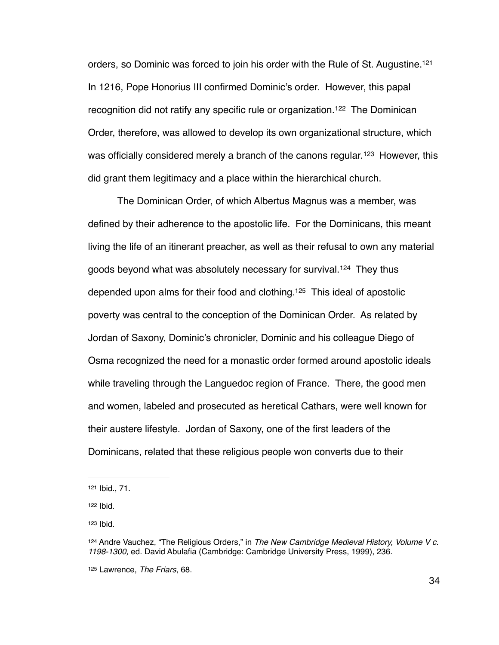<span id="page-39-6"></span><span id="page-39-5"></span>orders, so Dominic was forced to join his order with the Rule of St. Augustine[. 121](#page-39-0) In 1216, Pope Honorius III confirmed Dominic's order. However, this papal recognition did not ratify any specific rule or organization.<sup>[122](#page-39-1)</sup> The Dominican Order, therefore, was allowed to develop its own organizational structure, which wasofficially considered merely a branch of the canons regular.<sup>[123](#page-39-2)</sup> However, this did grant them legitimacy and a place within the hierarchical church.

<span id="page-39-9"></span><span id="page-39-8"></span><span id="page-39-7"></span>The Dominican Order, of which Albertus Magnus was a member, was defined by their adherence to the apostolic life. For the Dominicans, this meant living the life of an itinerant preacher, as well as their refusal to own any material goods beyond what was absolutely necessary for survival.<sup>[124](#page-39-3)</sup> They thus depended upon alms for their food and clothing.<sup>[125](#page-39-4)</sup> This ideal of apostolic poverty was central to the conception of the Dominican Order. As related by Jordan of Saxony, Dominic's chronicler, Dominic and his colleague Diego of Osma recognized the need for a monastic order formed around apostolic ideals while traveling through the Languedoc region of France. There, the good men and women, labeled and prosecuted as heretical Cathars, were well known for their austere lifestyle. Jordan of Saxony, one of the first leaders of the Dominicans, related that these religious people won converts due to their

<span id="page-39-2"></span>[123](#page-39-7) Ibid.

<span id="page-39-0"></span>[<sup>121</sup>](#page-39-5) Ibid., 71.

<span id="page-39-1"></span> $122$  lbid.

<span id="page-39-3"></span>[<sup>124</sup>](#page-39-8) Andre Vauchez, "The Religious Orders," in The New Cambridge Medieval History, Volume V c. *1198-1300,* ed. David Abulafia (Cambridge: Cambridge University Press, 1999), 236.

<span id="page-39-4"></span>[<sup>125</sup>](#page-39-9) Lawrence, *The Friars*, 68.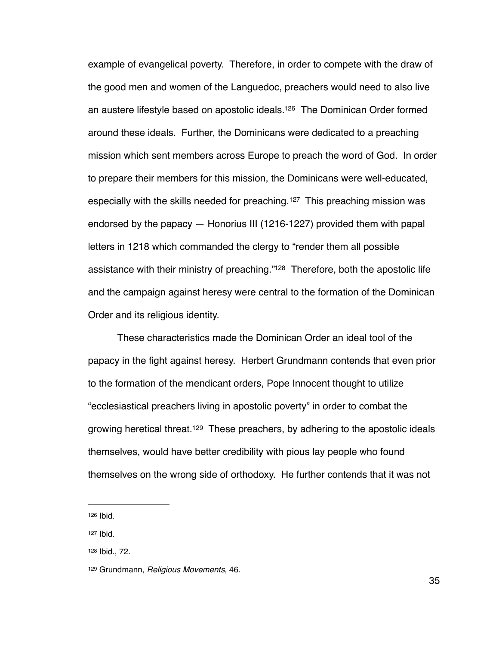<span id="page-40-5"></span><span id="page-40-4"></span>example of evangelical poverty. Therefore, in order to compete with the draw of the good men and women of the Languedoc, preachers would need to also live an austere lifestyle based on apostolic ideals.<sup>[126](#page-40-0)</sup> The Dominican Order formed around these ideals. Further, the Dominicans were dedicated to a preaching mission which sent members across Europe to preach the word of God. In order to prepare their members for this mission, the Dominicans were well-educated, especially with the skills needed for preaching.<sup>[127](#page-40-1)</sup> This preaching mission was endorsed by the papacy — Honorius III (1216-1227) provided them with papal letters in 1218 which commanded the clergy to "render them all possible assistance with their ministry of preaching."<sup>[128](#page-40-2)</sup> Therefore, both the apostolic life and the campaign against heresy were central to the formation of the Dominican Order and its religious identity.

<span id="page-40-6"></span>These characteristics made the Dominican Order an ideal tool of the papacy in the fight against heresy. Herbert Grundmann contends that even prior to the formation of the mendicant orders, Pope Innocent thought to utilize "ecclesiastical preachers living in apostolic poverty" in order to combat the growing heretical threat[.](#page-40-3)<sup>[129](#page-40-3)</sup> These preachers, by adhering to the apostolic ideals themselves, would have better credibility with pious lay people who found themselves on the wrong side of orthodoxy. He further contends that it was not

<span id="page-40-7"></span><span id="page-40-0"></span> $126$  Ibid.

<span id="page-40-1"></span>[<sup>127</sup>](#page-40-5) Ibid.

<span id="page-40-2"></span>[<sup>128</sup>](#page-40-6) Ibid., 72.

<span id="page-40-3"></span>[<sup>129</sup>](#page-40-7) Grundmann, *Religious Movements*, 46.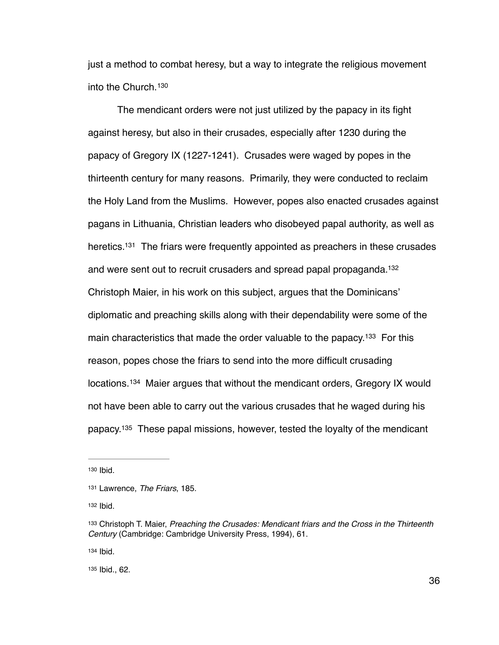<span id="page-41-6"></span>just a method to combat heresy, but a way to integrate the religious movement into the Church.[130](#page-41-0)

<span id="page-41-8"></span><span id="page-41-7"></span>The mendicant orders were not just utilized by the papacy in its fight against heresy, but also in their crusades, especially after 1230 during the papacy of Gregory IX (1227-1241). Crusades were waged by popes in the thirteenth century for many reasons. Primarily, they were conducted to reclaim the Holy Land from the Muslims. However, popes also enacted crusades against pagans in Lithuania, Christian leaders who disobeyed papal authority, as well as heretics.<sup>[131](#page-41-1)</sup> The friars were frequently appointed as preachers in these crusades and were sent out to recruit crusaders and spread papal propaganda[. 132](#page-41-2) Christoph Maier, in his work on this subject, argues that the Dominicans' diplomatic and preaching skills along with their dependability were some of the main characteristics that made the order valuable to the papacy.  $133$  For this reason, popes chose the friars to send into the more difficult crusading locations.<sup>[134](#page-41-4)</sup> Maier argues that without the mendicant orders, Gregory IX would not have been able to carry out the various crusades that he waged during his papacy[.](#page-41-5)<sup>[135](#page-41-5)</sup> These papal missions, however, tested the loyalty of the mendicant

<span id="page-41-2"></span> $132$  Ibid.

<span id="page-41-4"></span>[134](#page-41-10) **Ibid.** 

<span id="page-41-5"></span>[135](#page-41-11) Ibid., 62.

<span id="page-41-11"></span><span id="page-41-10"></span><span id="page-41-9"></span><span id="page-41-0"></span>[<sup>130</sup>](#page-41-6) Ibid.

<span id="page-41-1"></span>[<sup>131</sup>](#page-41-7) Lawrence, *The Friars*, 185.

<span id="page-41-3"></span>Christoph T. Maier, *Preaching the Crusades: Mendicant friars and the Cross in the Thirteenth* [133](#page-41-9) *Century* (Cambridge: Cambridge University Press, 1994), 61.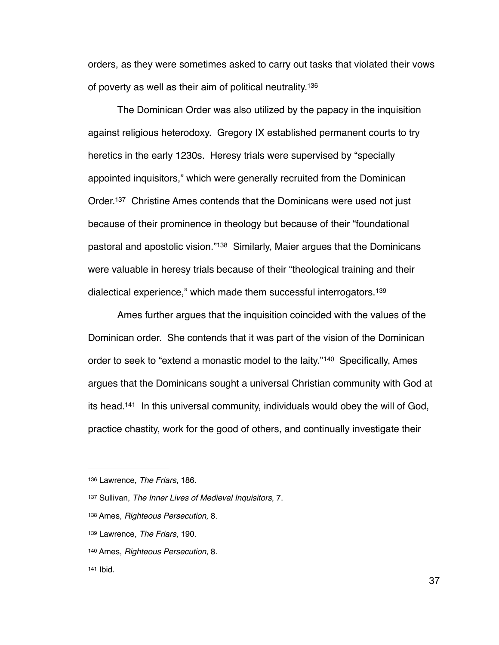<span id="page-42-6"></span>orders, as they were sometimes asked to carry out tasks that violated their vows of poverty as well as their aim of political neutrality[. 136](#page-42-0)

<span id="page-42-7"></span>The Dominican Order was also utilized by the papacy in the inquisition against religious heterodoxy. Gregory IX established permanent courts to try heretics in the early 1230s. Heresy trials were supervised by "specially appointed inquisitors," which were generally recruited from the Dominican Order.<sup>[137](#page-42-1)</sup> Christine Ames contends that the Dominicans were used not just because of their prominence in theology but because of their "foundational pastoral and apostolic vision.["](#page-42-2)<sup>[138](#page-42-2)</sup> Similarly, Maier argues that the Dominicans were valuable in heresy trials because of their "theological training and their dialectical experience," which made them successful interrogators. [139](#page-42-3)

<span id="page-42-10"></span><span id="page-42-9"></span><span id="page-42-8"></span>Ames further argues that the inquisition coincided with the values of the Dominican order. She contends that it was part of the vision of the Dominican orderto seek to "extend a monastic model to the laity."<sup>[140](#page-42-4)</sup> Specifically, Ames argues that the Dominicans sought a universal Christian community with God at its head.<sup>[141](#page-42-5)</sup> In this universal community, individuals would obey the will of God, practice chastity, work for the good of others, and continually investigate their

<span id="page-42-11"></span><span id="page-42-0"></span>[<sup>136</sup>](#page-42-6) Lawrence, *The Friars*, 186.

<span id="page-42-1"></span>[<sup>137</sup>](#page-42-7) Sullivan, *The Inner Lives of Medieval Inquisitors*, 7.

<span id="page-42-2"></span>Ames, *Righteous Persecution,* 8. [138](#page-42-8)

<span id="page-42-3"></span>[<sup>139</sup>](#page-42-9) Lawrence, *The Friars*, 190.

<span id="page-42-4"></span>Ames, *Righteous Persecution*, 8. [140](#page-42-10)

<span id="page-42-5"></span>[<sup>141</sup>](#page-42-11) Ibid.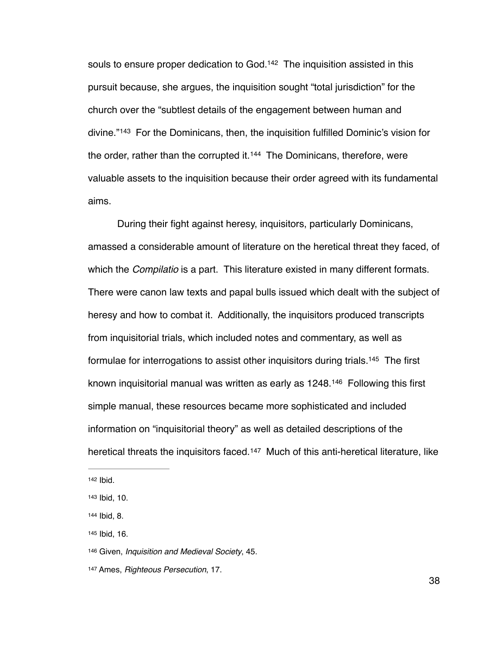<span id="page-43-7"></span><span id="page-43-6"></span>souls to ensure proper dedication to God.<sup>[142](#page-43-0)</sup> The inquisition assisted in this pursuit because, she argues, the inquisition sought "total jurisdiction" for the church over the "subtlest details of the engagement between human and divine."<sup>[143](#page-43-1)</sup> For the Dominicans, then, the inquisition fulfilled Dominic's vision for the order, rather than the corrupted it.  $144$  The Dominicans, therefore, were valuable assets to the inquisition because their order agreed with its fundamental aims.

<span id="page-43-8"></span>During their fight against heresy, inquisitors, particularly Dominicans, amassed a considerable amount of literature on the heretical threat they faced, of which the *Compilatio* is a part. This literature existed in many different formats. There were canon law texts and papal bulls issued which dealt with the subject of heresy and how to combat it. Additionally, the inquisitors produced transcripts from inquisitorial trials, which included notes and commentary, as well as formulae for interrogations to assist other inquisitors during trials.<sup>[145](#page-43-3)</sup> The first known inquisitorial manual was written as early as  $1248$ .<sup>[146](#page-43-4)</sup> Following this first simple manual, these resources became more sophisticated and included information on "inquisitorial theory" as well as detailed descriptions of the heretical threats the inquisitors faced.<sup>[147](#page-43-5)</sup> Much of this anti-heretical literature, like

<span id="page-43-11"></span><span id="page-43-10"></span><span id="page-43-9"></span><span id="page-43-0"></span>[<sup>142</sup>](#page-43-6) **Ibid.** 

<span id="page-43-1"></span>[<sup>143</sup>](#page-43-7) Ibid, 10.

<span id="page-43-2"></span>[<sup>144</sup>](#page-43-8) Ibid, 8.

<span id="page-43-3"></span>[<sup>145</sup>](#page-43-9) Ibid, 16.

<span id="page-43-4"></span>[<sup>146</sup>](#page-43-10) Given, *Inquisition and Medieval Society*, 45.

<span id="page-43-5"></span>[<sup>147</sup>](#page-43-11) Ames, *Righteous Persecution*, 17.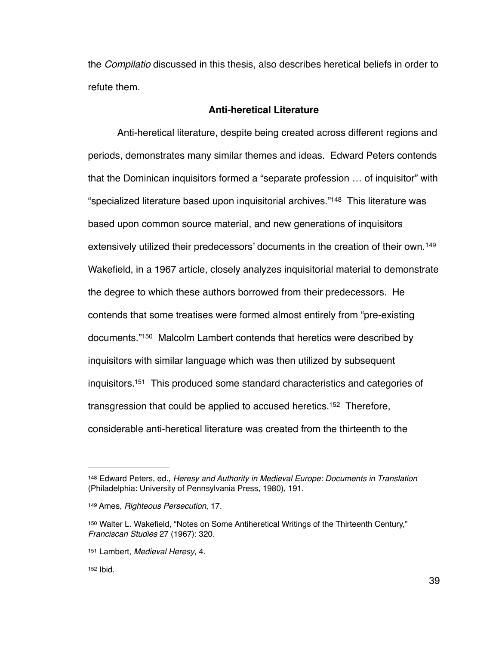the *Compilatio* discussed in this thesis, also describes heretical beliefs in order to refute them.

## <span id="page-44-6"></span><span id="page-44-5"></span>**Anti-heretical Literature**

Anti-heretical literature, despite being created across different regions and periods, demonstrates many similar themes and ideas. Edward Peters contends that the Dominican inquisitors formed a "separate profession … of inquisitor" with "specialized literature based upon inquisitorial archives."<sup>[148](#page-44-0)</sup> This literature was based upon common source material, and new generations of inquisitors extensively utilized their predecessors' documents in the creation of their own. [149](#page-44-1) Wakefield, in a 1967 article, closely analyzes inquisitorial material to demonstrate the degree to which these authors borrowed from their predecessors. He contends that some treatises were formed almost entirely from "pre-existing documents.["](#page-44-2)<sup>[150](#page-44-2)</sup> Malcolm Lambert contends that heretics were described by inquisitors with similar language which was then utilized by subsequent inquisitors.<sup>[151](#page-44-3)</sup> This produced some standard characteristics and categories of transgression that could be applied to accused heretics.<sup>[152](#page-44-4)</sup> Therefore, considerable anti-heretical literature was created from the thirteenth to the

<span id="page-44-9"></span><span id="page-44-8"></span><span id="page-44-7"></span><span id="page-44-0"></span>[<sup>148</sup>](#page-44-5) Edward Peters, ed., *Heresy and Authority in Medieval Europe: Documents in Translation* (Philadelphia: University of Pennsylvania Press, 1980), 191.

<span id="page-44-1"></span>[<sup>149</sup>](#page-44-6) Ames, *Righteous Persecution*, 17.

<span id="page-44-2"></span>[<sup>150</sup>](#page-44-7) Walter L. Wakefield, "Notes on Some Antiheretical Writings of the Thirteenth Century," *Franciscan Studies* 27 (1967): 320.

<span id="page-44-3"></span>[<sup>151</sup>](#page-44-8) Lambert, Medieval Heresy, 4.

<span id="page-44-4"></span> $152$  Ibid.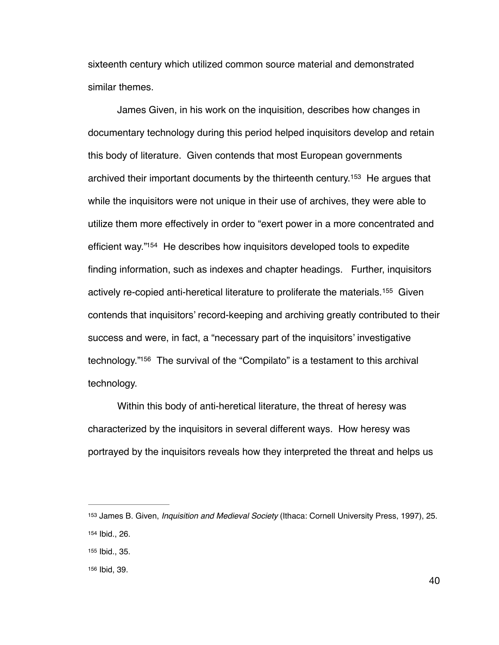sixteenth century which utilized common source material and demonstrated similar themes.

<span id="page-45-5"></span><span id="page-45-4"></span>James Given, in his work on the inquisition, describes how changes in documentary technology during this period helped inquisitors develop and retain this body of literature. Given contends that most European governments archived their important documents by the thirteenth century.<sup>[153](#page-45-0)</sup> He argues that while the inquisitors were not unique in their use of archives, they were able to utilize them more effectively in order to "exert power in a more concentrated and efficient way."<sup>[154](#page-45-1)</sup> He describes how inquisitors developed tools to expedite finding information, such as indexes and chapter headings. Further, inquisitors actively re-copied anti-heretical literature to proliferate the materials.<sup>[155](#page-45-2)</sup> Given contends that inquisitors' record-keeping and archiving greatly contributed to their success and were, in fact, a "necessary part of the inquisitors' investigative technology."<sup>156</sup> The survival of the "Compilato["](#page-45-3) is a testament to this archival technology.

<span id="page-45-7"></span><span id="page-45-6"></span>Within this body of anti-heretical literature, the threat of heresy was characterized by the inquisitors in several different ways. How heresy was portrayed by the inquisitors reveals how they interpreted the threat and helps us

<span id="page-45-1"></span><span id="page-45-0"></span>[<sup>153</sup>](#page-45-4) James B. Given, *Inquisition and Medieval Society* (Ithaca: Cornell University Press, 1997), 25. [154](#page-45-5) Ibid., 26.

<span id="page-45-2"></span>[<sup>155</sup>](#page-45-6) Ibid., 35.

<span id="page-45-3"></span>[<sup>156</sup>](#page-45-7) Ibid, 39.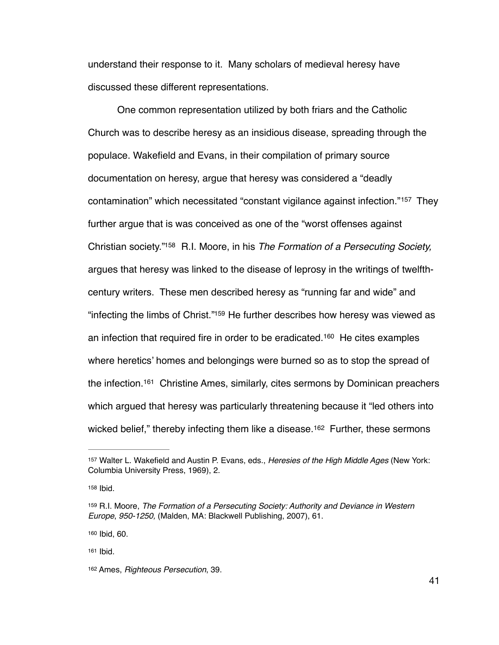understand their response to it. Many scholars of medieval heresy have discussed these different representations.

<span id="page-46-7"></span><span id="page-46-6"></span>One common representation utilized by both friars and the Catholic Church was to describe heresy as an insidious disease, spreading through the populace. Wakefield and Evans, in their compilation of primary source documentation on heresy, argue that heresy was considered a "deadly contamination"which necessitated "constant vigilance against infection."<sup>[157](#page-46-0)</sup> They further argue that is was conceived as one of the "worst offenses against Christian society."<sup>158</sup> R.I. Moore, in his *The Formation of a Persecuting Society*, argues that heresy was linked to the disease of leprosy in the writings of twelfthcentury writers. These men described heresy as "running far and wide" and "infecting the limbs of Christ."<sup>[159](#page-46-2)</sup> He further describes how heresy was viewed as an infection that required fire in order to be eradicated.<sup>[160](#page-46-3)</sup> He cites examples where heretics' homes and belongings were burned so as to stop the spread of the infection[.](#page-46-4)<sup>[161](#page-46-4)</sup> Christine Ames, similarly, cites sermons by Dominican preachers which argued that heresy was particularly threatening because it "led others into wicked belief," thereby infecting them like a disease.<sup>[162](#page-46-5)</sup> Further, these sermons

<span id="page-46-3"></span>[160](#page-46-9) Ibid, 60.

<span id="page-46-4"></span>[161](#page-46-10) Ibid.

<span id="page-46-11"></span><span id="page-46-10"></span><span id="page-46-9"></span><span id="page-46-8"></span><span id="page-46-0"></span>[<sup>157</sup>](#page-46-6) Walter L. Wakefield and Austin P. Evans, eds., *Heresies of the High Middle Ages* (New York: Columbia University Press, 1969), 2.

<span id="page-46-1"></span>[<sup>158</sup>](#page-46-7) **Ibid.** 

<span id="page-46-2"></span>[<sup>159</sup>](#page-46-8) R.I. Moore, *The Formation of a Persecuting Society: Authority and Deviance in Western Europe*, *950-1250,* (Malden, MA: Blackwell Publishing, 2007), 61.

<span id="page-46-5"></span>[<sup>162</sup>](#page-46-11) Ames, *Righteous Persecution*, 39.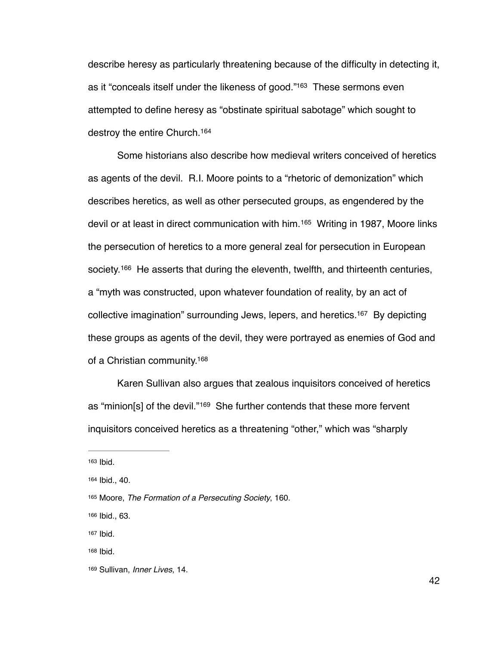<span id="page-47-7"></span>describe heresy as particularly threatening because of the difficulty in detecting it, as it "conceals itself under the likeness of good."<sup>[163](#page-47-0)</sup> These sermons even attempted to define heresy as "obstinate spiritual sabotage" which sought to destroy the entire Church[.](#page-47-1) [164](#page-47-1)

<span id="page-47-10"></span><span id="page-47-9"></span><span id="page-47-8"></span>Some historians also describe how medieval writers conceived of heretics as agents of the devil. R.I. Moore points to a "rhetoric of demonization" which describes heretics, as well as other persecuted groups, as engendered by the devil or at least in direct communication with him.<sup>[165](#page-47-2)</sup> Writing in 1987, Moore links the persecution of heretics to a more general zeal for persecution in European society.<sup>[166](#page-47-3)</sup> He asserts that during the eleventh, twelfth, and thirteenth centuries, a "myth was constructed, upon whatever foundation of reality, by an act of collective imagination" surrounding Jews, lepers, and heretics.<sup>[167](#page-47-4)</sup> By depicting these groups as agents of the devil, they were portrayed as enemies of God and of a Christian community.<sup>168</sup>

<span id="page-47-13"></span><span id="page-47-12"></span><span id="page-47-11"></span>Karen Sullivan also argues that zealous inquisitors conceived of heretics as "minion[s] of the devil." $169$  She further contends that these more fervent inquisitors conceived heretics as a threatening "other," which was "sharply

<span id="page-47-0"></span> $163$  Ibid.

<span id="page-47-1"></span>[<sup>164</sup>](#page-47-8) Ibid., 40.

<span id="page-47-2"></span>[<sup>165</sup>](#page-47-9) Moore, *The Formation of a Persecuting Society*, 160.

<span id="page-47-3"></span>[<sup>166</sup>](#page-47-10) Ibid., 63.

<span id="page-47-4"></span>[<sup>167</sup>](#page-47-11) Ibid.

<span id="page-47-5"></span>[<sup>168</sup>](#page-47-12) Ibid.

<span id="page-47-6"></span>[<sup>169</sup>](#page-47-13) Sullivan, *Inner Lives*, 14.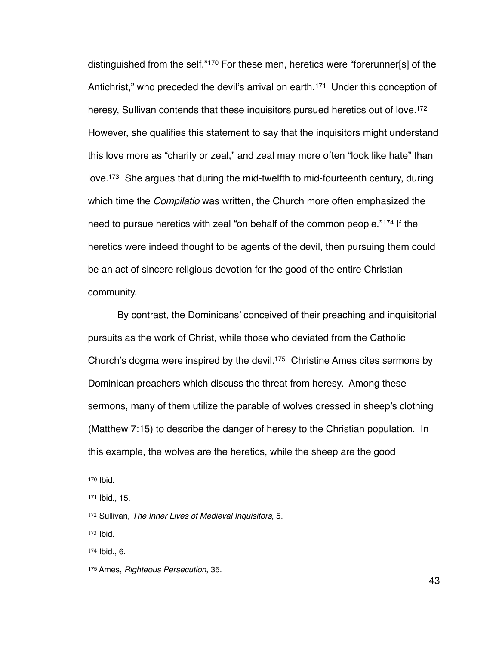<span id="page-48-9"></span><span id="page-48-8"></span><span id="page-48-7"></span><span id="page-48-6"></span>distinguished from the self."<sup>[170](#page-48-0)</sup> For these men, heretics were "forerunner[s] of the Antichrist,"who preceded the devil's arrival on earth.<sup>[171](#page-48-1)</sup> Under this conception of heresy, Sullivan contends that these inquisitors pursued heretics out of love.<sup>172</sup> However, she qualifies this statement to say that the inquisitors might understand this love more as "charity or zeal," and zeal may more often "look like hate" than love.<sup>[173](#page-48-3)</sup> She argues that during the mid-twelfth to mid-fourteenth century, during which time the *Compilatio* was written, the Church more often emphasized the needto pursue heretics with zeal "on behalf of the common people."<sup>[174](#page-48-4)</sup> If the heretics were indeed thought to be agents of the devil, then pursuing them could be an act of sincere religious devotion for the good of the entire Christian community.

<span id="page-48-11"></span><span id="page-48-10"></span>By contrast, the Dominicans' conceived of their preaching and inquisitorial pursuits as the work of Christ, while those who deviated from the Catholic Church's dogma were inspired by the devil.<sup>175</sup> Christine Ames cites sermons by Dominican preachers which discuss the threat from heresy. Among these sermons, many of them utilize the parable of wolves dressed in sheep's clothing (Matthew 7:15) to describe the danger of heresy to the Christian population. In this example, the wolves are the heretics, while the sheep are the good

<span id="page-48-3"></span>[173](#page-48-9) Ibid.

<span id="page-48-0"></span>[<sup>170</sup>](#page-48-6) Ibid.

<span id="page-48-1"></span>[<sup>171</sup>](#page-48-7) Ibid., 15.

<span id="page-48-2"></span>[<sup>172</sup>](#page-48-8) Sullivan, *The Inner Lives of Medieval Inquisitors*, 5.

<span id="page-48-4"></span>[<sup>174</sup>](#page-48-10) Ibid., 6.

<span id="page-48-5"></span>[<sup>175</sup>](#page-48-11) Ames, *Righteous Persecution*, 35.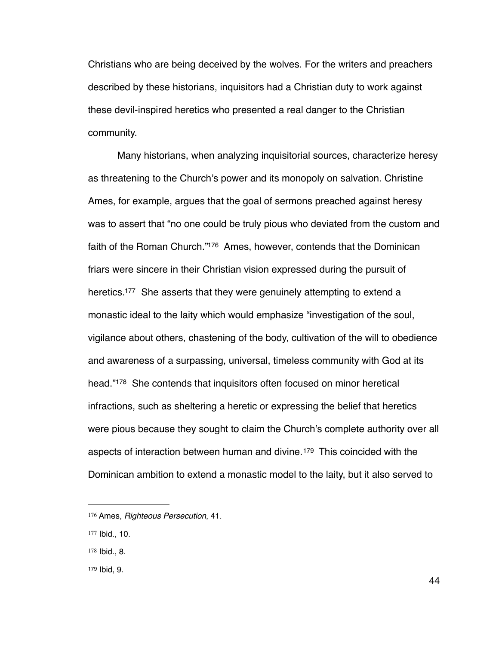Christians who are being deceived by the wolves. For the writers and preachers described by these historians, inquisitors had a Christian duty to work against these devil-inspired heretics who presented a real danger to the Christian community.

<span id="page-49-5"></span><span id="page-49-4"></span>Many historians, when analyzing inquisitorial sources, characterize heresy as threatening to the Church's power and its monopoly on salvation. Christine Ames, for example, argues that the goal of sermons preached against heresy was to assert that "no one could be truly pious who deviated from the custom and faith of the Roman Church."<sup>[176](#page-49-0)</sup> Ames, however, contends that the Dominican friars were sincere in their Christian vision expressed during the pursuit of heretics.<sup>[177](#page-49-1)</sup> She asserts that they were genuinely attempting to extend a monastic ideal to the laity which would emphasize "investigation of the soul, vigilance about others, chastening of the body, cultivation of the will to obedience and awareness of a surpassing, universal, timeless community with God at its head.["](#page-49-2)<sup>[178](#page-49-2)</sup> She contends that inquisitors often focused on minor heretical infractions, such as sheltering a heretic or expressing the belief that heretics were pious because they sought to claim the Church's complete authority over all aspectsof interaction between human and divine.<sup>[179](#page-49-3)</sup> This coincided with the Dominican ambition to extend a monastic model to the laity, but it also served to

<span id="page-49-3"></span>[179](#page-49-7) Ibid, 9.

<span id="page-49-7"></span><span id="page-49-6"></span><span id="page-49-0"></span>[<sup>176</sup>](#page-49-4) Ames, *Righteous Persecution*, 41.

<span id="page-49-1"></span>[<sup>177</sup>](#page-49-5) Ibid., 10.

<span id="page-49-2"></span>[<sup>178</sup>](#page-49-6) Ibid., 8.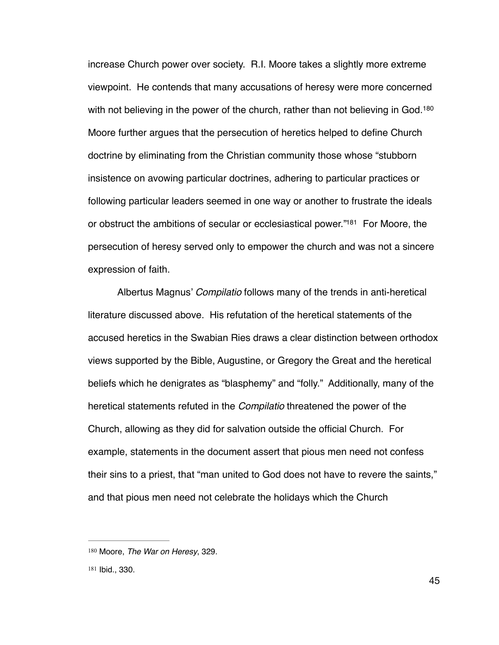<span id="page-50-2"></span>increase Church power over society. R.I. Moore takes a slightly more extreme viewpoint. He contends that many accusations of heresy were more concerned with not believing in the power of the church, rather than not believing in God.<sup>[180](#page-50-0)</sup> Moore further argues that the persecution of heretics helped to define Church doctrine by eliminating from the Christian community those whose "stubborn insistence on avowing particular doctrines, adhering to particular practices or following particular leaders seemed in one way or another to frustrate the ideals or obstruct the ambitions of secular or ecclesiastical power."<sup>[181](#page-50-1)</sup> For Moore, the persecution of heresy served only to empower the church and was not a sincere expression of faith.

<span id="page-50-3"></span>Albertus Magnus' *Compilatio* follows many of the trends in anti-heretical literature discussed above. His refutation of the heretical statements of the accused heretics in the Swabian Ries draws a clear distinction between orthodox views supported by the Bible, Augustine, or Gregory the Great and the heretical beliefs which he denigrates as "blasphemy" and "folly." Additionally, many of the heretical statements refuted in the *Compilatio* threatened the power of the Church, allowing as they did for salvation outside the official Church. For example, statements in the document assert that pious men need not confess their sins to a priest, that "man united to God does not have to revere the saints," and that pious men need not celebrate the holidays which the Church

<span id="page-50-0"></span>[<sup>180</sup>](#page-50-2) Moore, *The War on Heresy*, 329.

<span id="page-50-1"></span>[<sup>181</sup>](#page-50-3) Ibid., 330.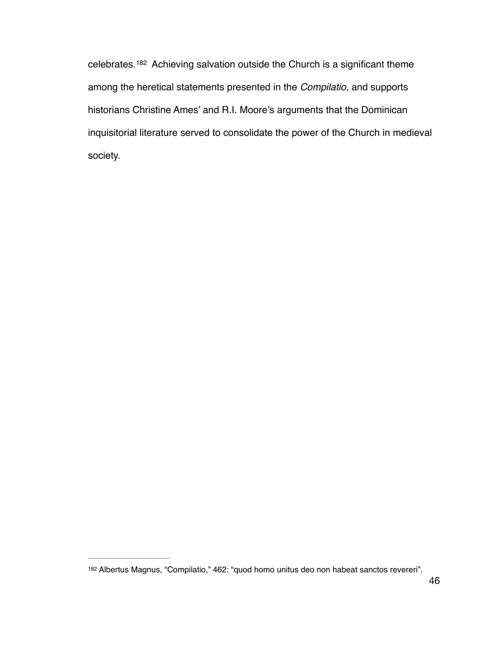<span id="page-51-1"></span>celebrates.<sup>[182](#page-51-0)</sup> Achieving salvation outside the Church is a significant theme among the heretical statements presented in the *Compilatio*, and supports historians Christine Ames' and R.I. Moore's arguments that the Dominican inquisitorial literature served to consolidate the power of the Church in medieval society.

<span id="page-51-0"></span>[<sup>182</sup>](#page-51-1) Albertus Magnus, "Compilatio," 462: "quod homo unitus deo non habeat sanctos revereri".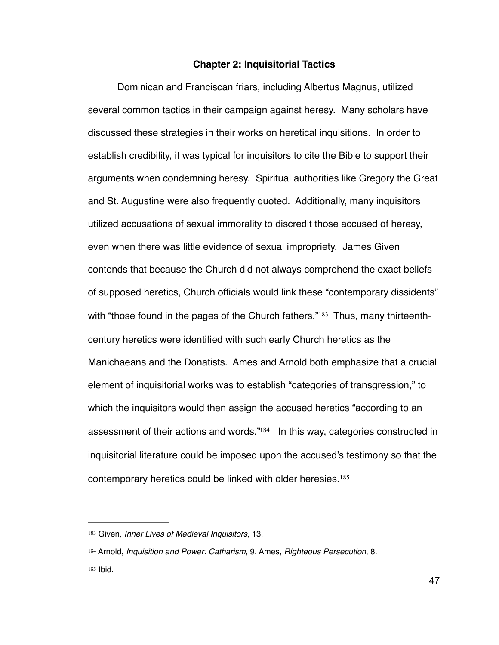## <span id="page-52-3"></span>**Chapter 2: Inquisitorial Tactics**

Dominican and Franciscan friars, including Albertus Magnus, utilized several common tactics in their campaign against heresy. Many scholars have discussed these strategies in their works on heretical inquisitions. In order to establish credibility, it was typical for inquisitors to cite the Bible to support their arguments when condemning heresy. Spiritual authorities like Gregory the Great and St. Augustine were also frequently quoted. Additionally, many inquisitors utilized accusations of sexual immorality to discredit those accused of heresy, even when there was little evidence of sexual impropriety. James Given contends that because the Church did not always comprehend the exact beliefs of supposed heretics, Church officials would link these "contemporary dissidents" with"those found in the pages of the Church fathers." $183$  Thus, many thirteenthcentury heretics were identified with such early Church heretics as the Manichaeans and the Donatists. Ames and Arnold both emphasize that a crucial element of inquisitorial works was to establish "categories of transgression," to which the inquisitors would then assign the accused heretics "according to an assessment of their actions and words.["](#page-52-1)<sup>184</sup> In this way, categories constructed in inquisitorial literature could be imposed upon the accused's testimony so that the contemporary heretics could be linked with older heresies.<sup>185</sup>

<span id="page-52-5"></span><span id="page-52-4"></span><span id="page-52-0"></span>[<sup>183</sup>](#page-52-3) Given, Inner Lives of Medieval Inquisitors, 13.

<span id="page-52-2"></span><span id="page-52-1"></span>[<sup>184</sup>](#page-52-4) Arnold, *Inquisition and Power: Catharism*, 9. Ames, *Righteous Persecution*, 8. [185](#page-52-5) Ibid.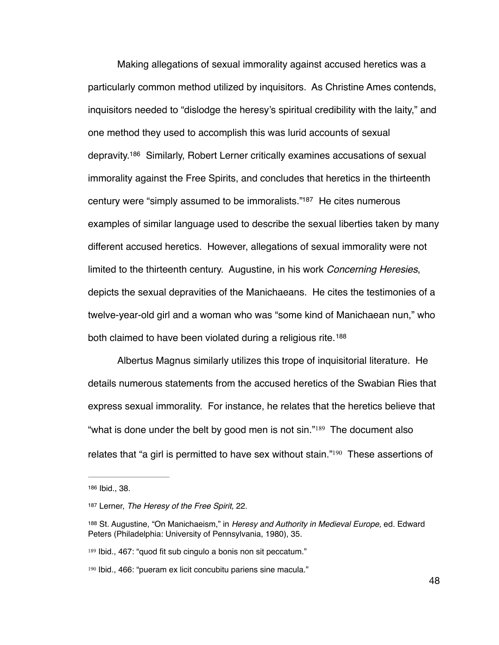<span id="page-53-6"></span><span id="page-53-5"></span>Making allegations of sexual immorality against accused heretics was a particularly common method utilized by inquisitors. As Christine Ames contends, inquisitors needed to "dislodge the heresy's spiritual credibility with the laity," and one method they used to accomplish this was lurid accounts of sexual depravity[.](#page-53-0)<sup>[186](#page-53-0)</sup> Similarly, Robert Lerner critically examines accusations of sexual immorality against the Free Spirits, and concludes that heretics in the thirteenth century were "simply assumed to be immoralists."<sup>[187](#page-53-1)</sup> He cites numerous examples of similar language used to describe the sexual liberties taken by many different accused heretics. However, allegations of sexual immorality were not limited to the thirteenth century. Augustine, in his work *Concerning Heresies*, depicts the sexual depravities of the Manichaeans. He cites the testimonies of a twelve-year-old girl and a woman who was "some kind of Manichaean nun," who both claimed to have been violated during a religious rite. [188](#page-53-2)

<span id="page-53-7"></span>Albertus Magnus similarly utilizes this trope of inquisitorial literature. He details numerous statements from the accused heretics of the Swabian Ries that express sexual immorality. For instance, he relates that the heretics believe that "whatis done under the belt by good men is not  $sin.^{"189}$  The document also relates that ["](#page-53-4)a girl is permitted to have sex without stain." $190$  These assertions of

<span id="page-53-9"></span><span id="page-53-8"></span><span id="page-53-0"></span>[<sup>186</sup>](#page-53-5) Ibid., 38.

<span id="page-53-1"></span>[<sup>187</sup>](#page-53-6) Lerner, *The Heresy of the Free Spirit*, 22.

<span id="page-53-2"></span>[<sup>188</sup>](#page-53-7) St. Augustine, "On Manichaeism," in *Heresy and Authority in Medieval Europe*, ed. Edward Peters (Philadelphia: University of Pennsylvania, 1980), 35.

<span id="page-53-3"></span>[<sup>189</sup>](#page-53-8) Ibid., 467: "quod fit sub cingulo a bonis non sit peccatum."

<span id="page-53-4"></span><sup>&</sup>lt;sup>[190](#page-53-9)</sup> Ibid., 466: "pueram ex licit concubitu pariens sine macula."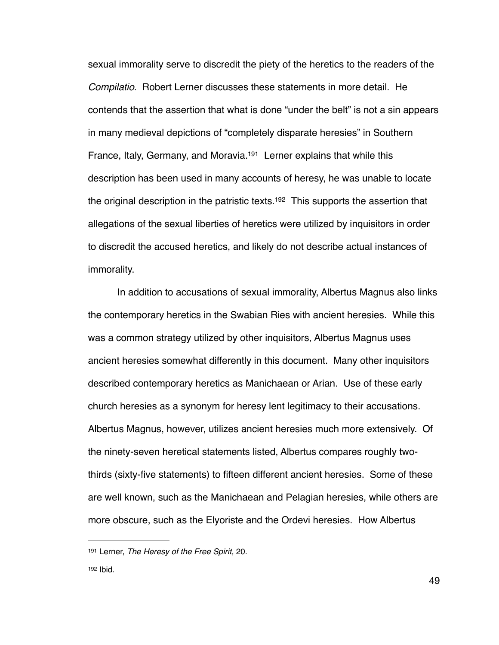<span id="page-54-2"></span>sexual immorality serve to discredit the piety of the heretics to the readers of the *Compilatio*. Robert Lerner discusses these statements in more detail. He contends that the assertion that what is done "under the belt" is not a sin appears in many medieval depictions of "completely disparate heresies" in Southern France, Italy, Germany, and Moravia.<sup>[191](#page-54-0)</sup> Lerner explains that while this description has been used in many accounts of heresy, he was unable to locate the original description in the patristic texts.<sup>[192](#page-54-1)</sup> This supports the assertion that allegations of the sexual liberties of heretics were utilized by inquisitors in order to discredit the accused heretics, and likely do not describe actual instances of immorality.

<span id="page-54-3"></span>In addition to accusations of sexual immorality, Albertus Magnus also links the contemporary heretics in the Swabian Ries with ancient heresies. While this was a common strategy utilized by other inquisitors, Albertus Magnus uses ancient heresies somewhat differently in this document. Many other inquisitors described contemporary heretics as Manichaean or Arian. Use of these early church heresies as a synonym for heresy lent legitimacy to their accusations. Albertus Magnus, however, utilizes ancient heresies much more extensively. Of the ninety-seven heretical statements listed, Albertus compares roughly twothirds (sixty-five statements) to fifteen different ancient heresies. Some of these are well known, such as the Manichaean and Pelagian heresies, while others are more obscure, such as the Elyoriste and the Ordevi heresies. How Albertus

<span id="page-54-1"></span><span id="page-54-0"></span>[<sup>191</sup>](#page-54-2) Lerner, *The Heresy of the Free Spirit*, 20.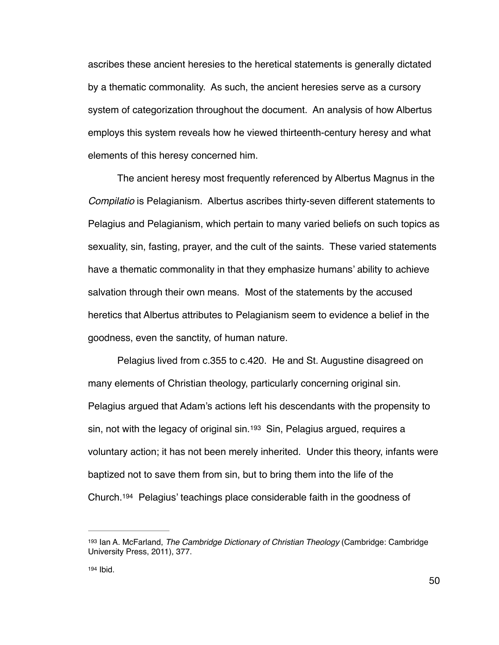ascribes these ancient heresies to the heretical statements is generally dictated by a thematic commonality. As such, the ancient heresies serve as a cursory system of categorization throughout the document. An analysis of how Albertus employs this system reveals how he viewed thirteenth-century heresy and what elements of this heresy concerned him.

The ancient heresy most frequently referenced by Albertus Magnus in the *Compilatio* is Pelagianism. Albertus ascribes thirty-seven different statements to Pelagius and Pelagianism, which pertain to many varied beliefs on such topics as sexuality, sin, fasting, prayer, and the cult of the saints. These varied statements have a thematic commonality in that they emphasize humans' ability to achieve salvation through their own means. Most of the statements by the accused heretics that Albertus attributes to Pelagianism seem to evidence a belief in the goodness, even the sanctity, of human nature.

<span id="page-55-2"></span>Pelagius lived from c.355 to c.420. He and St. Augustine disagreed on many elements of Christian theology, particularly concerning original sin. Pelagius argued that Adam's actions left his descendants with the propensity to sin, not with the legacy of original sin.<sup>[193](#page-55-0)</sup> Sin, Pelagius argued, requires a voluntary action; it has not been merely inherited. Under this theory, infants were baptized not to save them from sin, but to bring them into the life of the Church[.](#page-55-1)<sup>[194](#page-55-1)</sup> Pelagius' teachings place considerable faith in the goodness of

<span id="page-55-3"></span><span id="page-55-0"></span><sup>&</sup>lt;sup>[193](#page-55-2)</sup> Ian A. McFarland, *The Cambridge Dictionary of Christian Theology* (Cambridge: Cambridge University Press, 2011), 377.

<span id="page-55-1"></span>[<sup>194</sup>](#page-55-3) Ibid.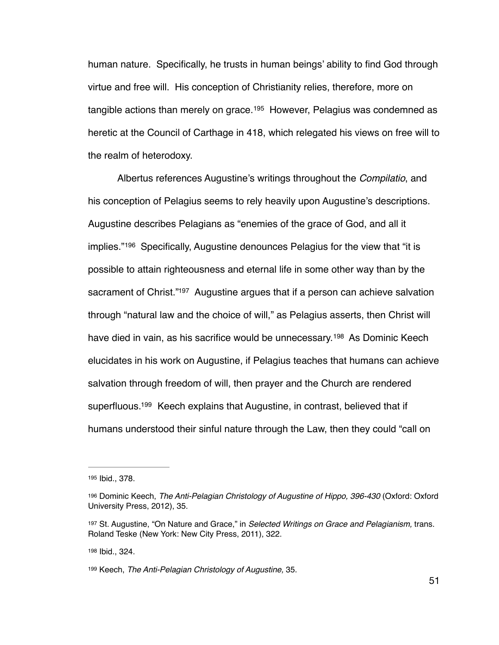<span id="page-56-5"></span>human nature. Specifically, he trusts in human beings' ability to find God through virtue and free will. His conception of Christianity relies, therefore, more on tangible actions than merely on grace.<sup>[195](#page-56-0)</sup> However, Pelagius was condemned as heretic at the Council of Carthage in 418, which relegated his views on free will to the realm of heterodoxy.

<span id="page-56-7"></span><span id="page-56-6"></span>Albertus references Augustine's writings throughout the *Compilatio*, and his conception of Pelagius seems to rely heavily upon Augustine's descriptions. Augustine describes Pelagians as "enemies of the grace of God, and all it implies."<sup>[196](#page-56-1)</sup> Specifically, Augustine denounces Pelagius for the view that "it is possible to attain righteousness and eternal life in some other way than by the sacrament of Christ."<sup>[197](#page-56-2)</sup> Augustine argues that if a person can achieve salvation through "natural law and the choice of will," as Pelagius asserts, then Christ will havedied in vain, as his sacrifice would be unnecessary.<sup>[198](#page-56-3)</sup> As Dominic Keech elucidates in his work on Augustine, if Pelagius teaches that humans can achieve salvation through freedom of will, then prayer and the Church are rendered superfluous.<sup>[199](#page-56-4)</sup> Keech explains that Augustine, in contrast, believed that if humans understood their sinful nature through the Law, then they could "call on

<span id="page-56-3"></span>[198](#page-56-8) Ibid., 324.

<span id="page-56-9"></span><span id="page-56-8"></span><span id="page-56-0"></span>[<sup>195</sup>](#page-56-5) Ibid., 378.

<span id="page-56-1"></span><sup>&</sup>lt;sup>[196](#page-56-6)</sup> Dominic Keech, *The Anti-Pelagian Christology of Augustine of Hippo, 396-430* (Oxford: Oxford University Press, 2012), 35.

<span id="page-56-2"></span>[<sup>197</sup>](#page-56-7) St. Augustine, "On Nature and Grace," in *Selected Writings on Grace and Pelagianism*, trans. Roland Teske (New York: New City Press, 2011), 322.

<span id="page-56-4"></span>Keech, *The Anti-Pelagian Christology of Augustine,* 35. [199](#page-56-9)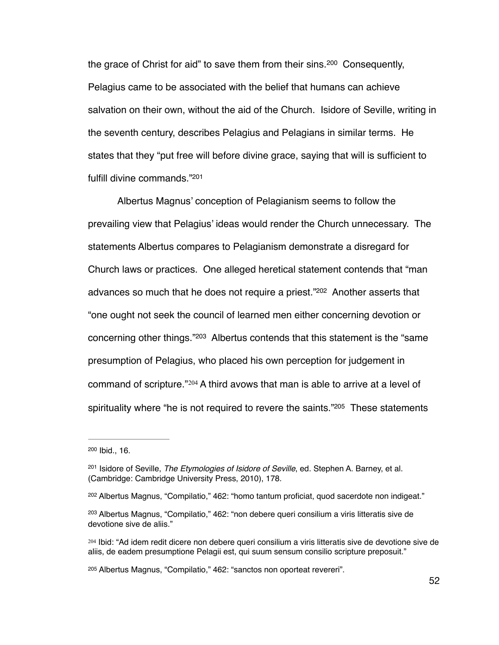<span id="page-57-6"></span>the grace of Christ for aid" to save them from their sins.  $200$  Consequently, Pelagius came to be associated with the belief that humans can achieve salvation on their own, without the aid of the Church. Isidore of Seville, writing in the seventh century, describes Pelagius and Pelagians in similar terms. He states that they "put free will before divine grace, saying that will is sufficient to fulfill divine commands.["](#page-57-1)<sup>[201](#page-57-1)</sup>

<span id="page-57-8"></span><span id="page-57-7"></span>Albertus Magnus' conception of Pelagianism seems to follow the prevailing view that Pelagius' ideas would render the Church unnecessary. The statements Albertus compares to Pelagianism demonstrate a disregard for Church laws or practices. One alleged heretical statement contends that "man advances so much that he does not require a priest."<sup>[202](#page-57-2)</sup> Another asserts that "one ought not seek the council of learned men either concerning devotion or concerning other things. $"203$  $"203$  Albertus contends that this statement is the "same" presumption of Pelagius, who placed his own perception for judgement in commandof scripture." $204$  A third avows that man is able to arrive at a level of spirituality where "he is not required to revere the saints."<sup>[205](#page-57-5)</sup> These statements

<span id="page-57-11"></span><span id="page-57-10"></span><span id="page-57-9"></span><span id="page-57-0"></span> $200$  Ibid., 16.

<span id="page-57-1"></span><sup>&</sup>lt;sup>[201](#page-57-7)</sup> Isidore of Seville, *The Etymologies of Isidore of Seville*, ed. Stephen A. Barney, et al. (Cambridge: Cambridge University Press, 2010), 178.

<span id="page-57-2"></span> $202$  Albertus Magnus, "Compilatio," 462: "homo tantum proficiat, quod sacerdote non indigeat."

<span id="page-57-3"></span><sup>&</sup>lt;sup>[203](#page-57-9)</sup> Albertus Magnus, "Compilatio," 462: "non debere queri consilium a viris litteratis sive de devotione sive de aliis."

<span id="page-57-4"></span><sup>&</sup>lt;sup>[204](#page-57-10)</sup> Ibid: "Ad idem redit dicere non debere queri consilium a viris litteratis sive de devotione sive de aliis, de eadem presumptione Pelagii est, qui suum sensum consilio scripture preposuit."

<span id="page-57-5"></span>Albertus Magnus, "Compilatio," 462: "sanctos non oporteat revereri". [205](#page-57-11)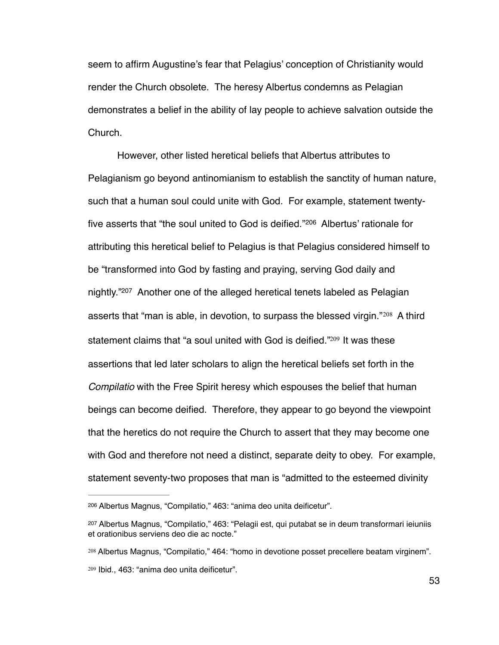seem to affirm Augustine's fear that Pelagius' conception of Christianity would render the Church obsolete. The heresy Albertus condemns as Pelagian demonstrates a belief in the ability of lay people to achieve salvation outside the Church.

<span id="page-58-6"></span><span id="page-58-5"></span><span id="page-58-4"></span>However, other listed heretical beliefs that Albertus attributes to Pelagianism go beyond antinomianism to establish the sanctity of human nature, such that a human soul could unite with God. For example, statement twenty-five asserts that "the soul united to God is deified."<sup>[206](#page-58-0)</sup> Albertus' rationale for attributing this heretical belief to Pelagius is that Pelagius considered himself to be "transformed into God by fasting and praying, serving God daily and nightly.["](#page-58-1)<sup>[207](#page-58-1)</sup> Another one of the alleged heretical tenets labeled as Pelagian assertsthat "man is able, in devotion, to surpass the blessed virgin." $208$  A third statement claims that ["](#page-58-3)a soul united with God is deified."<sup>209</sup> It was these assertions that led later scholars to align the heretical beliefs set forth in the *Compilatio* with the Free Spirit heresy which espouses the belief that human beings can become deified. Therefore, they appear to go beyond the viewpoint that the heretics do not require the Church to assert that they may become one with God and therefore not need a distinct, separate deity to obey. For example, statement seventy-two proposes that man is "admitted to the esteemed divinity

<span id="page-58-7"></span><span id="page-58-0"></span>Albertus Magnus, "Compilatio," 463: "anima deo unita deificetur". [206](#page-58-4)

<span id="page-58-1"></span><sup>&</sup>lt;sup>[207](#page-58-5)</sup> Albertus Magnus, "Compilatio," 463: "Pelagii est, qui putabat se in deum transformari ieiuniis et orationibus serviens deo die ac nocte."

<span id="page-58-3"></span><span id="page-58-2"></span><sup>&</sup>lt;sup>[208](#page-58-6)</sup> Albertus Magnus, "Compilatio," 464: "homo in devotione posset precellere beatam virginem". <sup>[209](#page-58-7)</sup> Ibid., 463: "anima deo unita deificetur".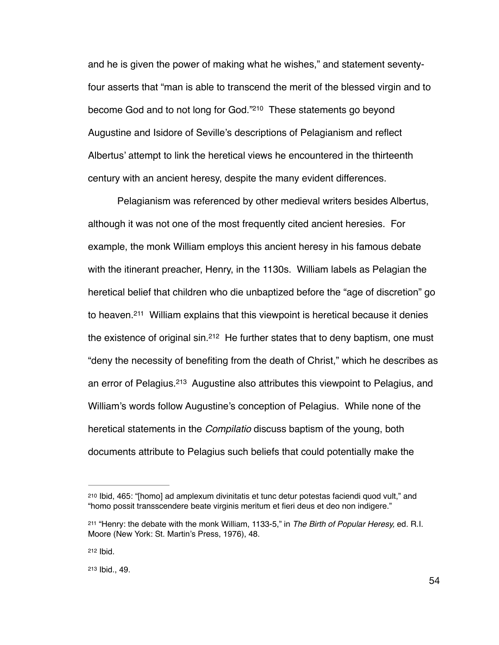<span id="page-59-4"></span>and he is given the power of making what he wishes," and statement seventyfour asserts that "man is able to transcend the merit of the blessed virgin and to become God and to not long for God.["](#page-59-0)<sup>[210](#page-59-0)</sup> These statements go beyond Augustine and Isidore of Seville's descriptions of Pelagianism and reflect Albertus' attempt to link the heretical views he encountered in the thirteenth century with an ancient heresy, despite the many evident differences.

<span id="page-59-6"></span><span id="page-59-5"></span>Pelagianism was referenced by other medieval writers besides Albertus, although it was not one of the most frequently cited ancient heresies. For example, the monk William employs this ancient heresy in his famous debate with the itinerant preacher, Henry, in the 1130s. William labels as Pelagian the heretical belief that children who die unbaptized before the "age of discretion" go to heaven.<sup>[211](#page-59-1)</sup> William explains that this viewpoint is heretical because it denies the existence of original sin[.](#page-59-2)<sup>[212](#page-59-2)</sup> He further states that to deny baptism, one must "deny the necessity of benefiting from the death of Christ," which he describes as an error of Pelagius[.](#page-59-3)<sup>[213](#page-59-3)</sup> Augustine also attributes this viewpoint to Pelagius, and William's words follow Augustine's conception of Pelagius. While none of the heretical statements in the *Compilatio* discuss baptism of the young, both documents attribute to Pelagius such beliefs that could potentially make the

<span id="page-59-7"></span><span id="page-59-0"></span><sup>&</sup>lt;sup>[210](#page-59-4)</sup> Ibid, 465: "[homo] ad amplexum divinitatis et tunc detur potestas faciendi quod vult," and "homo possit transscendere beate virginis meritum et fieri deus et deo non indigere."

<span id="page-59-1"></span><sup>&</sup>lt;sup>[211](#page-59-5)</sup> "Henry: the debate with the monk William, 1133-5," in *The Birth of Popular Heresy, ed. R.I.* Moore (New York: St. Martin's Press, 1976), 48.

<span id="page-59-2"></span>[<sup>212</sup>](#page-59-6) Ibid.

<span id="page-59-3"></span>[<sup>213</sup>](#page-59-7) Ibid., 49.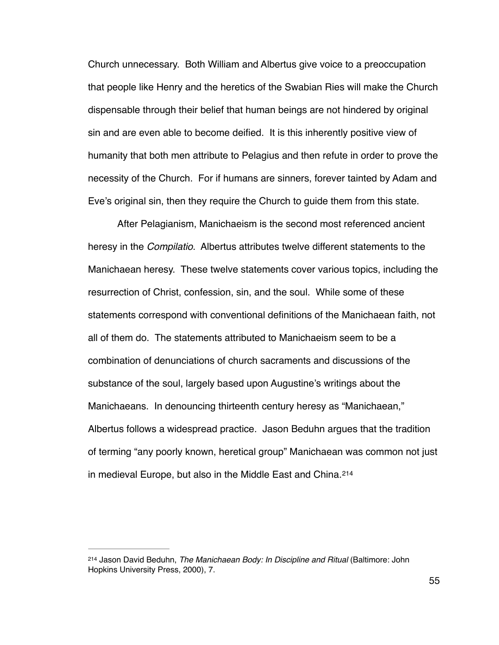Church unnecessary. Both William and Albertus give voice to a preoccupation that people like Henry and the heretics of the Swabian Ries will make the Church dispensable through their belief that human beings are not hindered by original sin and are even able to become deified. It is this inherently positive view of humanity that both men attribute to Pelagius and then refute in order to prove the necessity of the Church. For if humans are sinners, forever tainted by Adam and Eve's original sin, then they require the Church to guide them from this state.

After Pelagianism, Manichaeism is the second most referenced ancient heresy in the *Compilatio*. Albertus attributes twelve different statements to the Manichaean heresy. These twelve statements cover various topics, including the resurrection of Christ, confession, sin, and the soul. While some of these statements correspond with conventional definitions of the Manichaean faith, not all of them do. The statements attributed to Manichaeism seem to be a combination of denunciations of church sacraments and discussions of the substance of the soul, largely based upon Augustine's writings about the Manichaeans. In denouncing thirteenth century heresy as "Manichaean," Albertus follows a widespread practice. Jason Beduhn argues that the tradition of terming "any poorly known, heretical group" Manichaean was common not just in medieval Europe, but also in the Middle East and China. [214](#page-60-0)

<span id="page-60-1"></span><span id="page-60-0"></span><sup>&</sup>lt;sup>[214](#page-60-1)</sup> Jason David Beduhn, *The Manichaean Body: In Discipline and Ritual* (Baltimore: John Hopkins University Press, 2000), 7.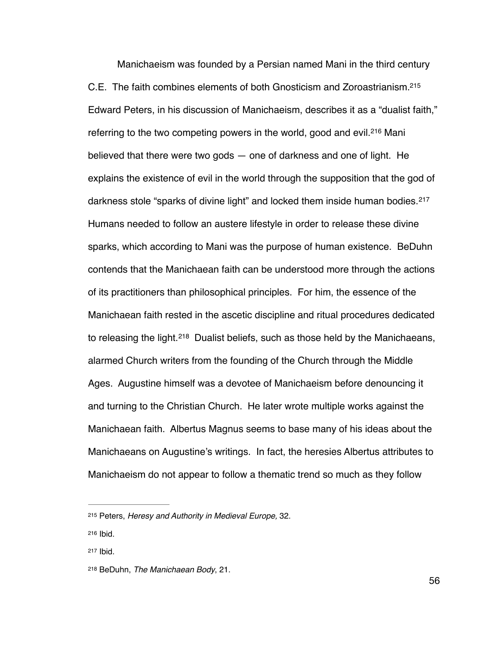<span id="page-61-6"></span><span id="page-61-5"></span><span id="page-61-4"></span>Manichaeism was founded by a Persian named Mani in the third century C.E. The faith combines elements of both Gnosticism and Zoroastrianism[. 215](#page-61-0) Edward Peters, in his discussion of Manichaeism, describes it as a "dualist faith," referring to the two competing powers in the world, good and evil.<sup>[216](#page-61-1)</sup> Mani believed that there were two gods — one of darkness and one of light. He explains the existence of evil in the world through the supposition that the god of darkness stole "sparks of divine light" and locked them inside human bodies. [217](#page-61-2) Humans needed to follow an austere lifestyle in order to release these divine sparks, which according to Mani was the purpose of human existence. BeDuhn contends that the Manichaean faith can be understood more through the actions of its practitioners than philosophical principles. For him, the essence of the Manichaean faith rested in the ascetic discipline and ritual procedures dedicated to releasing the light.<sup>[218](#page-61-3)</sup> Dualist beliefs, such as those held by the Manichaeans, alarmed Church writers from the founding of the Church through the Middle Ages. Augustine himself was a devotee of Manichaeism before denouncing it and turning to the Christian Church. He later wrote multiple works against the Manichaean faith. Albertus Magnus seems to base many of his ideas about the Manichaeans on Augustine's writings. In fact, the heresies Albertus attributes to Manichaeism do not appear to follow a thematic trend so much as they follow

<span id="page-61-2"></span>[217](#page-61-6) Ibid.

<span id="page-61-7"></span><span id="page-61-0"></span><sup>&</sup>lt;sup>[215](#page-61-4)</sup> Peters, *Heresy and Authority in Medieval Europe*, 32.

<span id="page-61-1"></span>[<sup>216</sup>](#page-61-5) Ibid.

<span id="page-61-3"></span><sup>&</sup>lt;sup>[218](#page-61-7)</sup> BeDuhn, *The Manichaean Body*, 21.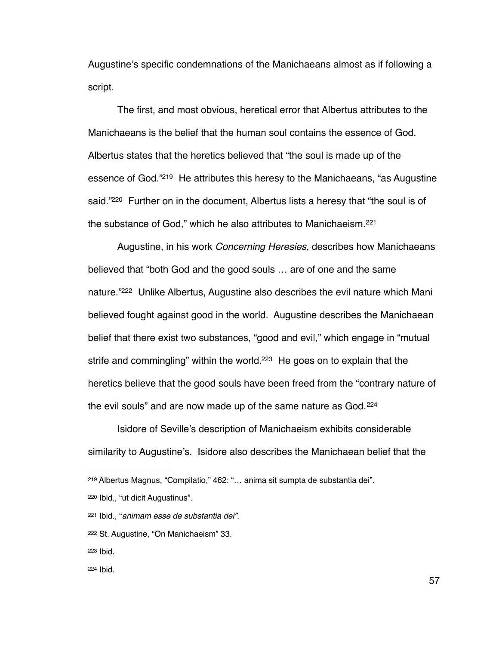Augustine's specific condemnations of the Manichaeans almost as if following a script.

<span id="page-62-6"></span>The first, and most obvious, heretical error that Albertus attributes to the Manichaeans is the belief that the human soul contains the essence of God. Albertus states that the heretics believed that "the soul is made up of the essence of God."<sup>[219](#page-62-0)</sup> He attributes this heresy to the Manichaeans, "as Augustine said."<sup>[220](#page-62-1)</sup> Further on in the document, Albertus lists a heresy that "the soul is of the substance of God," which he also attributes to Manichaeism. [221](#page-62-2)

<span id="page-62-9"></span><span id="page-62-8"></span><span id="page-62-7"></span>Augustine, in his work *Concerning Heresies*, describes how Manichaeans believed that "both God and the good souls … are of one and the same nature."<sup>[222](#page-62-3)</sup> Unlike Albertus, Augustine also describes the evil nature which Mani believed fought against good in the world. Augustine describes the Manichaean belief that there exist two substances, "good and evil," which engage in "mutual strife and commingling" within the world.<sup>[223](#page-62-4)</sup> He goes on to explain that the heretics believe that the good souls have been freed from the "contrary nature of the evil souls" and are now made up of the same nature as God. [224](#page-62-5)

<span id="page-62-11"></span><span id="page-62-10"></span>Isidore of Seville's description of Manichaeism exhibits considerable similarity to Augustine's. Isidore also describes the Manichaean belief that the

- <span id="page-62-4"></span>[223](#page-62-10) Ibid.
- <span id="page-62-5"></span>[224](#page-62-11) Ibid.

<span id="page-62-0"></span>Albertus Magnus, "Compilatio," 462: "… anima sit sumpta de substantia dei". [219](#page-62-6)

<span id="page-62-1"></span>[<sup>220</sup>](#page-62-7) Ibid., "ut dicit Augustinus".

<span id="page-62-2"></span>Ibid., "*animam esse de substantia dei".* [221](#page-62-8)

<span id="page-62-3"></span>[<sup>222</sup>](#page-62-9) St. Augustine, "On Manichaeism" 33.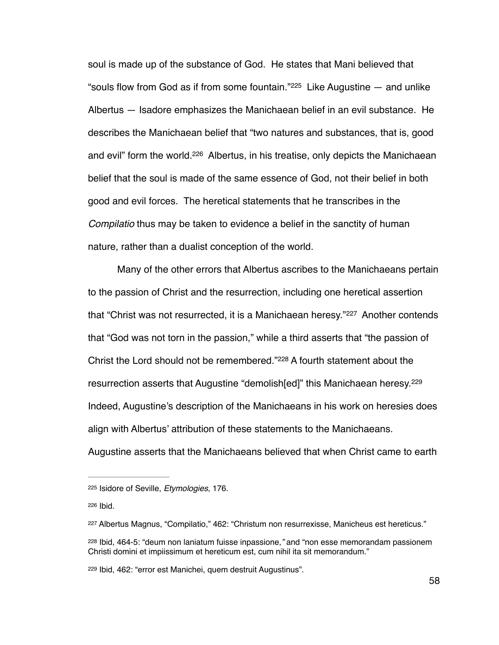<span id="page-63-6"></span><span id="page-63-5"></span>soul is made up of the substance of God. He states that Mani believed that "souls flow from God as if from some fountain." $225$  Like Augustine  $-$  and unlike Albertus — Isadore emphasizes the Manichaean belief in an evil substance. He describes the Manichaean belief that "two natures and substances, that is, good and evil" form the world[.](#page-63-1)<sup>[226](#page-63-1)</sup> Albertus, in his treatise, only depicts the Manichaean belief that the soul is made of the same essence of God, not their belief in both good and evil forces. The heretical statements that he transcribes in the *Compilatio* thus may be taken to evidence a belief in the sanctity of human nature, rather than a dualist conception of the world.

<span id="page-63-8"></span><span id="page-63-7"></span>Many of the other errors that Albertus ascribes to the Manichaeans pertain to the passion of Christ and the resurrection, including one heretical assertion that"Christ was not resurrected, it is a Manichaean heresy."<sup>[227](#page-63-2)</sup> Another contends that "God was not torn in the passion," while a third asserts that "the passion of Christ the Lord should not be remembered."<sup>[228](#page-63-3)</sup> A fourth statement about the resurrection asserts that Augustine "demolish[ed]" this Manichaean heresy.<sup>[229](#page-63-4)</sup> Indeed, Augustine's description of the Manichaeans in his work on heresies does align with Albertus' attribution of these statements to the Manichaeans. Augustine asserts that the Manichaeans believed that when Christ came to earth

<span id="page-63-9"></span><span id="page-63-0"></span>[<sup>225</sup>](#page-63-5) Isidore of Seville, *Etymologies*, 176.

<span id="page-63-1"></span>[<sup>226</sup>](#page-63-6) Ibid.

<span id="page-63-2"></span><sup>&</sup>lt;sup>[227](#page-63-7)</sup> Albertus Magnus, "Compilatio," 462: "Christum non resurrexisse, Manicheus est hereticus."

<span id="page-63-3"></span>Ibid, 464-5: "deum non laniatum fuisse inpassione,*"* and "non esse memorandam passionem [228](#page-63-8) Christi domini et impiissimum et hereticum est, cum nihil ita sit memorandum."

<span id="page-63-4"></span><sup>&</sup>lt;sup>[229](#page-63-9)</sup> Ibid, 462: "error est Manichei, quem destruit Augustinus".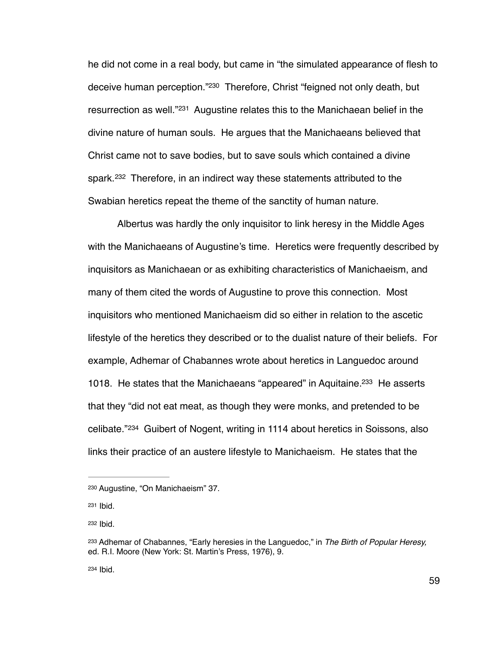<span id="page-64-6"></span><span id="page-64-5"></span>he did not come in a real body, but came in "the simulated appearance of flesh to deceive human perception.["](#page-64-0)<sup>[230](#page-64-0)</sup> Therefore, Christ "feigned not only death, but resurrection as well. $^{221}$  Augustine relates this to the Manichaean belief in the divine nature of human souls. He argues that the Manichaeans believed that Christ came not to save bodies, but to save souls which contained a divine spark.<sup>[232](#page-64-2)</sup> Therefore, in an indirect way these statements attributed to the Swabian heretics repeat the theme of the sanctity of human nature.

<span id="page-64-7"></span>Albertus was hardly the only inquisitor to link heresy in the Middle Ages with the Manichaeans of Augustine's time. Heretics were frequently described by inquisitors as Manichaean or as exhibiting characteristics of Manichaeism, and many of them cited the words of Augustine to prove this connection. Most inquisitors who mentioned Manichaeism did so either in relation to the ascetic lifestyle of the heretics they described or to the dualist nature of their beliefs. For example, Adhemar of Chabannes wrote about heretics in Languedoc around 1018[.](#page-64-3) He states that the Manichaeans "appeared" in Aquitaine.<sup>[233](#page-64-3)</sup> He asserts that they "did not eat meat, as though they were monks, and pretended to be celibate."<sup>[234](#page-64-4)</sup> Guibert of Nogent, writing in 1114 about heretics in Soissons, also links their practice of an austere lifestyle to Manichaeism. He states that the

<span id="page-64-1"></span>[231](#page-64-6) Ibid.

<span id="page-64-2"></span>[232](#page-64-7) Ibid.

<span id="page-64-4"></span>[234](#page-64-9) Ibid.

<span id="page-64-9"></span><span id="page-64-8"></span><span id="page-64-0"></span><sup>&</sup>lt;sup>[230](#page-64-5)</sup> Augustine, "On Manichaeism" 37.

<span id="page-64-3"></span><sup>&</sup>lt;sup>[233](#page-64-8)</sup> Adhemar of Chabannes, "Early heresies in the Languedoc," in *The Birth of Popular Heresy,* ed. R.I. Moore (New York: St. Martin's Press, 1976), 9.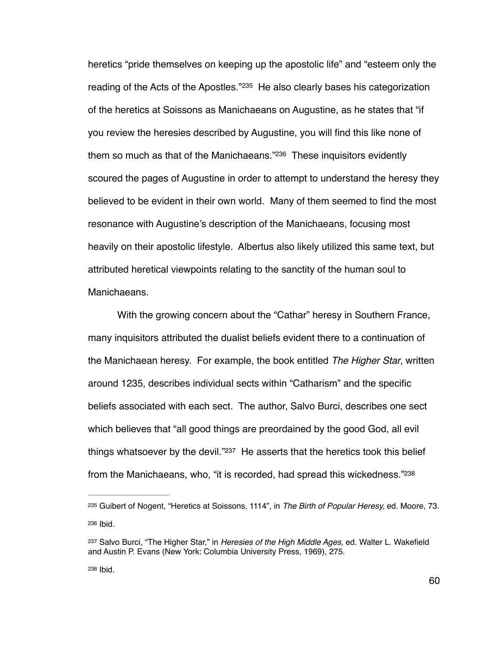<span id="page-65-5"></span><span id="page-65-4"></span>heretics "pride themselves on keeping up the apostolic life" and "esteem only the reading of the Acts of the Apostles."<sup>[235](#page-65-0)</sup> He also clearly bases his categorization of the heretics at Soissons as Manichaeans on Augustine, as he states that "if you review the heresies described by Augustine, you will find this like none of them so much as that of the Manichaeans.["](#page-65-1) $236$  These inquisitors evidently scoured the pages of Augustine in order to attempt to understand the heresy they believed to be evident in their own world. Many of them seemed to find the most resonance with Augustine's description of the Manichaeans, focusing most heavily on their apostolic lifestyle. Albertus also likely utilized this same text, but attributed heretical viewpoints relating to the sanctity of the human soul to Manichaeans.

With the growing concern about the "Cathar" heresy in Southern France, many inquisitors attributed the dualist beliefs evident there to a continuation of the Manichaean heresy. For example, the book entitled *The Higher Star*, written around 1235, describes individual sects within "Catharism" and the specific beliefs associated with each sect. The author, Salvo Burci, describes one sect which believes that "all good things are preordained by the good God, all evil things whatsoever by the devil.["](#page-65-2) $237$  He asserts that the heretics took this belief from the Manichaeans, who, "it is recorded, had spread this wickedness."<sup>238</sup>

<span id="page-65-7"></span><span id="page-65-6"></span><span id="page-65-1"></span><span id="page-65-0"></span><sup>&</sup>lt;sup>[235](#page-65-4)</sup> Guibert of Nogent, "Heretics at Soissons, 1114", in *The Birth of Popular Heresy*, ed. Moore, 73. [236](#page-65-5) Ibid.

<span id="page-65-3"></span><span id="page-65-2"></span>[<sup>237</sup>](#page-65-6) Salvo Burci, "The Higher Star," in *Heresies of the High Middle Ages*, ed. Walter L. Wakefield and Austin P. Evans (New York: Columbia University Press, 1969), 275.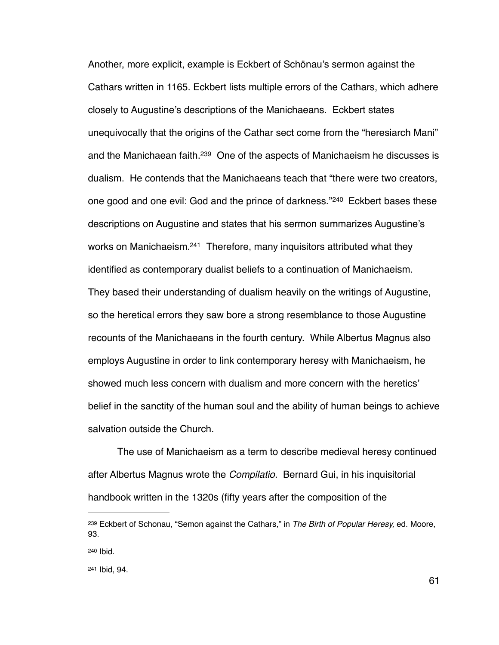<span id="page-66-5"></span><span id="page-66-4"></span><span id="page-66-3"></span>Another, more explicit, example is Eckbert of Schönau's sermon against the Cathars written in 1165. Eckbert lists multiple errors of the Cathars, which adhere closely to Augustine's descriptions of the Manichaeans. Eckbert states unequivocally that the origins of the Cathar sect come from the "heresiarch Mani" and the Manichaean faith[.](#page-66-0) <sup>[239](#page-66-0)</sup> One of the aspects of Manichaeism he discusses is dualism. He contends that the Manichaeans teach that "there were two creators, onegood and one evil: God and the prince of darkness."<sup>[240](#page-66-1)</sup> Eckbert bases these descriptions on Augustine and states that his sermon summarizes Augustine's works on Manichaeism.<sup>[241](#page-66-2)</sup> Therefore, many inquisitors attributed what they identified as contemporary dualist beliefs to a continuation of Manichaeism. They based their understanding of dualism heavily on the writings of Augustine, so the heretical errors they saw bore a strong resemblance to those Augustine recounts of the Manichaeans in the fourth century. While Albertus Magnus also employs Augustine in order to link contemporary heresy with Manichaeism, he showed much less concern with dualism and more concern with the heretics' belief in the sanctity of the human soul and the ability of human beings to achieve salvation outside the Church.

The use of Manichaeism as a term to describe medieval heresy continued after Albertus Magnus wrote the *Compilatio*. Bernard Gui, in his inquisitorial handbook written in the 1320s (fifty years after the composition of the

<span id="page-66-0"></span>Eckbert of Schonau, "Semon against the Cathars," in *The Birth of Popular Heresy,* ed. Moore, [239](#page-66-3) 93.

<span id="page-66-1"></span>[<sup>240</sup>](#page-66-4) Ibid.

<span id="page-66-2"></span>[<sup>241</sup>](#page-66-5) Ibid, 94.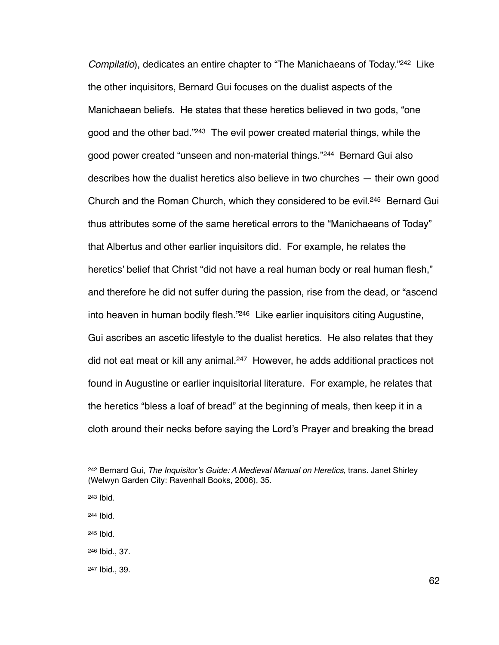<span id="page-67-9"></span><span id="page-67-8"></span><span id="page-67-7"></span><span id="page-67-6"></span>*Compilatio*), dedicates an entire chapter to ["](#page-67-0)The Manichaeans of Today."<sup>[242](#page-67-0)</sup> Like the other inquisitors, Bernard Gui focuses on the dualist aspects of the Manichaean beliefs. He states that these heretics believed in two gods, "one good and the other bad."<sup>[243](#page-67-1)</sup> The evil power created material things, while the good power created "unseen and non-material things."<sup>[244](#page-67-2)</sup> Bernard Gui also describes how the dualist heretics also believe in two churches — their own good Church and the Roman Church, which they considered to be evil.<sup>[245](#page-67-3)</sup> Bernard Gui thus attributes some of the same heretical errors to the "Manichaeans of Today" that Albertus and other earlier inquisitors did. For example, he relates the heretics' belief that Christ "did not have a real human body or real human flesh," and therefore he did not suffer during the passion, rise from the dead, or "ascend into heaven in human bodily flesh."<sup>[246](#page-67-4)</sup> Like earlier inquisitors citing Augustine, Gui ascribes an ascetic lifestyle to the dualist heretics. He also relates that they did not eat meat or kill any animal[.](#page-67-5) $247$  However, he adds additional practices not found in Augustine or earlier inquisitorial literature. For example, he relates that the heretics "bless a loaf of bread" at the beginning of meals, then keep it in a cloth around their necks before saying the Lord's Prayer and breaking the bread

<span id="page-67-3"></span>[245](#page-67-9) Ibid.

<span id="page-67-11"></span><span id="page-67-10"></span><span id="page-67-0"></span><sup>&</sup>lt;sup>[242](#page-67-6)</sup> Bernard Gui, *The Inquisitor's Guide: A Medieval Manual on Heretics*, trans. Janet Shirley (Welwyn Garden City: Ravenhall Books, 2006), 35.

<span id="page-67-1"></span>[<sup>243</sup>](#page-67-7) **Ibid.** 

<span id="page-67-2"></span>[<sup>244</sup>](#page-67-8) Ibid.

<span id="page-67-4"></span>[<sup>246</sup>](#page-67-10) Ibid., 37.

<span id="page-67-5"></span>[<sup>247</sup>](#page-67-11) Ibid., 39.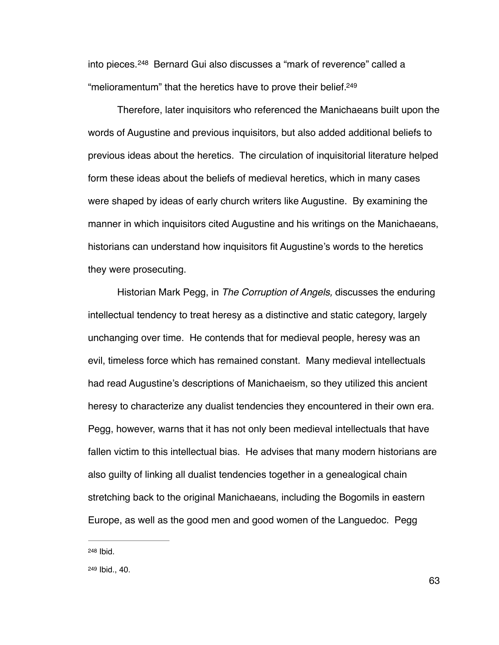<span id="page-68-3"></span><span id="page-68-2"></span>into pieces.<sup>[248](#page-68-0)</sup> Bernard Gui also discusses a "mark of reverence" called a "melioramentum" that the heretics have to prove their belief. [249](#page-68-1)

Therefore, later inquisitors who referenced the Manichaeans built upon the words of Augustine and previous inquisitors, but also added additional beliefs to previous ideas about the heretics. The circulation of inquisitorial literature helped form these ideas about the beliefs of medieval heretics, which in many cases were shaped by ideas of early church writers like Augustine. By examining the manner in which inquisitors cited Augustine and his writings on the Manichaeans, historians can understand how inquisitors fit Augustine's words to the heretics they were prosecuting.

Historian Mark Pegg, in *The Corruption of Angels,* discusses the enduring intellectual tendency to treat heresy as a distinctive and static category, largely unchanging over time. He contends that for medieval people, heresy was an evil, timeless force which has remained constant. Many medieval intellectuals had read Augustine's descriptions of Manichaeism, so they utilized this ancient heresy to characterize any dualist tendencies they encountered in their own era. Pegg, however, warns that it has not only been medieval intellectuals that have fallen victim to this intellectual bias. He advises that many modern historians are also guilty of linking all dualist tendencies together in a genealogical chain stretching back to the original Manichaeans, including the Bogomils in eastern Europe, as well as the good men and good women of the Languedoc. Pegg

<span id="page-68-0"></span>[<sup>248</sup>](#page-68-2) Ibid.

<span id="page-68-1"></span>[<sup>249</sup>](#page-68-3) Ibid., 40.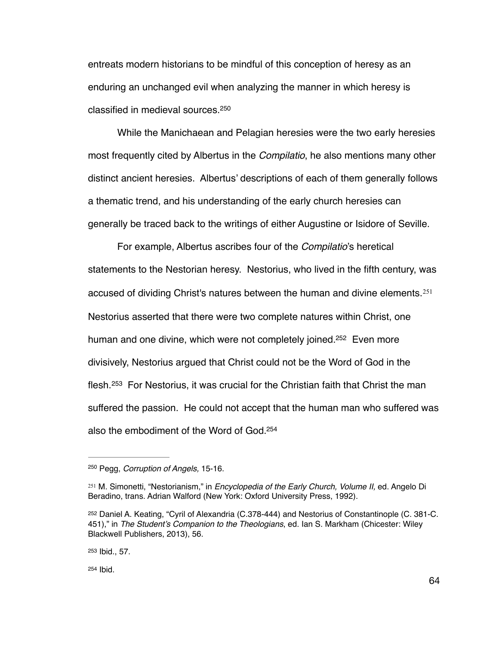entreats modern historians to be mindful of this conception of heresy as an enduring an unchanged evil when analyzing the manner in which heresy is classified in medieval sources[.](#page-69-0) [250](#page-69-0)

<span id="page-69-5"></span>While the Manichaean and Pelagian heresies were the two early heresies most frequently cited by Albertus in the *Compilatio*, he also mentions many other distinct ancient heresies. Albertus' descriptions of each of them generally follows a thematic trend, and his understanding of the early church heresies can generally be traced back to the writings of either Augustine or Isidore of Seville.

<span id="page-69-7"></span><span id="page-69-6"></span>For example, Albertus ascribes four of the *Compilatio*'s heretical statements to the Nestorian heresy. Nestorius, who lived in the fifth century, was accused of dividing Christ's natures between the human and divine elements.<sup>251</sup> Nestorius asserted that there were two complete natures within Christ, one human and one divine, which were not completely joined.<sup>[252](#page-69-2)</sup> Even more divisively, Nestorius argued that Christ could not be the Word of God in the flesh.<sup>[253](#page-69-3)</sup> For Nestorius, it was crucial for the Christian faith that Christ the man suffered the passion. He could not accept that the human man who suffered was also the embodiment of the Word of God[. 254](#page-69-4)

<span id="page-69-9"></span><span id="page-69-8"></span><span id="page-69-0"></span><sup>&</sup>lt;sup>[250](#page-69-5)</sup> Pegg, *Corruption of Angels*, 15-16.

<span id="page-69-1"></span><sup>&</sup>lt;sup>[251](#page-69-6)</sup> M. Simonetti, "Nestorianism," in *Encyclopedia of the Early Church, Volume II,* ed. Angelo Di Beradino, trans. Adrian Walford (New York: Oxford University Press, 1992).

<span id="page-69-2"></span><sup>&</sup>lt;sup>[252](#page-69-7)</sup> Daniel A. Keating, "Cyril of Alexandria (C.378-444) and Nestorius of Constantinople (C. 381-C. 451)," in *The Student's Companion to the Theologians*, ed. Ian S. Markham (Chicester: Wiley Blackwell Publishers, 2013), 56.

<span id="page-69-4"></span><span id="page-69-3"></span>[<sup>253</sup>](#page-69-8) Ibid., 57.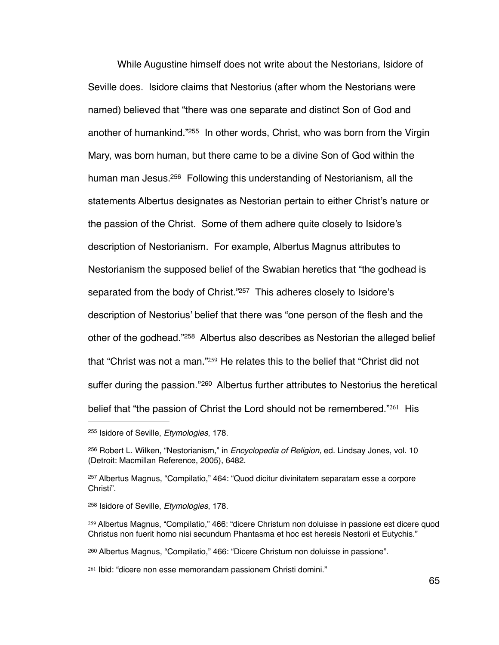<span id="page-70-8"></span><span id="page-70-7"></span>While Augustine himself does not write about the Nestorians, Isidore of Seville does. Isidore claims that Nestorius (after whom the Nestorians were named) believed that "there was one separate and distinct Son of God and another of humankind."<sup>[255](#page-70-0)</sup> In other words, Christ, who was born from the Virgin Mary, was born human, but there came to be a divine Son of God within the human man Jesus[.](#page-70-1)  $256$  Following this understanding of Nestorianism, all the statements Albertus designates as Nestorian pertain to either Christ's nature or the passion of the Christ. Some of them adhere quite closely to Isidore's description of Nestorianism. For example, Albertus Magnus attributes to Nestorianism the supposed belief of the Swabian heretics that "the godhead is separated from the body of Christ."<sup>[257](#page-70-2)</sup> This adheres closely to Isidore's description of Nestorius' belief that there was "one person of the flesh and the other of the godhead.["](#page-70-3) $258$  Albertus also describes as Nestorian the alleged belief that ["](#page-70-4)Christ was not a man." $259$  He relates this to the belief that "Christ did not sufferduring the passion."<sup>[260](#page-70-5)</sup> Albertus further attributes to Nestorius the heretical belief that ["](#page-70-6)the passion of Christ the Lord should not be remembered." $261$  His

<span id="page-70-13"></span><span id="page-70-12"></span><span id="page-70-11"></span><span id="page-70-10"></span><span id="page-70-9"></span><span id="page-70-0"></span><sup>&</sup>lt;sup>[255](#page-70-7)</sup> Isidore of Seville, *Etymologies*, 178.

<span id="page-70-1"></span><sup>&</sup>lt;sup>[256](#page-70-8)</sup> Robert L. Wilken, "Nestorianism," in *Encyclopedia of Religion*, ed. Lindsay Jones, vol. 10 (Detroit: Macmillan Reference, 2005), 6482.

<span id="page-70-2"></span><sup>&</sup>lt;sup>[257](#page-70-9)</sup> Albertus Magnus, "Compilatio," 464: "Quod dicitur divinitatem separatam esse a corpore Christi".

<span id="page-70-3"></span><sup>&</sup>lt;sup>[258](#page-70-10)</sup> Isidore of Seville, *Etymologies*, 178.

<span id="page-70-4"></span><sup>&</sup>lt;sup>[259](#page-70-11)</sup> Albertus Magnus, "Compilatio," 466: "dicere Christum non doluisse in passione est dicere quod Christus non fuerit homo nisi secundum Phantasma et hoc est heresis Nestorii et Eutychis."

<span id="page-70-5"></span>Albertus Magnus, "Compilatio," 466: "Dicere Christum non doluisse in passione". [260](#page-70-12)

<span id="page-70-6"></span><sup>&</sup>lt;sup>[261](#page-70-13)</sup> Ibid: "dicere non esse memorandam passionem Christi domini."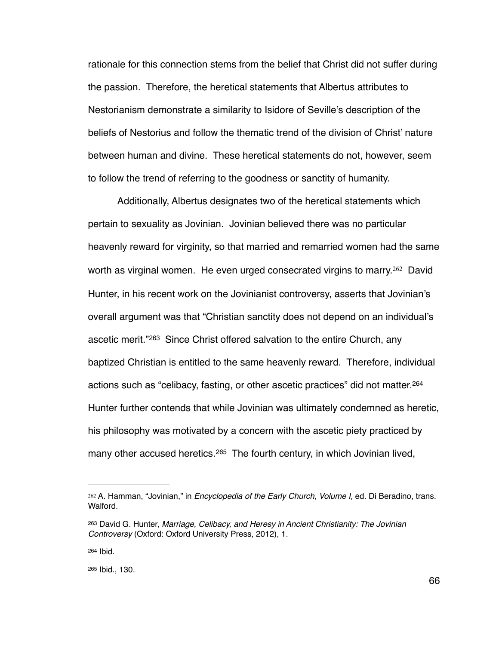rationale for this connection stems from the belief that Christ did not suffer during the passion. Therefore, the heretical statements that Albertus attributes to Nestorianism demonstrate a similarity to Isidore of Seville's description of the beliefs of Nestorius and follow the thematic trend of the division of Christ' nature between human and divine. These heretical statements do not, however, seem to follow the trend of referring to the goodness or sanctity of humanity.

<span id="page-71-5"></span><span id="page-71-4"></span>Additionally, Albertus designates two of the heretical statements which pertain to sexuality as Jovinian. Jovinian believed there was no particular heavenly reward for virginity, so that married and remarried women had the same worthas virginal women. He even urged consecrated virgins to marry.  $262$  David Hunter, in his recent work on the Jovinianist controversy, asserts that Jovinian's overall argument was that "Christian sanctity does not depend on an individual's ascetic merit."<sup>[263](#page-71-1)</sup> Since Christ offered salvation to the entire Church, any baptized Christian is entitled to the same heavenly reward. Therefore, individual actions such as "celibacy, fasting, or other ascetic practices" did not matter. [264](#page-71-2) Hunter further contends that while Jovinian was ultimately condemned as heretic, his philosophy was motivated by a concern with the ascetic piety practiced by many other accused heretics. <sup>[265](#page-71-3)</sup> The fourth century, in which Jovinian lived,

<span id="page-71-7"></span><span id="page-71-6"></span><span id="page-71-0"></span><sup>&</sup>lt;sup>[262](#page-71-4)</sup> A. Hamman, "Jovinian," in *Encyclopedia of the Early Church, Volume I, ed. Di Beradino, trans.* Walford.

<span id="page-71-1"></span>David G. Hunter, *Marriage, Celibacy, and Heresy in Ancient Christianity: The Jovinian* [263](#page-71-5) *Controversy* (Oxford: Oxford University Press, 2012), 1.

<span id="page-71-2"></span>[<sup>264</sup>](#page-71-6) Ibid.

<span id="page-71-3"></span>[<sup>265</sup>](#page-71-7) Ibid., 130.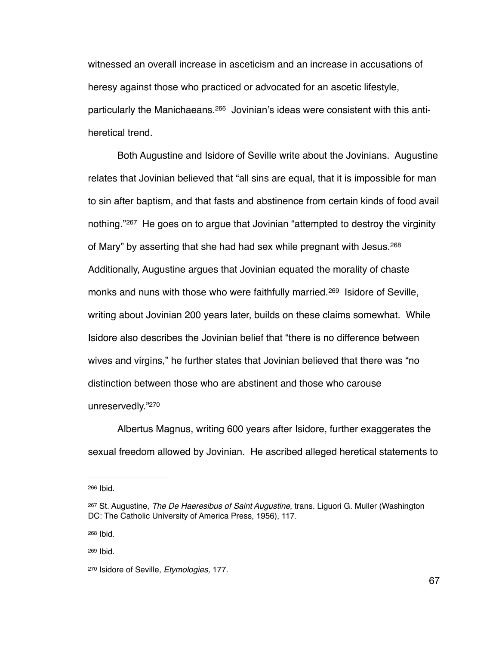<span id="page-72-5"></span>witnessed an overall increase in asceticism and an increase in accusations of heresy against those who practiced or advocated for an ascetic lifestyle, particularly the Manichaeans[.](#page-72-0)<sup>266</sup> Jovinian's ideas were consistent with this antiheretical trend.

<span id="page-72-8"></span><span id="page-72-7"></span><span id="page-72-6"></span>Both Augustine and Isidore of Seville write about the Jovinians. Augustine relates that Jovinian believed that "all sins are equal, that it is impossible for man to sin after baptism, and that fasts and abstinence from certain kinds of food avail nothing."<sup>[267](#page-72-1)</sup> He goes on to argue that Jovinian "attempted to destroy the virginity of Mary" by asserting that she had had sex while pregnant with Jesus. [268](#page-72-2) Additionally, Augustine argues that Jovinian equated the morality of chaste monks and nuns with those who were faithfully married.<sup>[269](#page-72-3)</sup> Isidore of Seville, writing about Jovinian 200 years later, builds on these claims somewhat. While Isidore also describes the Jovinian belief that "there is no difference between wives and virgins," he further states that Jovinian believed that there was "no distinction between those who are abstinent and those who carouse unreservedly.["](#page-72-4)<sup>[270](#page-72-4)</sup>

<span id="page-72-9"></span> Albertus Magnus, writing 600 years after Isidore, further exaggerates the sexual freedom allowed by Jovinian. He ascribed alleged heretical statements to

<span id="page-72-2"></span>[268](#page-72-7) Ibid.

<span id="page-72-3"></span>[269](#page-72-8) Ibid.

<span id="page-72-0"></span>[<sup>266</sup>](#page-72-5) Ibid.

<span id="page-72-1"></span>St. Augustine, *The De Haeresibus of Saint Augustine,* trans. Liguori G. Muller (Washington [267](#page-72-6) DC: The Catholic University of America Press, 1956), 117.

<span id="page-72-4"></span><sup>&</sup>lt;sup>[270](#page-72-9)</sup> Isidore of Seville, *Etymologies*, 177.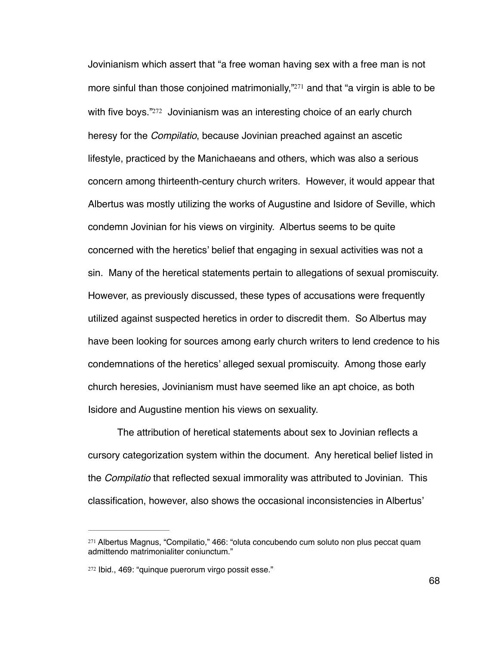<span id="page-73-3"></span><span id="page-73-2"></span>Jovinianism which assert that "a free woman having sex with a free man is not more sinful than those conjoined matrimonially, $\frac{1}{271}$  and that ["](#page-73-0)a virgin is able to be with five boys.["](#page-73-1)<sup>272</sup> Jovinianism was an interesting choice of an early church heresy for the *Compilatio*, because Jovinian preached against an ascetic lifestyle, practiced by the Manichaeans and others, which was also a serious concern among thirteenth-century church writers. However, it would appear that Albertus was mostly utilizing the works of Augustine and Isidore of Seville, which condemn Jovinian for his views on virginity. Albertus seems to be quite concerned with the heretics' belief that engaging in sexual activities was not a sin. Many of the heretical statements pertain to allegations of sexual promiscuity. However, as previously discussed, these types of accusations were frequently utilized against suspected heretics in order to discredit them. So Albertus may have been looking for sources among early church writers to lend credence to his condemnations of the heretics' alleged sexual promiscuity. Among those early church heresies, Jovinianism must have seemed like an apt choice, as both Isidore and Augustine mention his views on sexuality.

The attribution of heretical statements about sex to Jovinian reflects a cursory categorization system within the document. Any heretical belief listed in the *Compilatio* that reflected sexual immorality was attributed to Jovinian. This classification, however, also shows the occasional inconsistencies in Albertus'

<span id="page-73-0"></span><sup>&</sup>lt;sup>[271](#page-73-2)</sup> Albertus Magnus, "Compilatio," 466: "oluta concubendo cum soluto non plus peccat quam admittendo matrimonialiter coniunctum."

<span id="page-73-1"></span><sup>&</sup>lt;sup>[272](#page-73-3)</sup> Ibid., 469: "quinque puerorum virgo possit esse."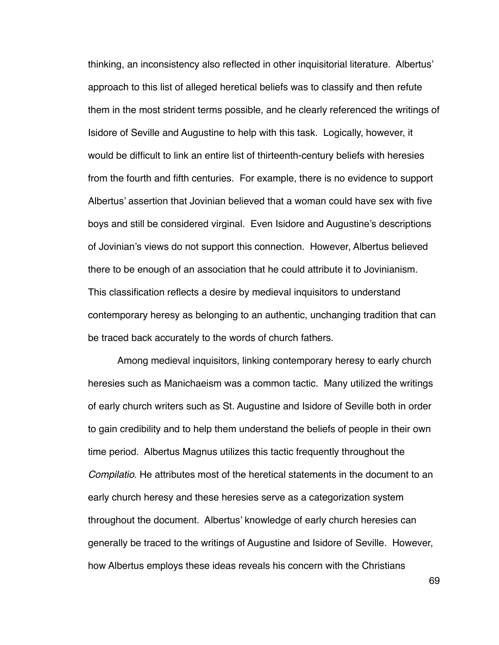thinking, an inconsistency also reflected in other inquisitorial literature. Albertus' approach to this list of alleged heretical beliefs was to classify and then refute them in the most strident terms possible, and he clearly referenced the writings of Isidore of Seville and Augustine to help with this task. Logically, however, it would be difficult to link an entire list of thirteenth-century beliefs with heresies from the fourth and fifth centuries. For example, there is no evidence to support Albertus' assertion that Jovinian believed that a woman could have sex with five boys and still be considered virginal. Even Isidore and Augustine's descriptions of Jovinian's views do not support this connection. However, Albertus believed there to be enough of an association that he could attribute it to Jovinianism. This classification reflects a desire by medieval inquisitors to understand contemporary heresy as belonging to an authentic, unchanging tradition that can be traced back accurately to the words of church fathers.

Among medieval inquisitors, linking contemporary heresy to early church heresies such as Manichaeism was a common tactic. Many utilized the writings of early church writers such as St. Augustine and Isidore of Seville both in order to gain credibility and to help them understand the beliefs of people in their own time period. Albertus Magnus utilizes this tactic frequently throughout the *Compilatio*. He attributes most of the heretical statements in the document to an early church heresy and these heresies serve as a categorization system throughout the document. Albertus' knowledge of early church heresies can generally be traced to the writings of Augustine and Isidore of Seville. However, how Albertus employs these ideas reveals his concern with the Christians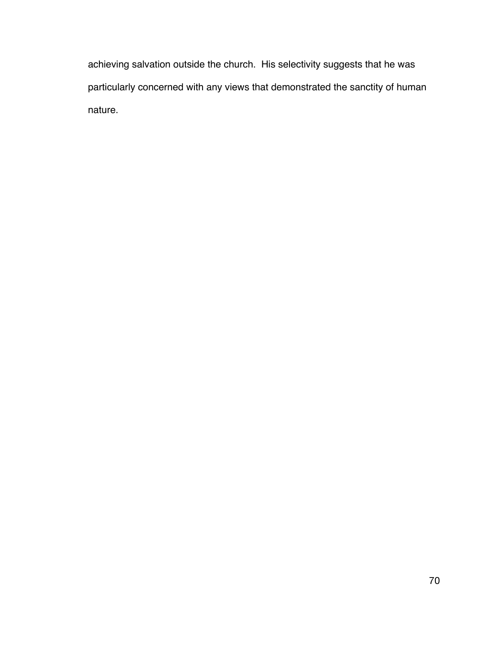achieving salvation outside the church. His selectivity suggests that he was particularly concerned with any views that demonstrated the sanctity of human nature.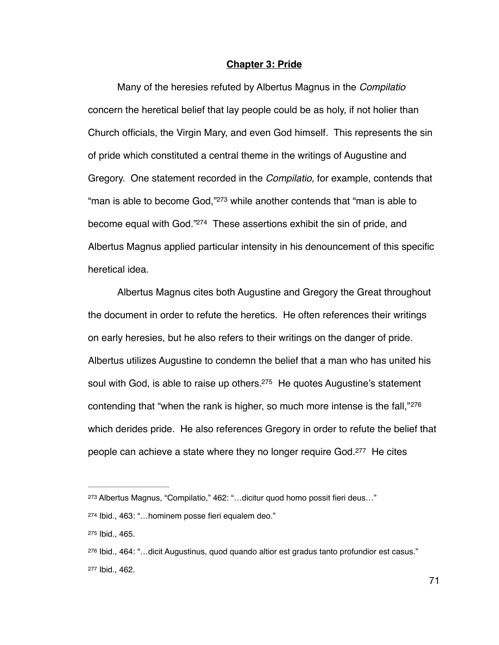## <span id="page-76-5"></span>**Chapter 3: Pride**

Many of the heresies refuted by Albertus Magnus in the *Compilatio*  concern the heretical belief that lay people could be as holy, if not holier than Church officials, the Virgin Mary, and even God himself. This represents the sin of pride which constituted a central theme in the writings of Augustine and Gregory. One statement recorded in the *Compilatio,* for example, contends that ["](#page-76-0)man is able to become God," $273$  while another contends that "man is able to become equal with God."<sup>[274](#page-76-1)</sup> These assertions exhibit the sin of pride, and Albertus Magnus applied particular intensity in his denouncement of this specific heretical idea.

<span id="page-76-7"></span><span id="page-76-6"></span>Albertus Magnus cites both Augustine and Gregory the Great throughout the document in order to refute the heretics. He often references their writings on early heresies, but he also refers to their writings on the danger of pride. Albertus utilizes Augustine to condemn the belief that a man who has united his soul with God, is able to raise up others. $275$  He quotes Augustine's statement contending that "when the rank is higher, so much more intense is the fall,"[276](#page-76-3) which derides pride. He also references Gregory in order to refute the belief that people can achieve a state where they no longer require God.<sup>[277](#page-76-4)</sup> He cites

<span id="page-76-9"></span><span id="page-76-8"></span><span id="page-76-0"></span><sup>&</sup>lt;sup>[273](#page-76-5)</sup> Albertus Magnus, "Compilatio," 462: "...dicitur quod homo possit fieri deus..."

<span id="page-76-1"></span><sup>&</sup>lt;sup>[274](#page-76-6)</sup> Ibid., 463: "...hominem posse fieri equalem deo."

<span id="page-76-2"></span>[<sup>275</sup>](#page-76-7) Ibid., 465.

<span id="page-76-4"></span><span id="page-76-3"></span><sup>&</sup>lt;sup>[276](#page-76-8)</sup> Ibid., 464: "...dicit Augustinus, quod quando altior est gradus tanto profundior est casus." [277](#page-76-9) Ibid., 462.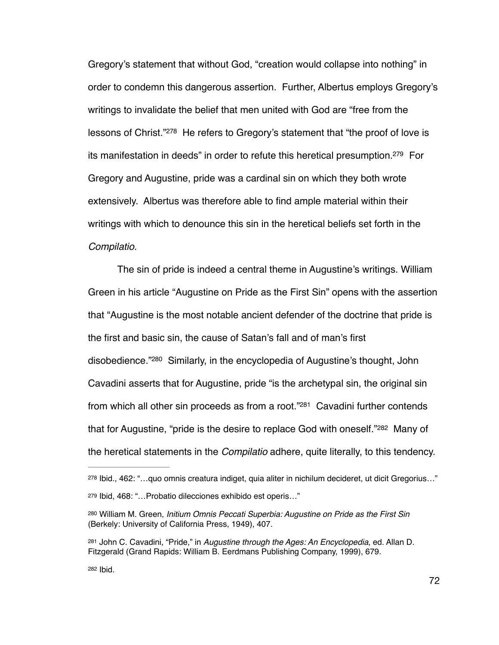<span id="page-77-6"></span><span id="page-77-5"></span>Gregory's statement that without God, "creation would collapse into nothing" in order to condemn this dangerous assertion. Further, Albertus employs Gregory's writings to invalidate the belief that men united with God are "free from the lessons of Christ.["](#page-77-0)<sup>[278](#page-77-0)</sup> He refers to Gregory's statement that "the proof of love is its manifestation in deeds" in order to refute this heretical presumption.<sup>[279](#page-77-1)</sup> For Gregory and Augustine, pride was a cardinal sin on which they both wrote extensively. Albertus was therefore able to find ample material within their writings with which to denounce this sin in the heretical beliefs set forth in the *Compilatio.*

<span id="page-77-7"></span>The sin of pride is indeed a central theme in Augustine's writings. William Green in his article "Augustine on Pride as the First Sin" opens with the assertion that "Augustine is the most notable ancient defender of the doctrine that pride is the first and basic sin, the cause of Satan's fall and of man's first disobedience.["](#page-77-2)<sup>[280](#page-77-2)</sup> Similarly, in the encyclopedia of Augustine's thought, John Cavadini asserts that for Augustine, pride "is the archetypal sin, the original sin from which all other sin proceeds as from a root.["](#page-77-3) $281$  Cavadini further contends that for Augustine, "pride is the desire to replace God with oneself."<sup>[282](#page-77-4)</sup> Many of the heretical statements in the *Compilatio* adhere, quite literally, to this tendency.

<span id="page-77-9"></span><span id="page-77-8"></span><span id="page-77-1"></span><span id="page-77-0"></span>[<sup>278</sup>](#page-77-5) Ibid., 462: "...quo omnis creatura indiget, quia aliter in nichilum decideret, ut dicit Gregorius..." [279](#page-77-6) Ibid, 468: "...Probatio dilecciones exhibido est operis..."

<span id="page-77-2"></span><sup>&</sup>lt;sup>[280](#page-77-7)</sup> William M. Green, *Initium Omnis Peccati Superbia: Augustine on Pride as the First Sin* (Berkely: University of California Press, 1949), 407.

<span id="page-77-3"></span><sup>&</sup>lt;sup>[281](#page-77-8)</sup> John C. Cavadini, "Pride," in *Augustine through the Ages: An Encyclopedia*, ed. Allan D. Fitzgerald (Grand Rapids: William B. Eerdmans Publishing Company, 1999), 679.

<span id="page-77-4"></span>[<sup>282</sup>](#page-77-9) Ibid.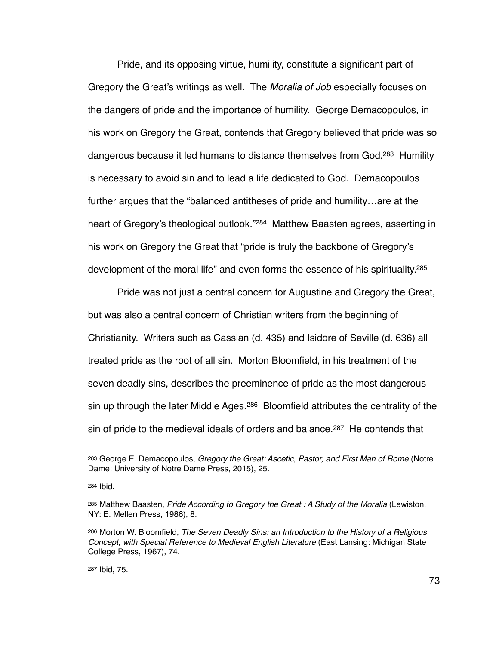<span id="page-78-5"></span>Pride, and its opposing virtue, humility, constitute a significant part of Gregory the Great's writings as well. The *Moralia of Job* especially focuses on the dangers of pride and the importance of humility. George Demacopoulos, in his work on Gregory the Great, contends that Gregory believed that pride was so dangerous because it led humans to distance themselves from God.<sup>[283](#page-78-0)</sup> Humility is necessary to avoid sin and to lead a life dedicated to God. Demacopoulos further argues that the "balanced antitheses of pride and humility…are at the heart of Gregory's theological outlook."<sup>[284](#page-78-1)</sup> Matthew Baasten agrees, asserting in his work on Gregory the Great that "pride is truly the backbone of Gregory's development of the moral life" and even forms the essence of his spirituality[.285](#page-78-2)

<span id="page-78-7"></span><span id="page-78-6"></span>Pride was not just a central concern for Augustine and Gregory the Great, but was also a central concern of Christian writers from the beginning of Christianity. Writers such as Cassian (d. 435) and Isidore of Seville (d. 636) all treated pride as the root of all sin. Morton Bloomfield, in his treatment of the seven deadly sins, describes the preeminence of pride as the most dangerous sin up through the later Middle Ages.  $286$  Bloomfield attributes the centrality of the sin of pride to the medieval ideals of orders and balance. $287$  He contends that

<span id="page-78-9"></span><span id="page-78-8"></span><span id="page-78-0"></span><sup>&</sup>lt;sup>[283](#page-78-5)</sup> George E. Demacopoulos, *Gregory the Great: Ascetic, Pastor, and First Man of Rome* (Notre Dame: University of Notre Dame Press, 2015), 25.

<span id="page-78-1"></span>[<sup>284</sup>](#page-78-6) **Ibid.** 

<span id="page-78-2"></span><sup>&</sup>lt;sup>[285](#page-78-7)</sup> Matthew Baasten, *Pride According to Gregory the Great : A Study of the Moralia* (Lewiston, NY: E. Mellen Press, 1986), 8.

<span id="page-78-3"></span>[<sup>286</sup>](#page-78-8) Morton W. Bloomfield, *The Seven Deadly Sins: an Introduction to the History of a Religious Concept, with Special Reference to Medieval English Literature* (East Lansing: Michigan State College Press, 1967), 74.

<span id="page-78-4"></span>[<sup>287</sup>](#page-78-9) Ibid, 75.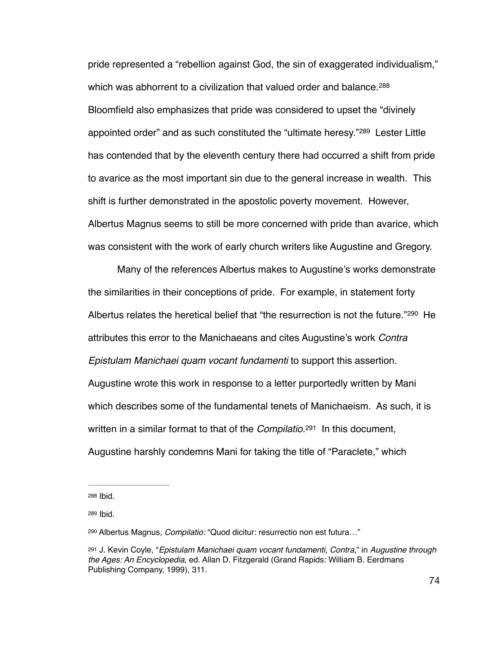<span id="page-79-5"></span><span id="page-79-4"></span>pride represented a "rebellion against God, the sin of exaggerated individualism," which was abhorrent to a civilization that valued order and balance.<sup>[288](#page-79-0)</sup> Bloomfield also emphasizes that pride was considered to upset the "divinely appointedorder" and as such constituted the "ultimate heresy." $289$  Lester Little has contended that by the eleventh century there had occurred a shift from pride to avarice as the most important sin due to the general increase in wealth. This shift is further demonstrated in the apostolic poverty movement. However, Albertus Magnus seems to still be more concerned with pride than avarice, which was consistent with the work of early church writers like Augustine and Gregory.

<span id="page-79-6"></span>Many of the references Albertus makes to Augustine's works demonstrate the similarities in their conceptions of pride. For example, in statement forty Albertusrelates the heretical belief that "the resurrection is not the future." $290$  He attributes this error to the Manichaeans and cites Augustine's work *Contra Epistulam Manichaei quam vocant fundamenti* to support this assertion. Augustine wrote this work in response to a letter purportedly written by Mani which describes some of the fundamental tenets of Manichaeism. As such, it is written in a similar format to that of the *Compilatio*.<sup>[291](#page-79-3)</sup> In this document, Augustine harshly condemns Mani for taking the title of "Paraclete," which

<span id="page-79-7"></span><span id="page-79-0"></span>[<sup>288</sup>](#page-79-4) Ibid.

<span id="page-79-1"></span>[<sup>289</sup>](#page-79-5) Ibid.

<span id="page-79-2"></span>Albertus Magnus, *Compilatio:* "Quod dicitur: resurrectio non est futura…" [290](#page-79-6)

<span id="page-79-3"></span>J. Kevin Coyle, "*Epistulam Manichaei quam vocant fundamenti, Contra*," in *Augustine through* [291](#page-79-7) *the Ages: An Encyclopedia*, ed. Allan D. Fitzgerald (Grand Rapids: William B. Eerdmans Publishing Company, 1999), 311.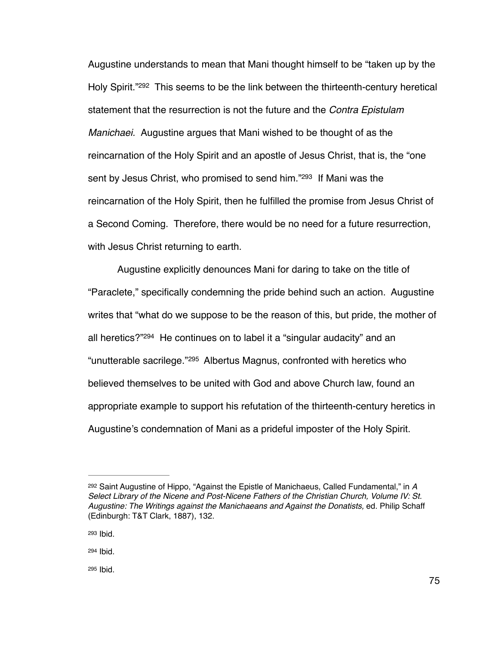<span id="page-80-4"></span>Augustine understands to mean that Mani thought himself to be "taken up by the Holy Spirit.["](#page-80-0)<sup>[292](#page-80-0)</sup> This seems to be the link between the thirteenth-century heretical statement that the resurrection is not the future and the *Contra Epistulam Manichaei.* Augustine argues that Mani wished to be thought of as the reincarnation of the Holy Spirit and an apostle of Jesus Christ, that is, the "one sent by Jesus Christ, who promised to send him.["](#page-80-1)<sup>[293](#page-80-1)</sup> If Mani was the reincarnation of the Holy Spirit, then he fulfilled the promise from Jesus Christ of a Second Coming. Therefore, there would be no need for a future resurrection, with Jesus Christ returning to earth.

<span id="page-80-7"></span><span id="page-80-6"></span><span id="page-80-5"></span>Augustine explicitly denounces Mani for daring to take on the title of "Paraclete," specifically condemning the pride behind such an action. Augustine writes that "what do we suppose to be the reason of this, but pride, the mother of all heretics? $294$  He continues on to label it a ["](#page-80-2)singular audacity" and an "unutterable sacrilege."<sup>[295](#page-80-3)</sup> Albertus Magnus, confronted with heretics who believed themselves to be united with God and above Church law, found an appropriate example to support his refutation of the thirteenth-century heretics in Augustine's condemnation of Mani as a prideful imposter of the Holy Spirit.

<span id="page-80-0"></span><sup>&</sup>lt;sup>[292](#page-80-4)</sup> Saint Augustine of Hippo, "Against the Epistle of Manichaeus, Called Fundamental," in A *Select Library of the Nicene and Post-Nicene Fathers of the Christian Church, Volume IV: St. Augustine: The Writings against the Manichaeans and Against the Donatists,* ed. Philip Schaff (Edinburgh: T&T Clark, 1887), 132.

<span id="page-80-1"></span>[<sup>293</sup>](#page-80-5) Ibid.

<span id="page-80-2"></span>[<sup>294</sup>](#page-80-6) Ibid.

<span id="page-80-3"></span>[<sup>295</sup>](#page-80-7) Ibid.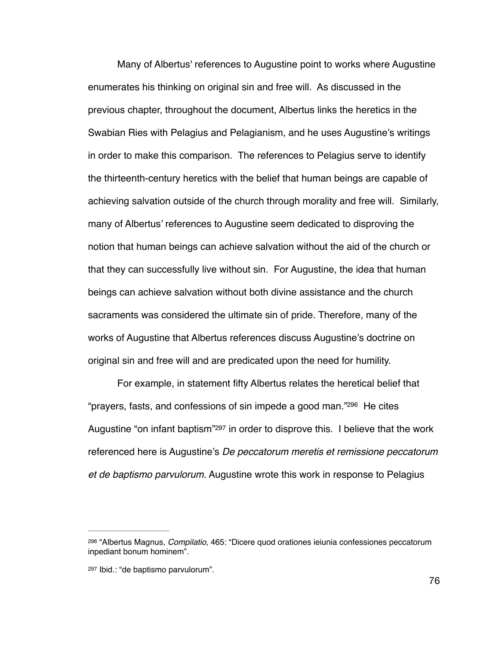Many of Albertus' references to Augustine point to works where Augustine enumerates his thinking on original sin and free will. As discussed in the previous chapter, throughout the document, Albertus links the heretics in the Swabian Ries with Pelagius and Pelagianism, and he uses Augustine's writings in order to make this comparison. The references to Pelagius serve to identify the thirteenth-century heretics with the belief that human beings are capable of achieving salvation outside of the church through morality and free will. Similarly, many of Albertus' references to Augustine seem dedicated to disproving the notion that human beings can achieve salvation without the aid of the church or that they can successfully live without sin. For Augustine, the idea that human beings can achieve salvation without both divine assistance and the church sacraments was considered the ultimate sin of pride. Therefore, many of the works of Augustine that Albertus references discuss Augustine's doctrine on original sin and free will and are predicated upon the need for humility.

<span id="page-81-3"></span><span id="page-81-2"></span>For example, in statement fifty Albertus relates the heretical belief that "prayers, fasts, and confessions of sin impede a good man." $296$  He cites Augustine ["](#page-81-1)on infant baptism" $297$  in order to disprove this. I believe that the work referenced here is Augustine's *De peccatorum meretis et remissione peccatorum et de baptismo parvulorum*. Augustine wrote this work in response to Pelagius

<span id="page-81-0"></span> <sup>&</sup>quot;Albertus Magnus, *Compilatio,* 465: "Dicere quod orationes ieiunia confessiones peccatorum [296](#page-81-2) inpediant bonum hominem".

<span id="page-81-1"></span>[<sup>297</sup>](#page-81-3) Ibid.: "de baptismo parvulorum".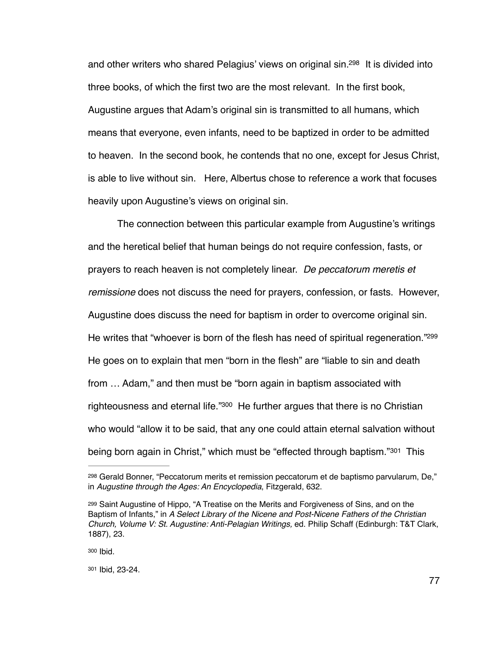<span id="page-82-4"></span>and other writers who shared Pelagius' views on original  $sin^{298}$  $sin^{298}$  $sin^{298}$  It is divided into three books, of which the first two are the most relevant. In the first book, Augustine argues that Adam's original sin is transmitted to all humans, which means that everyone, even infants, need to be baptized in order to be admitted to heaven. In the second book, he contends that no one, except for Jesus Christ, is able to live without sin. Here, Albertus chose to reference a work that focuses heavily upon Augustine's views on original sin.

<span id="page-82-5"></span>The connection between this particular example from Augustine's writings and the heretical belief that human beings do not require confession, fasts, or prayers to reach heaven is not completely linear. *De peccatorum meretis et remissione* does not discuss the need for prayers, confession, or fasts. However, Augustine does discuss the need for baptism in order to overcome original sin. He writes that "whoever is born of the flesh has need of spiritual regeneration."<sup>299</sup> He goes on to explain that men "born in the flesh" are "liable to sin and death from … Adam," and then must be "born again in baptism associated with righteousness and eternal life.["](#page-82-2) $300$  He further argues that there is no Christian who would "allow it to be said, that any one could attain eternal salvation without beingborn again in Christ," which must be "effected through baptism."<sup>[301](#page-82-3)</sup> This

<span id="page-82-2"></span>[300](#page-82-6) Ibid.

<span id="page-82-3"></span>[301](#page-82-7) Ibid, 23-24.

<span id="page-82-7"></span><span id="page-82-6"></span><span id="page-82-0"></span><sup>&</sup>lt;sup>[298](#page-82-4)</sup> Gerald Bonner, "Peccatorum merits et remission peccatorum et de baptismo parvularum, De," in *Augustine through the Ages: An Encyclopedia*, Fitzgerald, 632.

<span id="page-82-1"></span><sup>&</sup>lt;sup>[299](#page-82-5)</sup> Saint Augustine of Hippo, "A Treatise on the Merits and Forgiveness of Sins, and on the Baptism of Infants," in *A Select Library of the Nicene and Post-Nicene Fathers of the Christian Church, Volume V: St. Augustine: Anti-Pelagian Writings,* ed. Philip Schaff (Edinburgh: T&T Clark, 1887), 23.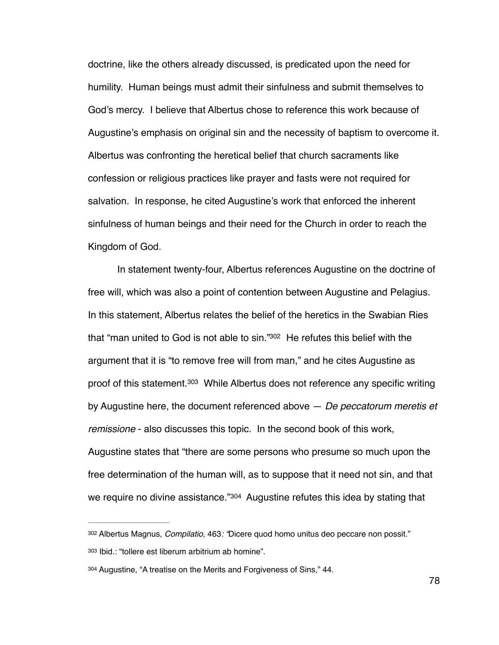doctrine, like the others already discussed, is predicated upon the need for humility. Human beings must admit their sinfulness and submit themselves to God's mercy. I believe that Albertus chose to reference this work because of Augustine's emphasis on original sin and the necessity of baptism to overcome it. Albertus was confronting the heretical belief that church sacraments like confession or religious practices like prayer and fasts were not required for salvation. In response, he cited Augustine's work that enforced the inherent sinfulness of human beings and their need for the Church in order to reach the Kingdom of God.

<span id="page-83-4"></span><span id="page-83-3"></span>In statement twenty-four, Albertus references Augustine on the doctrine of free will, which was also a point of contention between Augustine and Pelagius. In this statement, Albertus relates the belief of the heretics in the Swabian Ries that "man united to God is not able to sin."<sup>[302](#page-83-0)</sup> He refutes this belief with the argument that it is "to remove free will from man," and he cites Augustine as proof of this statement[.](#page-83-1)<sup>[303](#page-83-1)</sup> While Albertus does not reference any specific writing by Augustine here, the document referenced above — *De peccatorum meretis et remissione* - also discusses this topic. In the second book of this work, Augustine states that "there are some persons who presume so much upon the free determination of the human will, as to suppose that it need not sin, and that we require no divine assistance."<sup>[304](#page-83-2)</sup> Augustine refutes this idea by stating that

<span id="page-83-5"></span><span id="page-83-1"></span><span id="page-83-0"></span>[<sup>302</sup>](#page-83-3) Albertus Magnus, *Compilatio*, 463*:* "Dicere quod homo unitus deo peccare non possit." [303](#page-83-4) Ibid.: "tollere est liberum arbitrium ab homine".

<span id="page-83-2"></span>[<sup>304</sup>](#page-83-5) Augustine, "A treatise on the Merits and Forgiveness of Sins," 44.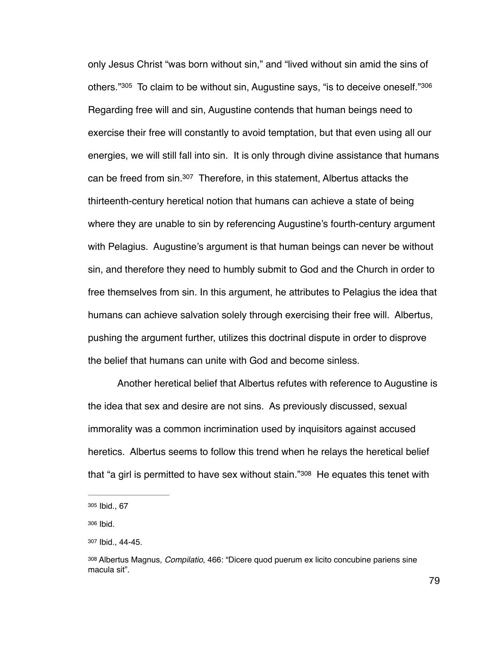<span id="page-84-6"></span><span id="page-84-5"></span><span id="page-84-4"></span>only Jesus Christ "was born without sin," and "lived without sin amid the sins of others."<sup>[305](#page-84-0)</sup> To claim to be without sin, Augustine says, "is to deceive oneself."<sup>306</sup> Regarding free will and sin, Augustine contends that human beings need to exercise their free will constantly to avoid temptation, but that even using all our energies, we will still fall into sin. It is only through divine assistance that humans can be freed from  $sin^{307}$  $sin^{307}$  $sin^{307}$  Therefore, in this statement, Albertus attacks the thirteenth-century heretical notion that humans can achieve a state of being where they are unable to sin by referencing Augustine's fourth-century argument with Pelagius. Augustine's argument is that human beings can never be without sin, and therefore they need to humbly submit to God and the Church in order to free themselves from sin. In this argument, he attributes to Pelagius the idea that humans can achieve salvation solely through exercising their free will. Albertus, pushing the argument further, utilizes this doctrinal dispute in order to disprove the belief that humans can unite with God and become sinless.

Another heretical belief that Albertus refutes with reference to Augustine is the idea that sex and desire are not sins. As previously discussed, sexual immorality was a common incrimination used by inquisitors against accused heretics. Albertus seems to follow this trend when he relays the heretical belief that "a girl is permitted to have sex without stain." $308$  He equates this tenet with

<span id="page-84-7"></span><span id="page-84-0"></span>[<sup>305</sup>](#page-84-4) Ibid., 67

<span id="page-84-1"></span>[<sup>306</sup>](#page-84-5) Ibid.

<span id="page-84-2"></span>[<sup>307</sup>](#page-84-6) Ibid., 44-45.

<span id="page-84-3"></span><sup>&</sup>lt;sup>[308](#page-84-7)</sup> Albertus Magnus, *Compilatio*, 466: "Dicere quod puerum ex licito concubine pariens sine macula sit".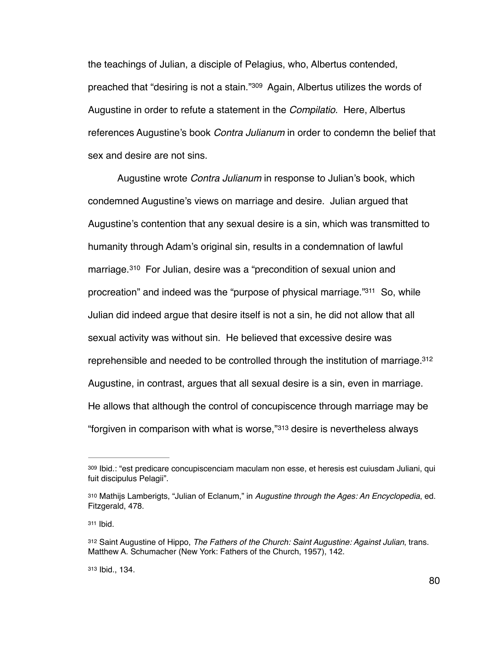<span id="page-85-5"></span>the teachings of Julian, a disciple of Pelagius, who, Albertus contended, preached that "desiring is not a stain."<sup>[309](#page-85-0)</sup> Again, Albertus utilizes the words of Augustine in order to refute a statement in the *Compilatio*. Here, Albertus references Augustine's book *Contra Julianum* in order to condemn the belief that sex and desire are not sins.

<span id="page-85-7"></span><span id="page-85-6"></span>Augustine wrote *Contra Julianum* in response to Julian's book, which condemned Augustine's views on marriage and desire. Julian argued that Augustine's contention that any sexual desire is a sin, which was transmitted to humanity through Adam's original sin, results in a condemnation of lawful marriage.<sup>[310](#page-85-1)</sup> For Julian, desire was a "precondition of sexual union and procreation["](#page-85-2) and indeed was the "purpose of physical marriage. $311$  So, while Julian did indeed argue that desire itself is not a sin, he did not allow that all sexual activity was without sin. He believed that excessive desire was reprehensible and needed to be controlled through the institution of marriage[. 312](#page-85-3) Augustine, in contrast, argues that all sexual desire is a sin, even in marriage. He allows that although the control of concupiscence through marriage may be "forgiven in comparison with what is worse," $313$  desire is nevertheless always

<span id="page-85-2"></span>[311](#page-85-7) Ibid.

<span id="page-85-4"></span>[313](#page-85-9) Ibid., 134.

<span id="page-85-9"></span><span id="page-85-8"></span><span id="page-85-0"></span>[<sup>309</sup>](#page-85-5) Ibid.: "est predicare concupiscenciam maculam non esse, et heresis est cuiusdam Juliani, qui fuit discipulus Pelagii".

<span id="page-85-1"></span>[<sup>310</sup>](#page-85-6) Mathijs Lamberigts, "Julian of Eclanum," in *Augustine through the Ages: An Encyclopedia*, ed. Fitzgerald, 478.

<span id="page-85-3"></span>Saint Augustine of Hippo, *The Fathers of the Church: Saint Augustine: Against Julian*, trans. [312](#page-85-8) Matthew A. Schumacher (New York: Fathers of the Church, 1957), 142.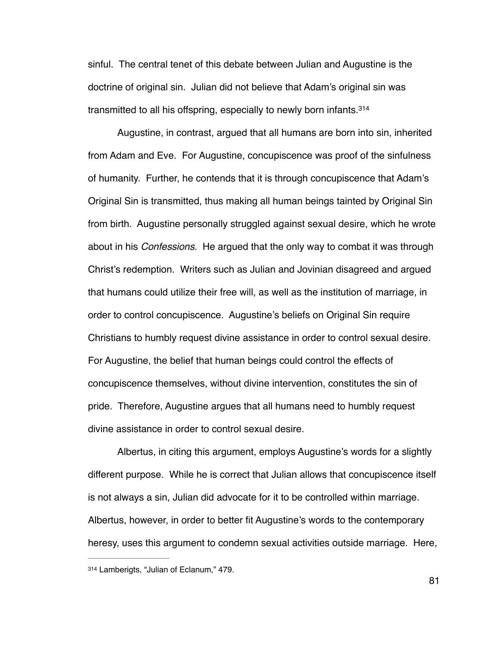sinful. The central tenet of this debate between Julian and Augustine is the doctrine of original sin. Julian did not believe that Adam's original sin was transmitted to all his offspring, especially to newly born infants. [314](#page-86-0)

<span id="page-86-1"></span>Augustine, in contrast, argued that all humans are born into sin, inherited from Adam and Eve. For Augustine, concupiscence was proof of the sinfulness of humanity. Further, he contends that it is through concupiscence that Adam's Original Sin is transmitted, thus making all human beings tainted by Original Sin from birth. Augustine personally struggled against sexual desire, which he wrote about in his *Confessions*. He argued that the only way to combat it was through Christ's redemption. Writers such as Julian and Jovinian disagreed and argued that humans could utilize their free will, as well as the institution of marriage, in order to control concupiscence. Augustine's beliefs on Original Sin require Christians to humbly request divine assistance in order to control sexual desire. For Augustine, the belief that human beings could control the effects of concupiscence themselves, without divine intervention, constitutes the sin of pride. Therefore, Augustine argues that all humans need to humbly request divine assistance in order to control sexual desire.

Albertus, in citing this argument, employs Augustine's words for a slightly different purpose. While he is correct that Julian allows that concupiscence itself is not always a sin, Julian did advocate for it to be controlled within marriage. Albertus, however, in order to better fit Augustine's words to the contemporary heresy, uses this argument to condemn sexual activities outside marriage. Here,

<span id="page-86-0"></span>[<sup>314</sup>](#page-86-1) Lamberigts, "Julian of Eclanum," 479.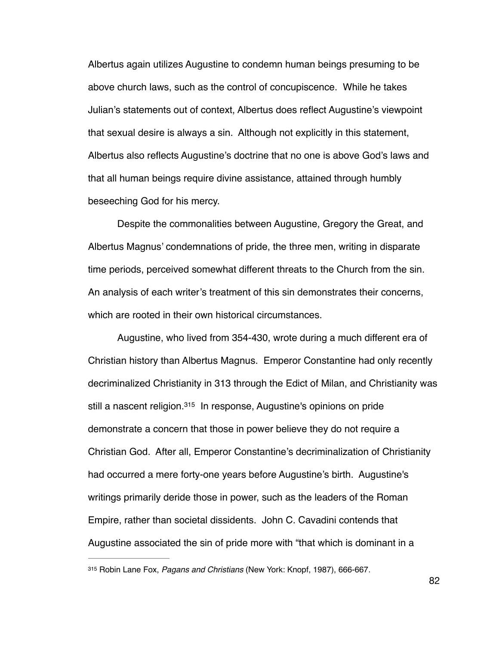Albertus again utilizes Augustine to condemn human beings presuming to be above church laws, such as the control of concupiscence. While he takes Julian's statements out of context, Albertus does reflect Augustine's viewpoint that sexual desire is always a sin. Although not explicitly in this statement, Albertus also reflects Augustine's doctrine that no one is above God's laws and that all human beings require divine assistance, attained through humbly beseeching God for his mercy.

 Despite the commonalities between Augustine, Gregory the Great, and Albertus Magnus' condemnations of pride, the three men, writing in disparate time periods, perceived somewhat different threats to the Church from the sin. An analysis of each writer's treatment of this sin demonstrates their concerns, which are rooted in their own historical circumstances.

<span id="page-87-1"></span>Augustine, who lived from 354-430, wrote during a much different era of Christian history than Albertus Magnus. Emperor Constantine had only recently decriminalized Christianity in 313 through the Edict of Milan, and Christianity was still a nascent religion[.](#page-87-0)<sup>[315](#page-87-0)</sup> In response, Augustine's opinions on pride demonstrate a concern that those in power believe they do not require a Christian God. After all, Emperor Constantine's decriminalization of Christianity had occurred a mere forty-one years before Augustine's birth. Augustine's writings primarily deride those in power, such as the leaders of the Roman Empire, rather than societal dissidents. John C. Cavadini contends that Augustine associated the sin of pride more with "that which is dominant in a

<span id="page-87-0"></span>Robin Lane Fox, *Pagans and Christians* (New York: Knopf, 1987), 666-667. [315](#page-87-1)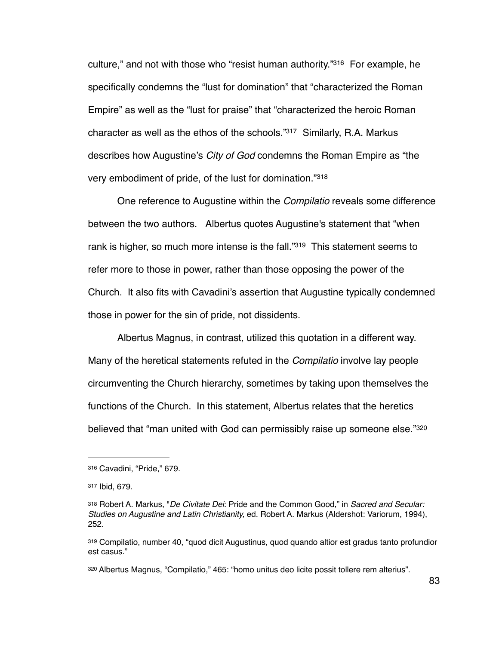<span id="page-88-6"></span><span id="page-88-5"></span>culture,["](#page-88-0) and not with those who "resist human authority."<sup>[316](#page-88-0)</sup> For example, he specifically condemns the "lust for domination" that "characterized the Roman Empire" as well as the "lust for praise" that "characterized the heroic Roman character as well as the ethos of the schools." $317$  Similarly, R.A. Markus describes how Augustine's *City of God* condemns the Roman Empire as "the very embodiment of pride, of the lust for domination."[318](#page-88-2)

<span id="page-88-8"></span><span id="page-88-7"></span>One reference to Augustine within the *Compilatio* reveals some difference between the two authors. Albertus quotes Augustine's statement that "when rank is higher, so much more intense is the fall.["](#page-88-3)<sup>[319](#page-88-3)</sup> This statement seems to refer more to those in power, rather than those opposing the power of the Church. It also fits with Cavadini's assertion that Augustine typically condemned those in power for the sin of pride, not dissidents.

Albertus Magnus, in contrast, utilized this quotation in a different way. Many of the heretical statements refuted in the *Compilatio* involve lay people circumventing the Church hierarchy, sometimes by taking upon themselves the functions of the Church. In this statement, Albertus relates that the heretics believed that "man united with God can permissibly raise up someone else."[320](#page-88-4)

<span id="page-88-9"></span><span id="page-88-0"></span>Cavadini, "Pride," 679. [316](#page-88-5)

<span id="page-88-1"></span>[<sup>317</sup>](#page-88-6) Ibid, 679.

<span id="page-88-2"></span>Robert A. Markus, "*De Civitate Dei*: Pride and the Common Good," in *Sacred and Secular:* [318](#page-88-7) *Studies on Augustine and Latin Christianity,* ed. Robert A. Markus (Aldershot: Variorum, 1994), 252.

<span id="page-88-3"></span>Compilatio, number 40, "quod dicit Augustinus, quod quando altior est gradus tanto profundior [319](#page-88-8) est casus."

<span id="page-88-4"></span>[<sup>320</sup>](#page-88-9) Albertus Magnus, "Compilatio," 465: "homo unitus deo licite possit tollere rem alterius".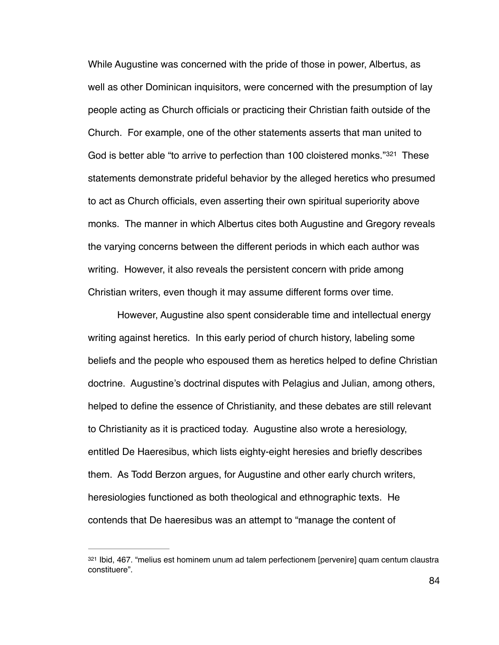<span id="page-89-1"></span>While Augustine was concerned with the pride of those in power, Albertus, as well as other Dominican inquisitors, were concerned with the presumption of lay people acting as Church officials or practicing their Christian faith outside of the Church. For example, one of the other statements asserts that man united to Godis better able "to arrive to perfection than 100 cloistered monks."<sup>[321](#page-89-0)</sup> These statements demonstrate prideful behavior by the alleged heretics who presumed to act as Church officials, even asserting their own spiritual superiority above monks. The manner in which Albertus cites both Augustine and Gregory reveals the varying concerns between the different periods in which each author was writing. However, it also reveals the persistent concern with pride among Christian writers, even though it may assume different forms over time.

However, Augustine also spent considerable time and intellectual energy writing against heretics. In this early period of church history, labeling some beliefs and the people who espoused them as heretics helped to define Christian doctrine. Augustine's doctrinal disputes with Pelagius and Julian, among others, helped to define the essence of Christianity, and these debates are still relevant to Christianity as it is practiced today. Augustine also wrote a heresiology, entitled De Haeresibus, which lists eighty-eight heresies and briefly describes them. As Todd Berzon argues, for Augustine and other early church writers, heresiologies functioned as both theological and ethnographic texts. He contends that De haeresibus was an attempt to "manage the content of

<span id="page-89-0"></span>[<sup>321</sup>](#page-89-1) Ibid, 467. "melius est hominem unum ad talem perfectionem [pervenire] quam centum claustra constituere".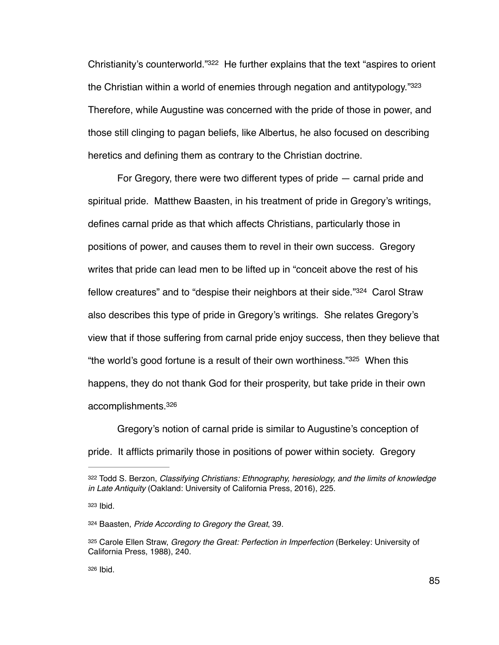<span id="page-90-6"></span><span id="page-90-5"></span>Christianity's counterworld.["](#page-90-0) [322](#page-90-0) He further explains that the text "aspires to orient the Christian within a world of enemies through negation and antitypology.["](#page-90-1)<sup>[323](#page-90-1)</sup> Therefore, while Augustine was concerned with the pride of those in power, and those still clinging to pagan beliefs, like Albertus, he also focused on describing heretics and defining them as contrary to the Christian doctrine.

<span id="page-90-7"></span>For Gregory, there were two different types of pride — carnal pride and spiritual pride. Matthew Baasten, in his treatment of pride in Gregory's writings, defines carnal pride as that which affects Christians, particularly those in positions of power, and causes them to revel in their own success. Gregory writes that pride can lead men to be lifted up in "conceit above the rest of his fellow creatures" and to "despise their neighbors at their side."<sup>[324](#page-90-2)</sup> Carol Straw also describes this type of pride in Gregory's writings. She relates Gregory's view that if those suffering from carnal pride enjoy success, then they believe that "the world's good fortune is a result of their own worthiness." $325$  When this happens, they do not thank God for their prosperity, but take pride in their own accomplishments[.326](#page-90-4)

<span id="page-90-9"></span><span id="page-90-8"></span>Gregory's notion of carnal pride is similar to Augustine's conception of pride. It afflicts primarily those in positions of power within society. Gregory

<span id="page-90-0"></span>[<sup>322</sup>](#page-90-5) Todd S. Berzon, *Classifying Christians: Ethnography, heresiology, and the limits of knowledge in Late Antiquity* (Oakland: University of California Press, 2016), 225.

<span id="page-90-1"></span>[<sup>323</sup>](#page-90-6) Ibid.

<span id="page-90-2"></span>[<sup>324</sup>](#page-90-7) Baasten, Pride According to Gregory the Great, 39.

<span id="page-90-3"></span>[<sup>325</sup>](#page-90-8) Carole Ellen Straw, *Gregory the Great: Perfection in Imperfection* (Berkeley: University of California Press, 1988), 240.

<span id="page-90-4"></span>[<sup>326</sup>](#page-90-9) Ibid.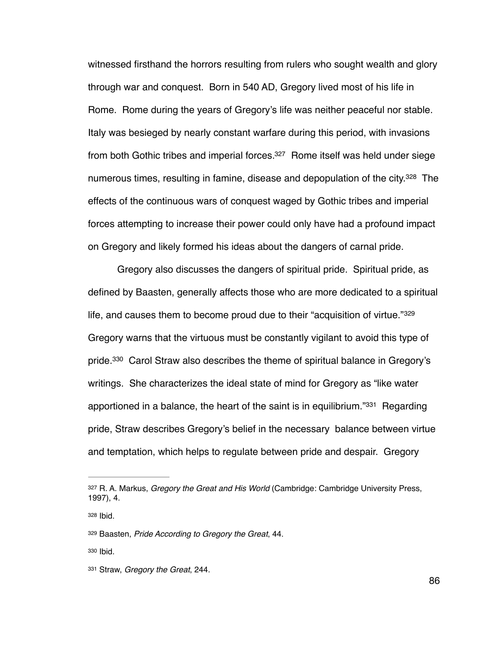<span id="page-91-5"></span>witnessed firsthand the horrors resulting from rulers who sought wealth and glory through war and conquest. Born in 540 AD, Gregory lived most of his life in Rome. Rome during the years of Gregory's life was neither peaceful nor stable. Italy was besieged by nearly constant warfare during this period, with invasions from both Gothic tribes and imperial forces[.](#page-91-0)  $327$  Rome itself was held under siege numerous times, resulting in famine, disease and depopulation of the city[.](#page-91-1)<sup>[328](#page-91-1)</sup> The effects of the continuous wars of conquest waged by Gothic tribes and imperial forces attempting to increase their power could only have had a profound impact on Gregory and likely formed his ideas about the dangers of carnal pride.

<span id="page-91-8"></span><span id="page-91-7"></span><span id="page-91-6"></span>Gregory also discusses the dangers of spiritual pride. Spiritual pride, as defined by Baasten, generally affects those who are more dedicated to a spiritual life, and causes them to become proud due to their "acquisition of virtue."<sup>329</sup> Gregory warns that the virtuous must be constantly vigilant to avoid this type of pride[.](#page-91-3)  $330$  Carol Straw also describes the theme of spiritual balance in Gregory's writings. She characterizes the ideal state of mind for Gregory as "like water apportioned in a balance, the heart of the saint is in equilibrium.<sup>"[331](#page-91-4)</sup> Regarding pride, Straw describes Gregory's belief in the necessary balance between virtue and temptation, which helps to regulate between pride and despair. Gregory

<span id="page-91-9"></span><span id="page-91-0"></span>[<sup>327</sup>](#page-91-5) R. A. Markus, *Gregory the Great and His World* (Cambridge: Cambridge University Press, 1997), 4.

<span id="page-91-1"></span>[<sup>328</sup>](#page-91-6) Ibid.

<span id="page-91-2"></span>[<sup>329</sup>](#page-91-7) Baasten, *Pride According to Gregory the Great*, 44.

<span id="page-91-3"></span>[<sup>330</sup>](#page-91-8) Ibid.

<span id="page-91-4"></span>[<sup>331</sup>](#page-91-9) Straw, *Gregory the Great*, 244.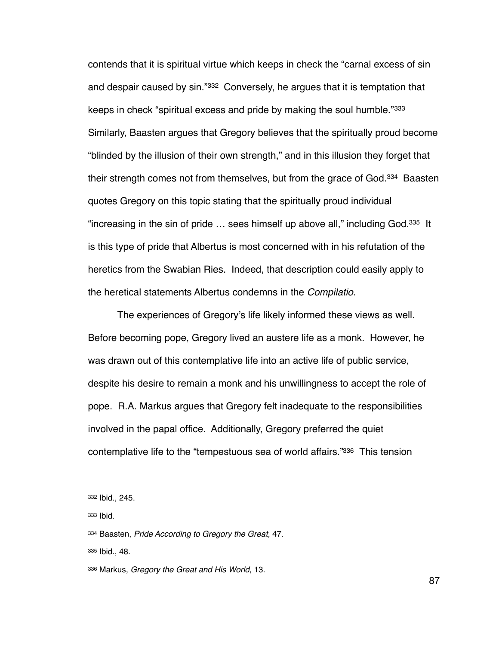<span id="page-92-7"></span><span id="page-92-6"></span><span id="page-92-5"></span>contends that it is spiritual virtue which keeps in check the "carnal excess of sin and despair caused by sin."[332](#page-92-0) Conversely, he argues that it is temptation that keeps in check "spiritual excess and pride by making the soul humble."333 Similarly, Baasten argues that Gregory believes that the spiritually proud become "blinded by the illusion of their own strength," and in this illusion they forget that their strength comes not from themselves, but from the grace of God.<sup>[334](#page-92-2)</sup> Baasten quotes Gregory on this topic stating that the spiritually proud individual "increasing in the sin of pride  $\ldots$  sees himself up above all," including God.<sup>[335](#page-92-3)</sup> It is this type of pride that Albertus is most concerned with in his refutation of the heretics from the Swabian Ries. Indeed, that description could easily apply to the heretical statements Albertus condemns in the *Compilatio*.

<span id="page-92-8"></span>The experiences of Gregory's life likely informed these views as well. Before becoming pope, Gregory lived an austere life as a monk. However, he was drawn out of this contemplative life into an active life of public service, despite his desire to remain a monk and his unwillingness to accept the role of pope. R.A. Markus argues that Gregory felt inadequate to the responsibilities involved in the papal office. Additionally, Gregory preferred the quiet contemplative life to the "tempestuous sea of world affairs."<sup>[336](#page-92-4)</sup> This tension

<span id="page-92-3"></span>[335](#page-92-8) Ibid., 48.

<span id="page-92-9"></span><span id="page-92-0"></span>[<sup>332</sup>](#page-92-5) Ibid., 245.

<span id="page-92-1"></span>[<sup>333</sup>](#page-92-6) Ibid.

<span id="page-92-2"></span>Baasten, *Pride According to Gregory the Great,* 47. [334](#page-92-7)

<span id="page-92-4"></span>[<sup>336</sup>](#page-92-9) Markus, *Gregory the Great and His World*, 13.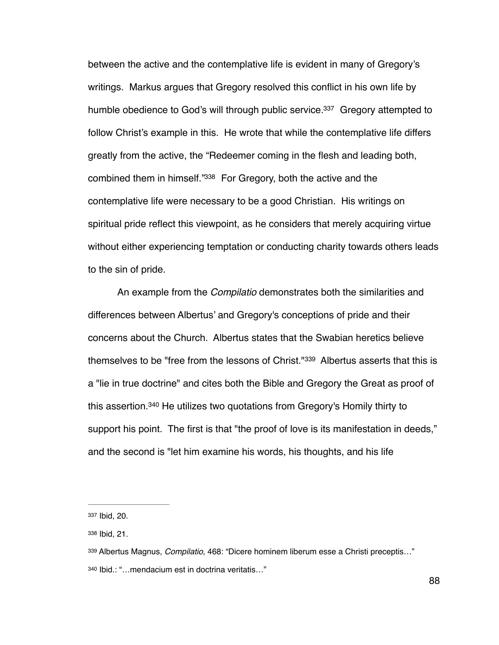<span id="page-93-5"></span><span id="page-93-4"></span>between the active and the contemplative life is evident in many of Gregory's writings. Markus argues that Gregory resolved this conflict in his own life by humble obedience to God's will through public service.<sup>[337](#page-93-0)</sup> Gregory attempted to follow Christ's example in this. He wrote that while the contemplative life differs greatly from the active, the "Redeemer coming in the flesh and leading both, combined them in himself."[338](#page-93-1) For Gregory, both the active and the contemplative life were necessary to be a good Christian. His writings on spiritual pride reflect this viewpoint, as he considers that merely acquiring virtue without either experiencing temptation or conducting charity towards others leads to the sin of pride.

<span id="page-93-6"></span>An example from the *Compilatio* demonstrates both the similarities and differences between Albertus' and Gregory's conceptions of pride and their concerns about the Church. Albertus states that the Swabian heretics believe themselves to be "free from the lessons of Christ."<sup>[339](#page-93-2)</sup> Albertus asserts that this is a "lie in true doctrine" and cites both the Bible and Gregory the Great as proof of this assertion[.](#page-93-3) $340$  He utilizes two quotations from Gregory's Homily thirty to support his point. The first is that "the proof of love is its manifestation in deeds," and the second is "let him examine his words, his thoughts, and his life

<span id="page-93-7"></span><span id="page-93-0"></span>[<sup>337</sup>](#page-93-4) Ibid, 20.

<span id="page-93-1"></span>[<sup>338</sup>](#page-93-5) Ibid, 21.

<span id="page-93-3"></span><span id="page-93-2"></span>Albertus Magnus, *Compilatio*, 468: "Dicere hominem liberum esse a Christi preceptis…" [339](#page-93-6) Ibid.: "…mendacium est in doctrina veritatis…" [340](#page-93-7)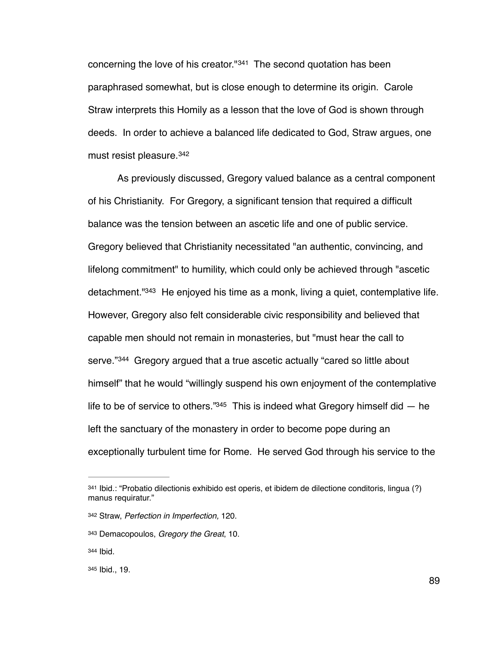<span id="page-94-5"></span>concerning the love of his creator." $341$  The second quotation has been paraphrased somewhat, but is close enough to determine its origin. Carole Straw interprets this Homily as a lesson that the love of God is shown through deeds. In order to achieve a balanced life dedicated to God, Straw argues, one must resist pleasure. [342](#page-94-1)

<span id="page-94-7"></span><span id="page-94-6"></span>As previously discussed, Gregory valued balance as a central component of his Christianity. For Gregory, a significant tension that required a difficult balance was the tension between an ascetic life and one of public service. Gregory believed that Christianity necessitated "an authentic, convincing, and lifelong commitment" to humility, which could only be achieved through "ascetic detachment.  $1343$  $1343$  He enjoyed his time as a monk, living a quiet, contemplative life. However, Gregory also felt considerable civic responsibility and believed that capable men should not remain in monasteries, but "must hear the call to serve."<sup>[344](#page-94-3)</sup> Gregory argued that a true ascetic actually "cared so little about himself" that he would "willingly suspend his own enjoyment of the contemplative life to be of service to others." $345$  This is indeed what Gregory himself did  $-$  he left the sanctuary of the monastery in order to become pope during an exceptionally turbulent time for Rome. He served God through his service to the

<span id="page-94-9"></span><span id="page-94-8"></span><span id="page-94-0"></span>[<sup>341</sup>](#page-94-5) Ibid.: "Probatio dilectionis exhibido est operis, et ibidem de dilectione conditoris, lingua (?) manus requiratur."

<span id="page-94-1"></span>Straw, *Perfection in Imperfection,* 120. [342](#page-94-6)

<span id="page-94-2"></span>Demacopoulos, *Gregory the Great*, 10. [343](#page-94-7)

<span id="page-94-3"></span>[<sup>344</sup>](#page-94-8) Ibid.

<span id="page-94-4"></span>[<sup>345</sup>](#page-94-9) Ibid., 19.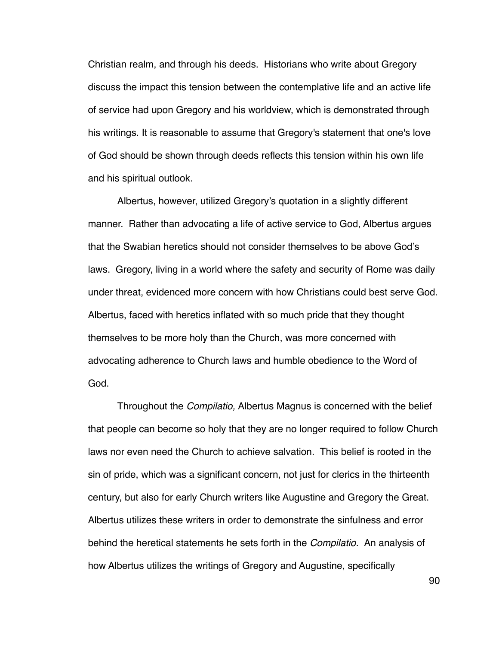Christian realm, and through his deeds. Historians who write about Gregory discuss the impact this tension between the contemplative life and an active life of service had upon Gregory and his worldview, which is demonstrated through his writings. It is reasonable to assume that Gregory's statement that one's love of God should be shown through deeds reflects this tension within his own life and his spiritual outlook.

Albertus, however, utilized Gregory's quotation in a slightly different manner. Rather than advocating a life of active service to God, Albertus argues that the Swabian heretics should not consider themselves to be above God's laws. Gregory, living in a world where the safety and security of Rome was daily under threat, evidenced more concern with how Christians could best serve God. Albertus, faced with heretics inflated with so much pride that they thought themselves to be more holy than the Church, was more concerned with advocating adherence to Church laws and humble obedience to the Word of God.

Throughout the *Compilatio,* Albertus Magnus is concerned with the belief that people can become so holy that they are no longer required to follow Church laws nor even need the Church to achieve salvation. This belief is rooted in the sin of pride, which was a significant concern, not just for clerics in the thirteenth century, but also for early Church writers like Augustine and Gregory the Great. Albertus utilizes these writers in order to demonstrate the sinfulness and error behind the heretical statements he sets forth in the *Compilatio.* An analysis of how Albertus utilizes the writings of Gregory and Augustine, specifically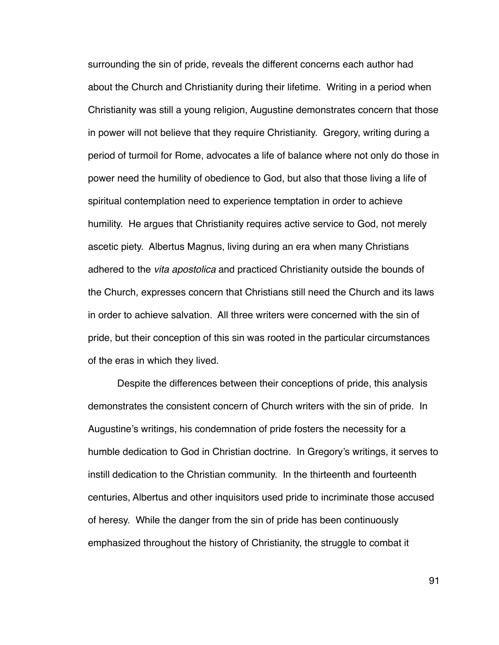surrounding the sin of pride, reveals the different concerns each author had about the Church and Christianity during their lifetime. Writing in a period when Christianity was still a young religion, Augustine demonstrates concern that those in power will not believe that they require Christianity. Gregory, writing during a period of turmoil for Rome, advocates a life of balance where not only do those in power need the humility of obedience to God, but also that those living a life of spiritual contemplation need to experience temptation in order to achieve humility. He argues that Christianity requires active service to God, not merely ascetic piety. Albertus Magnus, living during an era when many Christians adhered to the *vita apostolica* and practiced Christianity outside the bounds of the Church, expresses concern that Christians still need the Church and its laws in order to achieve salvation. All three writers were concerned with the sin of pride, but their conception of this sin was rooted in the particular circumstances of the eras in which they lived.

Despite the differences between their conceptions of pride, this analysis demonstrates the consistent concern of Church writers with the sin of pride. In Augustine's writings, his condemnation of pride fosters the necessity for a humble dedication to God in Christian doctrine. In Gregory's writings, it serves to instill dedication to the Christian community. In the thirteenth and fourteenth centuries, Albertus and other inquisitors used pride to incriminate those accused of heresy. While the danger from the sin of pride has been continuously emphasized throughout the history of Christianity, the struggle to combat it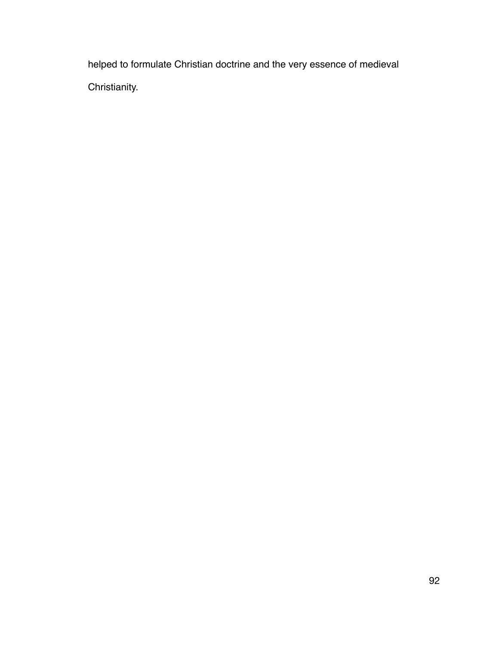helped to formulate Christian doctrine and the very essence of medieval Christianity.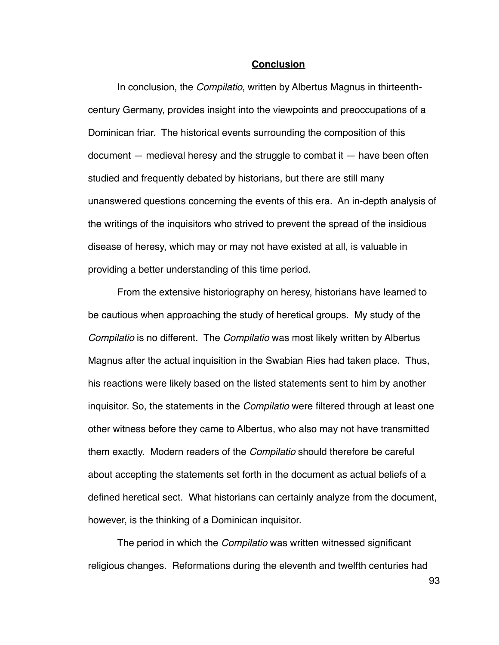## **Conclusion**

In conclusion, the *Compilatio*, written by Albertus Magnus in thirteenthcentury Germany, provides insight into the viewpoints and preoccupations of a Dominican friar. The historical events surrounding the composition of this document — medieval heresy and the struggle to combat it — have been often studied and frequently debated by historians, but there are still many unanswered questions concerning the events of this era. An in-depth analysis of the writings of the inquisitors who strived to prevent the spread of the insidious disease of heresy, which may or may not have existed at all, is valuable in providing a better understanding of this time period.

From the extensive historiography on heresy, historians have learned to be cautious when approaching the study of heretical groups. My study of the *Compilatio* is no different. The *Compilatio* was most likely written by Albertus Magnus after the actual inquisition in the Swabian Ries had taken place. Thus, his reactions were likely based on the listed statements sent to him by another inquisitor. So, the statements in the *Compilatio* were filtered through at least one other witness before they came to Albertus, who also may not have transmitted them exactly. Modern readers of the *Compilatio* should therefore be careful about accepting the statements set forth in the document as actual beliefs of a defined heretical sect. What historians can certainly analyze from the document, however, is the thinking of a Dominican inquisitor.

The period in which the *Compilatio* was written witnessed significant religious changes. Reformations during the eleventh and twelfth centuries had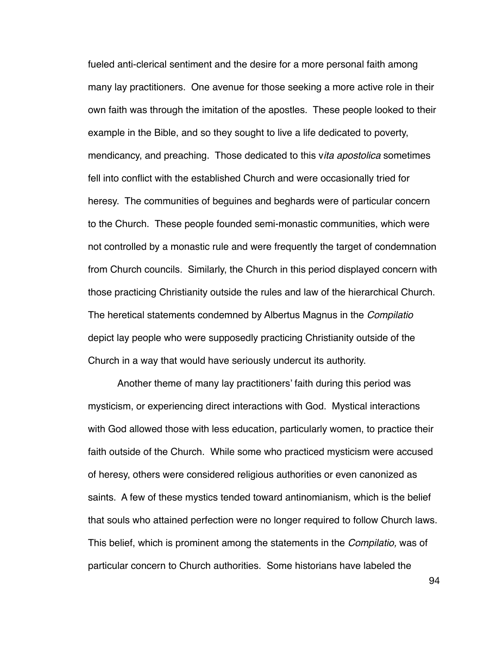fueled anti-clerical sentiment and the desire for a more personal faith among many lay practitioners. One avenue for those seeking a more active role in their own faith was through the imitation of the apostles. These people looked to their example in the Bible, and so they sought to live a life dedicated to poverty, mendicancy, and preaching. Those dedicated to this v*ita apostolica* sometimes fell into conflict with the established Church and were occasionally tried for heresy. The communities of beguines and beghards were of particular concern to the Church. These people founded semi-monastic communities, which were not controlled by a monastic rule and were frequently the target of condemnation from Church councils. Similarly, the Church in this period displayed concern with those practicing Christianity outside the rules and law of the hierarchical Church. The heretical statements condemned by Albertus Magnus in the *Compilatio* depict lay people who were supposedly practicing Christianity outside of the Church in a way that would have seriously undercut its authority.

Another theme of many lay practitioners' faith during this period was mysticism, or experiencing direct interactions with God. Mystical interactions with God allowed those with less education, particularly women, to practice their faith outside of the Church. While some who practiced mysticism were accused of heresy, others were considered religious authorities or even canonized as saints. A few of these mystics tended toward antinomianism, which is the belief that souls who attained perfection were no longer required to follow Church laws. This belief, which is prominent among the statements in the *Compilatio,* was of particular concern to Church authorities. Some historians have labeled the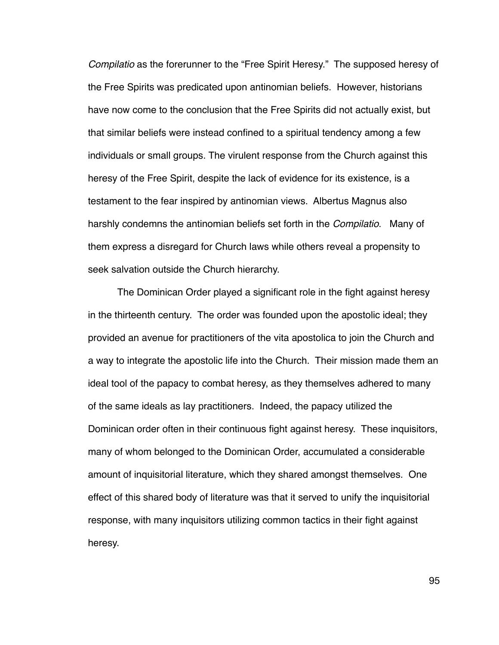*Compilatio* as the forerunner to the "Free Spirit Heresy." The supposed heresy of the Free Spirits was predicated upon antinomian beliefs. However, historians have now come to the conclusion that the Free Spirits did not actually exist, but that similar beliefs were instead confined to a spiritual tendency among a few individuals or small groups. The virulent response from the Church against this heresy of the Free Spirit, despite the lack of evidence for its existence, is a testament to the fear inspired by antinomian views. Albertus Magnus also harshly condemns the antinomian beliefs set forth in the *Compilatio*. Many of them express a disregard for Church laws while others reveal a propensity to seek salvation outside the Church hierarchy.

The Dominican Order played a significant role in the fight against heresy in the thirteenth century. The order was founded upon the apostolic ideal; they provided an avenue for practitioners of the vita apostolica to join the Church and a way to integrate the apostolic life into the Church. Their mission made them an ideal tool of the papacy to combat heresy, as they themselves adhered to many of the same ideals as lay practitioners. Indeed, the papacy utilized the Dominican order often in their continuous fight against heresy. These inquisitors, many of whom belonged to the Dominican Order, accumulated a considerable amount of inquisitorial literature, which they shared amongst themselves. One effect of this shared body of literature was that it served to unify the inquisitorial response, with many inquisitors utilizing common tactics in their fight against heresy.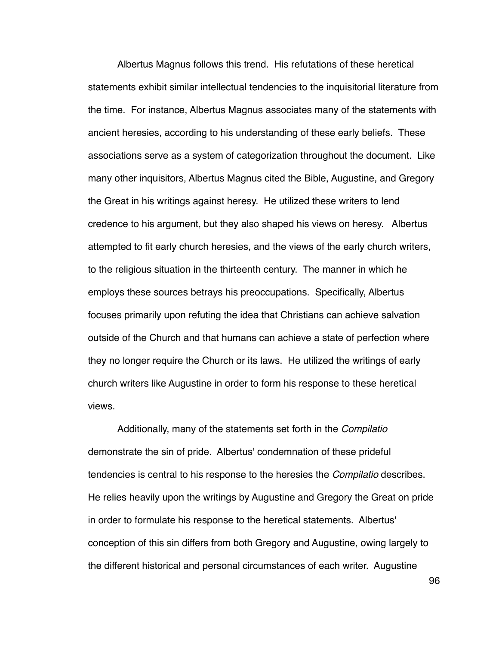Albertus Magnus follows this trend. His refutations of these heretical statements exhibit similar intellectual tendencies to the inquisitorial literature from the time. For instance, Albertus Magnus associates many of the statements with ancient heresies, according to his understanding of these early beliefs. These associations serve as a system of categorization throughout the document. Like many other inquisitors, Albertus Magnus cited the Bible, Augustine, and Gregory the Great in his writings against heresy. He utilized these writers to lend credence to his argument, but they also shaped his views on heresy. Albertus attempted to fit early church heresies, and the views of the early church writers, to the religious situation in the thirteenth century. The manner in which he employs these sources betrays his preoccupations. Specifically, Albertus focuses primarily upon refuting the idea that Christians can achieve salvation outside of the Church and that humans can achieve a state of perfection where they no longer require the Church or its laws. He utilized the writings of early church writers like Augustine in order to form his response to these heretical views.

Additionally, many of the statements set forth in the *Compilatio*  demonstrate the sin of pride. Albertus' condemnation of these prideful tendencies is central to his response to the heresies the *Compilatio* describes. He relies heavily upon the writings by Augustine and Gregory the Great on pride in order to formulate his response to the heretical statements. Albertus' conception of this sin differs from both Gregory and Augustine, owing largely to the different historical and personal circumstances of each writer. Augustine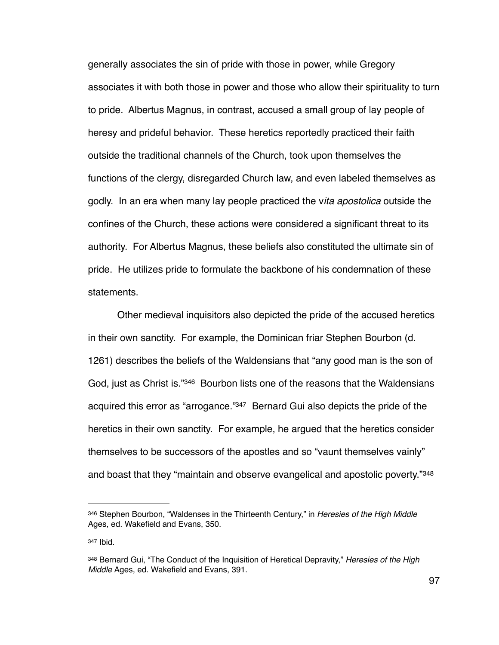generally associates the sin of pride with those in power, while Gregory associates it with both those in power and those who allow their spirituality to turn to pride. Albertus Magnus, in contrast, accused a small group of lay people of heresy and prideful behavior. These heretics reportedly practiced their faith outside the traditional channels of the Church, took upon themselves the functions of the clergy, disregarded Church law, and even labeled themselves as godly. In an era when many lay people practiced the v*ita apostolica* outside the confines of the Church, these actions were considered a significant threat to its authority. For Albertus Magnus, these beliefs also constituted the ultimate sin of pride. He utilizes pride to formulate the backbone of his condemnation of these statements.

<span id="page-102-4"></span><span id="page-102-3"></span>Other medieval inquisitors also depicted the pride of the accused heretics in their own sanctity. For example, the Dominican friar Stephen Bourbon (d. 1261) describes the beliefs of the Waldensians that "any good man is the son of God, just as Christ is.["](#page-102-0)[346](#page-102-0) Bourbon lists one of the reasons that the Waldensians acquired this error as "arrogance."<sup>[347](#page-102-1)</sup> Bernard Gui also depicts the pride of the heretics in their own sanctity. For example, he argued that the heretics consider themselves to be successors of the apostles and so "vaunt themselves vainly" and boast that they "maintain and observe evangelical and apostolic poverty."<sup>[348](#page-102-2)</sup>

<span id="page-102-1"></span>[347](#page-102-4) Ibid.

<span id="page-102-5"></span><span id="page-102-0"></span>[<sup>346</sup>](#page-102-3) Stephen Bourbon, "Waldenses in the Thirteenth Century," in *Heresies of the High Middle* Ages, ed. Wakefield and Evans, 350.

<span id="page-102-2"></span>[<sup>348</sup>](#page-102-5) Bernard Gui, "The Conduct of the Inquisition of Heretical Depravity," *Heresies of the High Middle* Ages, ed. Wakefield and Evans, 391.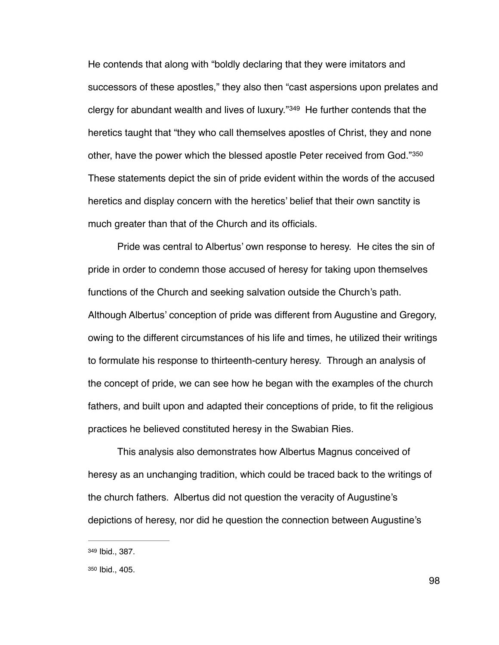<span id="page-103-3"></span><span id="page-103-2"></span>He contends that along with "boldly declaring that they were imitators and successors of these apostles," they also then "cast aspersions upon prelates and clergyfor abundant wealth and lives of luxury." $349$  He further contends that the heretics taught that "they who call themselves apostles of Christ, they and none other, have the power which the blessed apostle Peter received from God."350 These statements depict the sin of pride evident within the words of the accused heretics and display concern with the heretics' belief that their own sanctity is much greater than that of the Church and its officials.

Pride was central to Albertus' own response to heresy. He cites the sin of pride in order to condemn those accused of heresy for taking upon themselves functions of the Church and seeking salvation outside the Church's path. Although Albertus' conception of pride was different from Augustine and Gregory, owing to the different circumstances of his life and times, he utilized their writings to formulate his response to thirteenth-century heresy. Through an analysis of the concept of pride, we can see how he began with the examples of the church fathers, and built upon and adapted their conceptions of pride, to fit the religious practices he believed constituted heresy in the Swabian Ries.

This analysis also demonstrates how Albertus Magnus conceived of heresy as an unchanging tradition, which could be traced back to the writings of the church fathers. Albertus did not question the veracity of Augustine's depictions of heresy, nor did he question the connection between Augustine's

<span id="page-103-0"></span>[<sup>349</sup>](#page-103-2) Ibid., 387.

<span id="page-103-1"></span>[<sup>350</sup>](#page-103-3) Ibid., 405.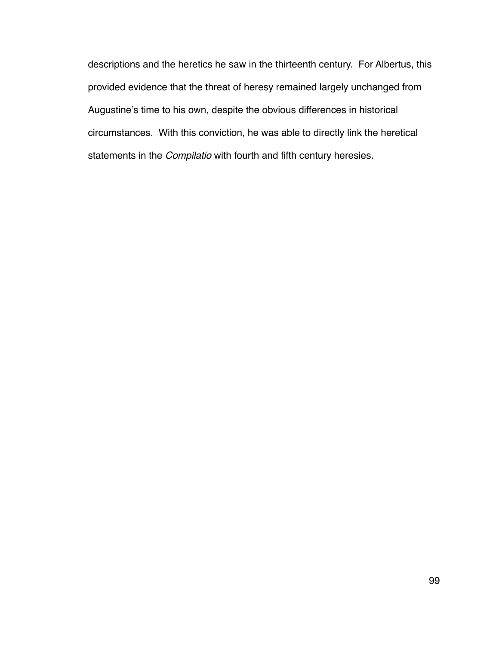descriptions and the heretics he saw in the thirteenth century. For Albertus, this provided evidence that the threat of heresy remained largely unchanged from Augustine's time to his own, despite the obvious differences in historical circumstances. With this conviction, he was able to directly link the heretical statements in the *Compilatio* with fourth and fifth century heresies.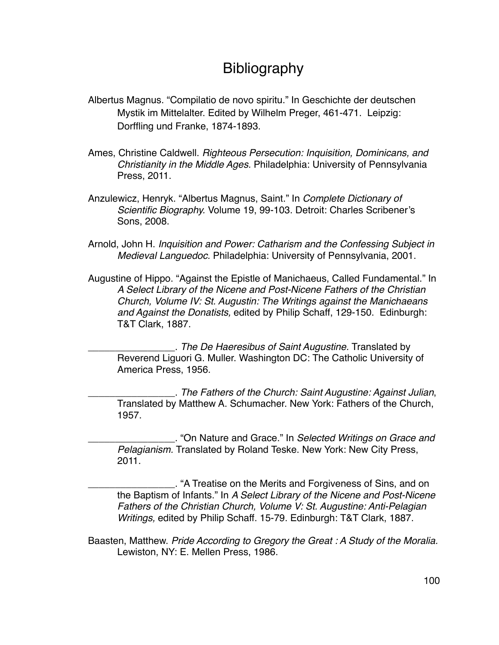## Bibliography

- Albertus Magnus. "Compilatio de novo spiritu." In Geschichte der deutschen Mystik im Mittelalter. Edited by Wilhelm Preger, 461-471. Leipzig: Dorffling und Franke, 1874-1893.
- Ames, Christine Caldwell. *Righteous Persecution: Inquisition, Dominicans, and Christianity in the Middle Ages.* Philadelphia: University of Pennsylvania Press, 2011.
- Anzulewicz, Henryk. "Albertus Magnus, Saint." In *Complete Dictionary of Scientific Biography.* Volume 19, 99-103. Detroit: Charles Scribener's Sons, 2008.
- Arnold, John H. *Inquisition and Power: Catharism and the Confessing Subject in Medieval Languedoc.* Philadelphia: University of Pennsylvania, 2001.
- Augustine of Hippo. "Against the Epistle of Manichaeus, Called Fundamental." In *A Select Library of the Nicene and Post-Nicene Fathers of the Christian Church, Volume IV: St. Augustin: The Writings against the Manichaeans and Against the Donatists,* edited by Philip Schaff, 129-150. Edinburgh: T&T Clark, 1887.

\_\_\_\_\_\_\_\_\_\_\_\_\_\_\_\_. *The De Haeresibus of Saint Augustine.* Translated by Reverend Liguori G. Muller. Washington DC: The Catholic University of America Press, 1956.

\_\_\_\_\_\_\_\_\_\_\_\_\_\_\_\_. *The Fathers of the Church: Saint Augustine: Against Julian*, Translated by Matthew A. Schumacher. New York: Fathers of the Church, 1957.

\_\_\_\_\_\_\_\_\_\_\_\_\_\_\_\_. "On Nature and Grace." In *Selected Writings on Grace and Pelagianism.* Translated by Roland Teske. New York: New City Press, 2011.

\_\_\_\_\_\_\_\_\_\_\_\_\_\_\_\_. "A Treatise on the Merits and Forgiveness of Sins, and on the Baptism of Infants." In *A Select Library of the Nicene and Post-Nicene Fathers of the Christian Church, Volume V: St. Augustine: Anti-Pelagian Writings,* edited by Philip Schaff. 15-79. Edinburgh: T&T Clark, 1887.

Baasten, Matthew. *Pride According to Gregory the Great : A Study of the Moralia.* Lewiston, NY: E. Mellen Press, 1986.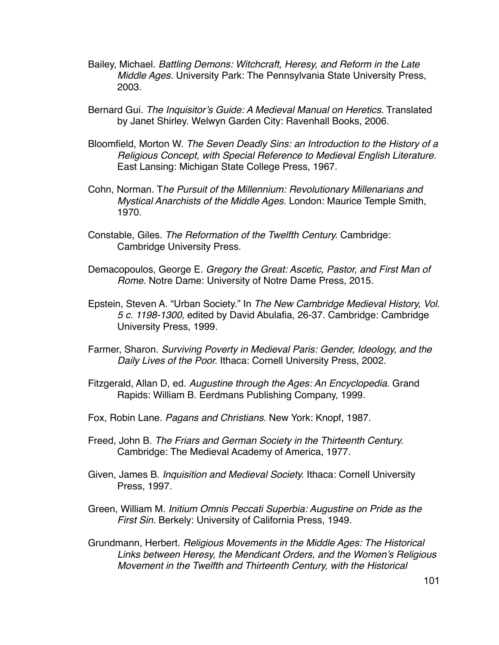- Bailey, Michael. *Battling Demons: Witchcraft, Heresy, and Reform in the Late Middle Ages.* University Park: The Pennsylvania State University Press, 2003.
- Bernard Gui. *The Inquisitor's Guide: A Medieval Manual on Heretics.* Translated by Janet Shirley. Welwyn Garden City: Ravenhall Books, 2006.
- Bloomfield, Morton W. *The Seven Deadly Sins: an Introduction to the History of a Religious Concept, with Special Reference to Medieval English Literature.* East Lansing: Michigan State College Press, 1967.
- Cohn, Norman. T*he Pursuit of the Millennium: Revolutionary Millenarians and Mystical Anarchists of the Middle Ages.* London: Maurice Temple Smith, 1970.
- Constable, Giles. *The Reformation of the Twelfth Century.* Cambridge: Cambridge University Press.
- Demacopoulos, George E. *Gregory the Great: Ascetic, Pastor, and First Man of Rome.* Notre Dame: University of Notre Dame Press, 2015.
- Epstein, Steven A. "Urban Society." In *The New Cambridge Medieval History, Vol. 5 c. 1198-1300,* edited by David Abulafia, 26-37. Cambridge: Cambridge University Press, 1999.
- Farmer, Sharon. *Surviving Poverty in Medieval Paris: Gender, Ideology, and the Daily Lives of the Poor.* Ithaca: Cornell University Press, 2002.
- Fitzgerald, Allan D, ed. *Augustine through the Ages: An Encyclopedia.* Grand Rapids: William B. Eerdmans Publishing Company, 1999.
- Fox, Robin Lane. *Pagans and Christians.* New York: Knopf, 1987.
- Freed, John B. *The Friars and German Society in the Thirteenth Century.* Cambridge: The Medieval Academy of America, 1977.
- Given, James B. *Inquisition and Medieval Society.* Ithaca: Cornell University Press, 1997.
- Green, William M. *Initium Omnis Peccati Superbia: Augustine on Pride as the First Sin.* Berkely: University of California Press, 1949.
- Grundmann, Herbert. *Religious Movements in the Middle Ages: The Historical Links between Heresy, the Mendicant Orders, and the Women's Religious Movement in the Twelfth and Thirteenth Century, with the Historical*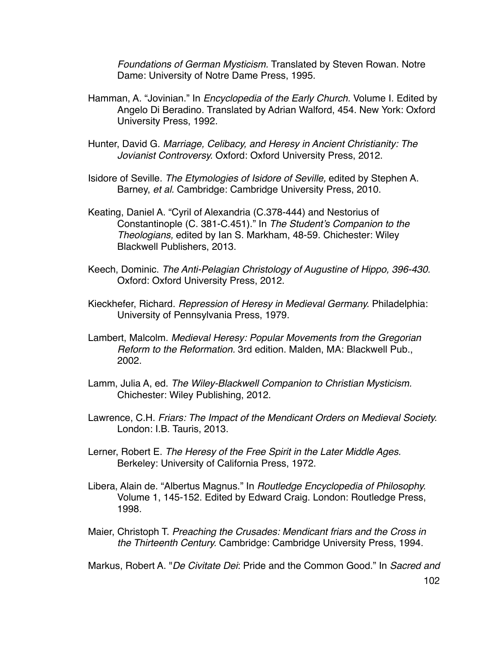*Foundations of German Mysticism.* Translated by Steven Rowan. Notre Dame: University of Notre Dame Press, 1995.

- Hamman, A. "Jovinian." In *Encyclopedia of the Early Church.* Volume I*.* Edited by Angelo Di Beradino. Translated by Adrian Walford, 454. New York: Oxford University Press, 1992.
- Hunter, David G. *Marriage, Celibacy, and Heresy in Ancient Christianity: The Jovianist Controversy.* Oxford: Oxford University Press, 2012.
- Isidore of Seville. *The Etymologies of Isidore of Seville,* edited by Stephen A. Barney, *et al.* Cambridge: Cambridge University Press, 2010.
- Keating, Daniel A. "Cyril of Alexandria (C.378-444) and Nestorius of Constantinople (C. 381-C.451)." In *The Student's Companion to the Theologians,* edited by Ian S. Markham, 48-59. Chichester: Wiley Blackwell Publishers, 2013.
- Keech, Dominic. *The Anti-Pelagian Christology of Augustine of Hippo, 396-430.*  Oxford: Oxford University Press, 2012.
- Kieckhefer, Richard. *Repression of Heresy in Medieval Germany.* Philadelphia: University of Pennsylvania Press, 1979.
- Lambert, Malcolm. *Medieval Heresy: Popular Movements from the Gregorian Reform to the Reformation.* 3rd edition. Malden, MA: Blackwell Pub., 2002.
- Lamm, Julia A, ed. *The Wiley-Blackwell Companion to Christian Mysticism.*  Chichester: Wiley Publishing, 2012.
- Lawrence, C.H. *Friars: The Impact of the Mendicant Orders on Medieval Society.* London: I.B. Tauris, 2013.
- Lerner, Robert E. *The Heresy of the Free Spirit in the Later Middle Ages.*  Berkeley: University of California Press, 1972.
- Libera, Alain de. "Albertus Magnus." In *Routledge Encyclopedia of Philosophy.*  Volume 1, 145-152. Edited by Edward Craig. London: Routledge Press, 1998.
- Maier, Christoph T. *Preaching the Crusades: Mendicant friars and the Cross in the Thirteenth Century.* Cambridge: Cambridge University Press, 1994.

Markus, Robert A. "*De Civitate Dei*: Pride and the Common Good." In *Sacred and*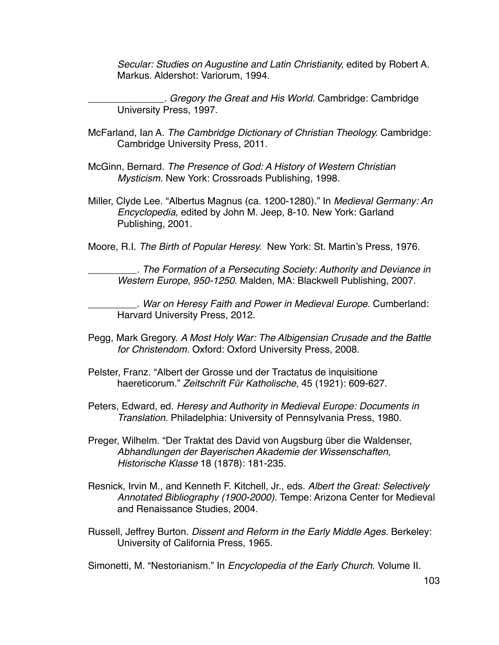*Secular: Studies on Augustine and Latin Christianity,* edited by Robert A. Markus. Aldershot: Variorum, 1994.

\_\_\_\_\_\_\_\_\_\_\_\_\_\_. *Gregory the Great and His World.* Cambridge: Cambridge University Press, 1997.

- McFarland, Ian A. *The Cambridge Dictionary of Christian Theology.* Cambridge: Cambridge University Press, 2011.
- McGinn, Bernard. *The Presence of God: A History of Western Christian Mysticism.* New York: Crossroads Publishing, 1998.
- Miller, Clyde Lee. "Albertus Magnus (ca. 1200-1280)." In *Medieval Germany: An Encyclopedia,* edited by John M. Jeep, 8-10. New York: Garland Publishing, 2001.

Moore, R.I. *The Birth of Popular Heresy.* New York: St. Martin's Press, 1976.

\_\_\_\_\_\_\_\_\_. *The Formation of a Persecuting Society: Authority and Deviance in Western Europe*, *950-1250.* Malden, MA: Blackwell Publishing, 2007.

\_\_\_\_\_\_\_\_\_. *War on Heresy Faith and Power in Medieval Europe.* Cumberland: Harvard University Press, 2012.

- Pegg, Mark Gregory. *A Most Holy War: The Albigensian Crusade and the Battle for Christendom.* Oxford: Oxford University Press, 2008.
- Pelster, Franz. "Albert der Grosse und der Tractatus de inquisitione haereticorum." *Zeitschrift Für Katholische,* 45 (1921): 609-627.
- Peters, Edward, ed. *Heresy and Authority in Medieval Europe: Documents in Translation.* Philadelphia: University of Pennsylvania Press, 1980.
- Preger, Wilhelm. "Der Traktat des David von Augsburg über die Waldenser, *Abhandlungen der Bayerischen Akademie der Wissenschaften*, *Historische Klasse* 18 (1878): 181-235.
- Resnick, Irvin M., and Kenneth F. Kitchell, Jr., eds. *Albert the Great: Selectively Annotated Bibliography (1900-2000).* Tempe: Arizona Center for Medieval and Renaissance Studies, 2004.
- Russell, Jeffrey Burton. *Dissent and Reform in the Early Middle Ages.* Berkeley: University of California Press, 1965.

Simonetti, M. "Nestorianism." In *Encyclopedia of the Early Church.* Volume II*.*